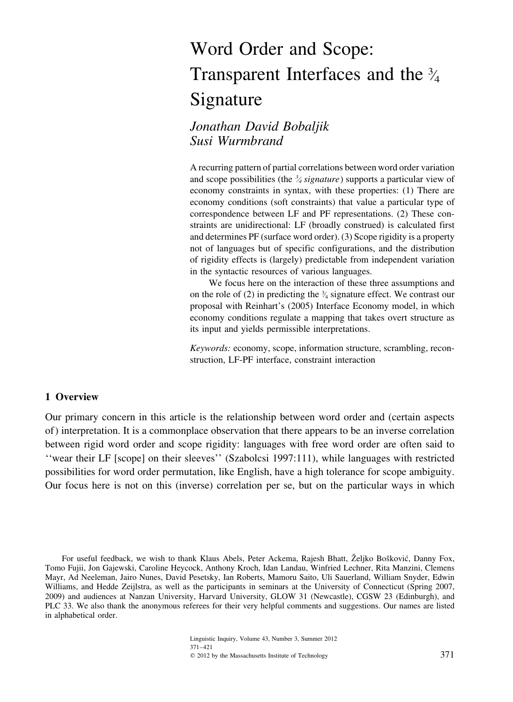# Word Order and Scope: Transparent Interfaces and the  $\frac{3}{4}$ ⁄ Signature

*Jonathan David Bobaljik Susi Wurmbrand*

A recurring pattern of partial correlations between word order variation and scope possibilities (the  $\frac{3}{4}$  *signature*) supports a particular view of economy constraints in syntax, with these properties: (1) There are economy conditions (soft constraints) that value a particular type of correspondence between LF and PF representations. (2) These constraints are unidirectional: LF (broadly construed) is calculated first and determines PF (surface word order). (3) Scope rigidity is a property not of languages but of specific configurations, and the distribution of rigidity effects is (largely) predictable from independent variation in the syntactic resources of various languages.

We focus here on the interaction of these three assumptions and on the role of (2) in predicting the  $\frac{3}{4}$  signature effect. We contrast our ⁄ proposal with Reinhart's (2005) Interface Economy model, in which economy conditions regulate a mapping that takes overt structure as its input and yields permissible interpretations.

*Keywords:* economy, scope, information structure, scrambling, reconstruction, LF-PF interface, constraint interaction

## **1 Overview**

Our primary concern in this article is the relationship between word order and (certain aspects of) interpretation. It is a commonplace observation that there appears to be an inverse correlation between rigid word order and scope rigidity: languages with free word order are often said to ''wear their LF [scope] on their sleeves'' (Szabolcsi 1997:111), while languages with restricted possibilities for word order permutation, like English, have a high tolerance for scope ambiguity. Our focus here is not on this (inverse) correlation per se, but on the particular ways in which

For useful feedback, we wish to thank Klaus Abels, Peter Ackema, Rajesh Bhatt, Željko Bošković, Danny Fox, Tomo Fujii, Jon Gajewski, Caroline Heycock, Anthony Kroch, Idan Landau, Winfried Lechner, Rita Manzini, Clemens Mayr, Ad Neeleman, Jairo Nunes, David Pesetsky, Ian Roberts, Mamoru Saito, Uli Sauerland, William Snyder, Edwin Williams, and Hedde Zeijlstra, as well as the participants in seminars at the University of Connecticut (Spring 2007, 2009) and audiences at Nanzan University, Harvard University, GLOW 31 (Newcastle), CGSW 23 (Edinburgh), and PLC 33. We also thank the anonymous referees for their very helpful comments and suggestions. Our names are listed in alphabetical order.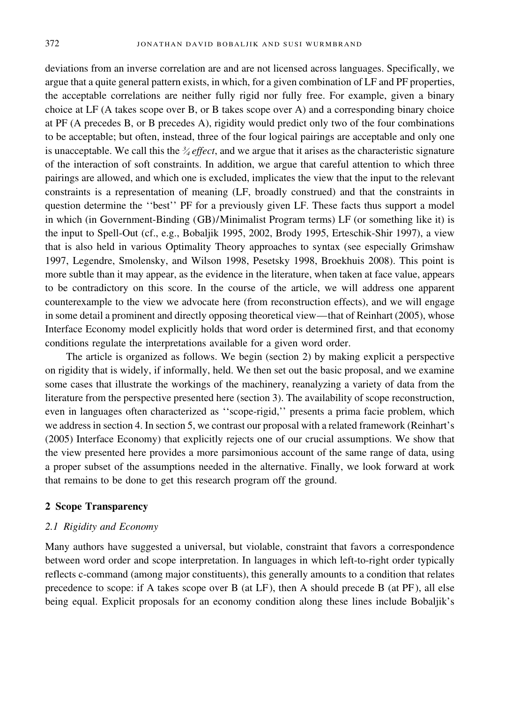deviations from an inverse correlation are and are not licensed across languages. Specifically, we argue that a quite general pattern exists, in which, for a given combination of LF and PF properties, the acceptable correlations are neither fully rigid nor fully free. For example, given a binary choice at LF (A takes scope over B, or B takes scope over A) and a corresponding binary choice at PF (A precedes B, or B precedes A), rigidity would predict only two of the four combinations to be acceptable; but often, instead, three of the four logical pairings are acceptable and only one is unacceptable. We call this the  $\frac{3}{4}$  *effect*, and we argue that it arises as the characteristic signature of the interaction of soft constraints. In addition, we argue that careful attention to which three pairings are allowed, and which one is excluded, implicates the view that the input to the relevant constraints is a representation of meaning (LF, broadly construed) and that the constraints in question determine the ''best'' PF for a previously given LF. These facts thus support a model in which (in Government-Binding (GB)/Minimalist Program terms) LF (or something like it) is the input to Spell-Out (cf., e.g., Bobaljik 1995, 2002, Brody 1995, Erteschik-Shir 1997), a view that is also held in various Optimality Theory approaches to syntax (see especially Grimshaw 1997, Legendre, Smolensky, and Wilson 1998, Pesetsky 1998, Broekhuis 2008). This point is more subtle than it may appear, as the evidence in the literature, when taken at face value, appears to be contradictory on this score. In the course of the article, we will address one apparent counterexample to the view we advocate here (from reconstruction effects), and we will engage in some detail a prominent and directly opposing theoretical view—that of Reinhart (2005), whose Interface Economy model explicitly holds that word order is determined first, and that economy conditions regulate the interpretations available for a given word order.

The article is organized as follows. We begin (section 2) by making explicit a perspective on rigidity that is widely, if informally, held. We then set out the basic proposal, and we examine some cases that illustrate the workings of the machinery, reanalyzing a variety of data from the literature from the perspective presented here (section 3). The availability of scope reconstruction, even in languages often characterized as ''scope-rigid,'' presents a prima facie problem, which we address in section 4. In section 5, we contrast our proposal with a related framework (Reinhart's (2005) Interface Economy) that explicitly rejects one of our crucial assumptions. We show that the view presented here provides a more parsimonious account of the same range of data, using a proper subset of the assumptions needed in the alternative. Finally, we look forward at work that remains to be done to get this research program off the ground.

## **2 Scope Transparency**

## *2.1 Rigidity and Economy*

Many authors have suggested a universal, but violable, constraint that favors a correspondence between word order and scope interpretation. In languages in which left-to-right order typically reflects c-command (among major constituents), this generally amounts to a condition that relates precedence to scope: if A takes scope over B (at LF), then A should precede B (at PF), all else being equal. Explicit proposals for an economy condition along these lines include Bobaljik's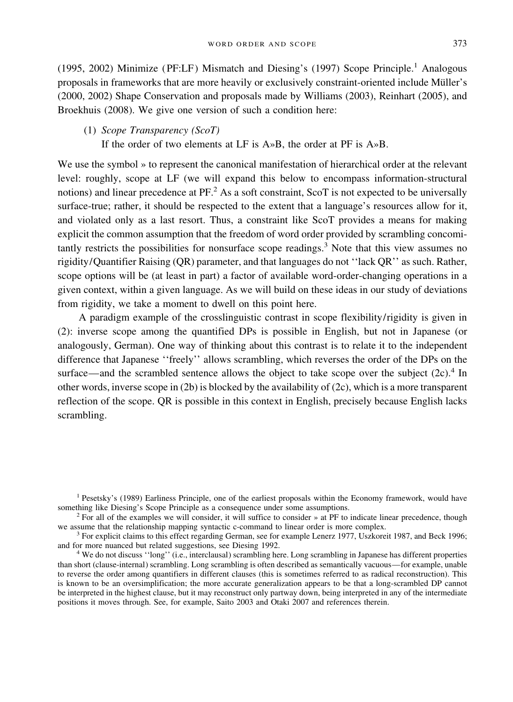(1995, 2002) Minimize (PF:LF) Mismatch and Diesing's (1997) Scope Principle.<sup>1</sup> Analogous proposals in frameworks that are more heavily or exclusively constraint-oriented include Müller's (2000, 2002) Shape Conservation and proposals made by Williams (2003), Reinhart (2005), and Broekhuis (2008). We give one version of such a condition here:

(1) *Scope Transparency (ScoT)*

If the order of two elements at LF is A»B, the order at PF is A»B.

We use the symbol » to represent the canonical manifestation of hierarchical order at the relevant level: roughly, scope at LF (we will expand this below to encompass information-structural notions) and linear precedence at PF.<sup>2</sup> As a soft constraint, ScoT is not expected to be universally surface-true; rather, it should be respected to the extent that a language's resources allow for it, and violated only as a last resort. Thus, a constraint like ScoT provides a means for making explicit the common assumption that the freedom of word order provided by scrambling concomitantly restricts the possibilities for nonsurface scope readings.<sup>3</sup> Note that this view assumes no rigidity/Quantifier Raising (QR) parameter, and that languages do not ''lack QR'' as such. Rather, scope options will be (at least in part) a factor of available word-order-changing operations in a given context, within a given language. As we will build on these ideas in our study of deviations from rigidity, we take a moment to dwell on this point here.

A paradigm example of the crosslinguistic contrast in scope flexibility/rigidity is given in (2): inverse scope among the quantified DPs is possible in English, but not in Japanese (or analogously, German). One way of thinking about this contrast is to relate it to the independent difference that Japanese ''freely'' allows scrambling, which reverses the order of the DPs on the surface—and the scrambled sentence allows the object to take scope over the subject  $(2c)$ .<sup>4</sup> In other words, inverse scope in (2b) is blocked by the availability of (2c), which is a more transparent reflection of the scope. QR is possible in this context in English, precisely because English lacks scrambling.

<sup>&</sup>lt;sup>1</sup> Pesetsky's (1989) Earliness Principle, one of the earliest proposals within the Economy framework, would have something like Diesing's Scope Principle as a consequence under some assumptions.

 $\frac{1}{2}$  For all of the examples we will consider, it will suffice to consider » at PF to indicate linear precedence, though we assume that the relationship mapping syntactic c-command to linear order is more complex.

<sup>&</sup>lt;sup>3</sup> For explicit claims to this effect regarding German, see for example Lenerz 1977, Uszkoreit 1987, and Beck 1996; and for more nuanced but related suggestions, see Diesing 1992.

<sup>&</sup>lt;sup>4</sup> We do not discuss ''long'' (i.e., interclausal) scrambling here. Long scrambling in Japanese has different properties than short (clause-internal) scrambling. Long scrambling is often described as semantically vacuous—for example, unable to reverse the order among quantifiers in different clauses (this is sometimes referred to as radical reconstruction). This is known to be an oversimplification; the more accurate generalization appears to be that a long-scrambled DP cannot be interpreted in the highest clause, but it may reconstruct only partway down, being interpreted in any of the intermediate positions it moves through. See, for example, Saito 2003 and Otaki 2007 and references therein.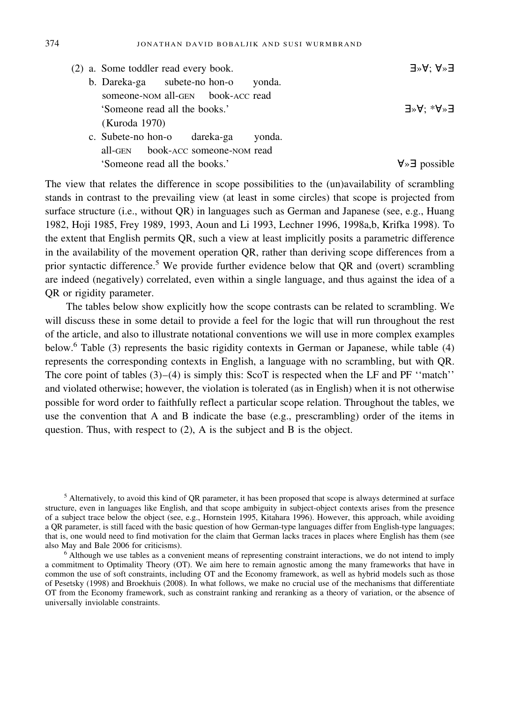| (2) a. Some toddler read every book.   | $\exists^{\gg}A: A^{\gg} \exists$           |
|----------------------------------------|---------------------------------------------|
| b. Dareka-ga subete-no hon-o<br>vonda. |                                             |
| someone-NOM all-GEN book-ACC read      |                                             |
| 'Someone read all the books.'          | $\exists^{\gg}A$ : $\ast A^{\gg}$ $\exists$ |
| (Kuroda 1970)                          |                                             |
| c. Subete-no hon-o dareka-ga<br>vonda. |                                             |
| all-GEN book-ACC someone-NOM read      |                                             |
| 'Someone read all the books.'          | $\forall \rightarrow \exists$ possible      |

The view that relates the difference in scope possibilities to the (un)availability of scrambling stands in contrast to the prevailing view (at least in some circles) that scope is projected from surface structure (i.e., without QR) in languages such as German and Japanese (see, e.g., Huang 1982, Hoji 1985, Frey 1989, 1993, Aoun and Li 1993, Lechner 1996, 1998a,b, Krifka 1998). To the extent that English permits QR, such a view at least implicitly posits a parametric difference in the availability of the movement operation QR, rather than deriving scope differences from a prior syntactic difference.<sup>5</sup> We provide further evidence below that QR and (overt) scrambling are indeed (negatively) correlated, even within a single language, and thus against the idea of a QR or rigidity parameter.

The tables below show explicitly how the scope contrasts can be related to scrambling. We will discuss these in some detail to provide a feel for the logic that will run throughout the rest of the article, and also to illustrate notational conventions we will use in more complex examples below.6 Table (3) represents the basic rigidity contexts in German or Japanese, while table (4) represents the corresponding contexts in English, a language with no scrambling, but with QR. The core point of tables  $(3)$ – $(4)$  is simply this: ScoT is respected when the LF and PF "match" and violated otherwise; however, the violation is tolerated (as in English) when it is not otherwise possible for word order to faithfully reflect a particular scope relation. Throughout the tables, we use the convention that A and B indicate the base (e.g., prescrambling) order of the items in question. Thus, with respect to (2), A is the subject and B is the object.

<sup>5</sup> Alternatively, to avoid this kind of QR parameter, it has been proposed that scope is always determined at surface structure, even in languages like English, and that scope ambiguity in subject-object contexts arises from the presence of a subject trace below the object (see, e.g., Hornstein 1995, Kitahara 1996). However, this approach, while avoiding a QR parameter, is still faced with the basic question of how German-type languages differ from English-type languages; that is, one would need to find motivation for the claim that German lacks traces in places where English has them (see

 $6$  Although we use tables as a convenient means of representing constraint interactions, we do not intend to imply a commitment to Optimality Theory (OT). We aim here to remain agnostic among the many frameworks that have in common the use of soft constraints, including OT and the Economy framework, as well as hybrid models such as those of Pesetsky (1998) and Broekhuis (2008). In what follows, we make no crucial use of the mechanisms that differentiate OT from the Economy framework, such as constraint ranking and reranking as a theory of variation, or the absence of universally inviolable constraints.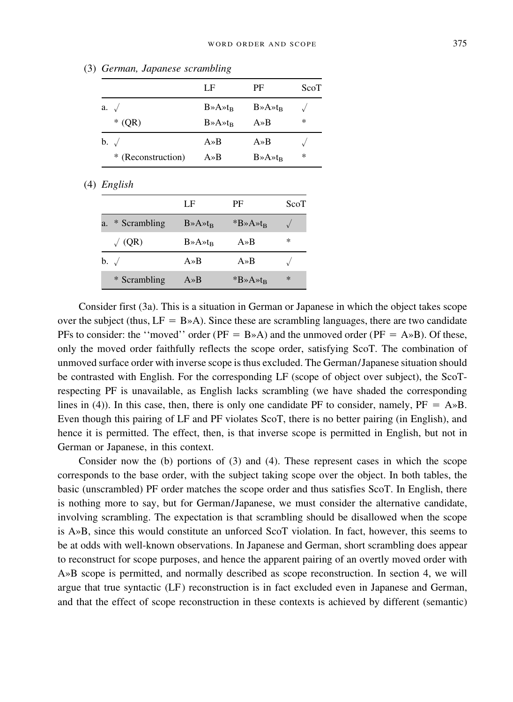|                           | LF                                | РF                | ScoT |
|---------------------------|-----------------------------------|-------------------|------|
| $a. \sqrt{ }$             | $B \rightarrow A \rightarrow t_B$ | $B \gg A \gg t_R$ |      |
| $*(QR)$                   | $B \rightarrow A \rightarrow t_B$ | $A \rightarrow B$ | *    |
| $\mathbf{b}$ . $\sqrt{ }$ | $A \times B$                      | $A \times B$      |      |
| * (Reconstruction)        | $A \rightarrow B$                 | $B \gg A \gg t_R$ | *    |

|  | (3) German, Japanese scrambling |
|--|---------------------------------|
|  |                                 |

| $(4)$ English |
|---------------|
|               |

|                           |               | LF                | PF                                  | ScoT   |
|---------------------------|---------------|-------------------|-------------------------------------|--------|
| a.                        | * Scrambling  | $B \gg A \gg t_R$ | * $B \rightarrow A \rightarrow t_B$ |        |
|                           | $\sqrt{(QR)}$ | $B \gg A \gg t_R$ | $A \gg B$                           | *      |
| $\mathbf{b}$ . $\sqrt{ }$ |               | $A \times B$      | $A \times B$                        |        |
|                           | * Scrambling  | $A \rightarrow B$ | * $B \rightarrow A \rightarrow t_B$ | $\ast$ |

Consider first (3a). This is a situation in German or Japanese in which the object takes scope over the subject (thus,  $LF = B \times A$ ). Since these are scrambling languages, there are two candidate PFs to consider: the "moved" order ( $PF = B \gg A$ ) and the unmoved order ( $PF = A \gg B$ ). Of these, only the moved order faithfully reflects the scope order, satisfying ScoT. The combination of unmoved surface order with inverse scope is thus excluded. The German/Japanese situation should be contrasted with English. For the corresponding LF (scope of object over subject), the ScoTrespecting PF is unavailable, as English lacks scrambling (we have shaded the corresponding lines in (4)). In this case, then, there is only one candidate PF to consider, namely,  $PF = A \gg B$ . Even though this pairing of LF and PF violates ScoT, there is no better pairing (in English), and hence it is permitted. The effect, then, is that inverse scope is permitted in English, but not in German or Japanese, in this context.

Consider now the (b) portions of (3) and (4). These represent cases in which the scope corresponds to the base order, with the subject taking scope over the object. In both tables, the basic (unscrambled) PF order matches the scope order and thus satisfies ScoT. In English, there is nothing more to say, but for German/Japanese, we must consider the alternative candidate, involving scrambling. The expectation is that scrambling should be disallowed when the scope is A»B, since this would constitute an unforced ScoT violation. In fact, however, this seems to be at odds with well-known observations. In Japanese and German, short scrambling does appear to reconstruct for scope purposes, and hence the apparent pairing of an overtly moved order with A»B scope is permitted, and normally described as scope reconstruction. In section 4, we will argue that true syntactic (LF) reconstruction is in fact excluded even in Japanese and German, and that the effect of scope reconstruction in these contexts is achieved by different (semantic)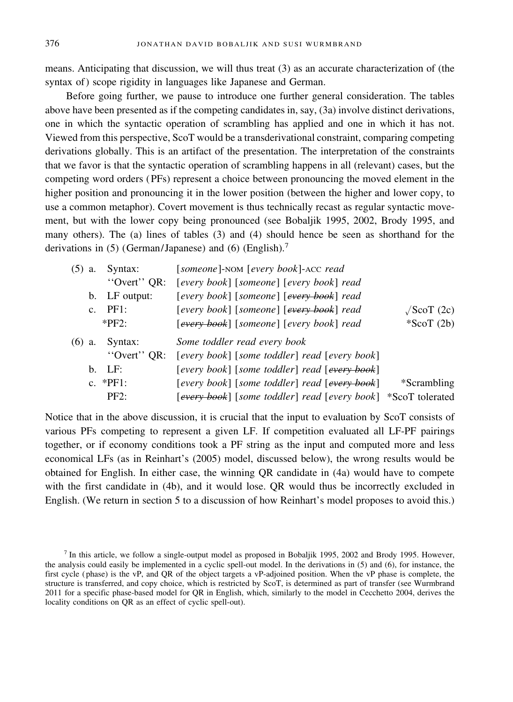means. Anticipating that discussion, we will thus treat (3) as an accurate characterization of (the syntax of) scope rigidity in languages like Japanese and German.

Before going further, we pause to introduce one further general consideration. The tables above have been presented as if the competing candidates in, say, (3a) involve distinct derivations, one in which the syntactic operation of scrambling has applied and one in which it has not. Viewed from this perspective, ScoT would be a transderivational constraint, comparing competing derivations globally. This is an artifact of the presentation. The interpretation of the constraints that we favor is that the syntactic operation of scrambling happens in all (relevant) cases, but the competing word orders (PFs) represent a choice between pronouncing the moved element in the higher position and pronouncing it in the lower position (between the higher and lower copy, to use a common metaphor). Covert movement is thus technically recast as regular syntactic movement, but with the lower copy being pronounced (see Bobaljik 1995, 2002, Brody 1995, and many others). The (a) lines of tables (3) and (4) should hence be seen as shorthand for the derivations in (5) (German/Japanese) and (6) (English).<sup>7</sup>

| $(5)$ a. | Syntax:       | [someone]-NOM [every book]-ACC read                           |                     |
|----------|---------------|---------------------------------------------------------------|---------------------|
|          | "Overt" QR:   | [every book] [someone] [every book] read                      |                     |
|          | b. LF output: | [every book] [someone] [every book] read                      |                     |
|          | c. $PF1$ :    | [every book] [someone] [every book] read                      | $\sqrt{5}$ coT (2c) |
|          | $*PF2:$       | [every book] [someone] [every book] read                      | $*ScoT(2b)$         |
| $(6)$ a. | Syntax:       | Some toddler read every book                                  |                     |
|          | "Overt" QR:   | [every book] [some toddler] read [every book]                 |                     |
|          | $b.$ LF:      | [every book] [some toddler] read [every book]                 |                     |
|          | c. $*PF1$ :   | [every book] [some toddler] read [every book]                 | *Scrambling*        |
|          | PF2:          | [every book] [some toddler] read [every book] *ScoT tolerated |                     |

Notice that in the above discussion, it is crucial that the input to evaluation by ScoT consists of various PFs competing to represent a given LF. If competition evaluated all LF-PF pairings together, or if economy conditions took a PF string as the input and computed more and less economical LFs (as in Reinhart's (2005) model, discussed below), the wrong results would be obtained for English. In either case, the winning QR candidate in (4a) would have to compete with the first candidate in (4b), and it would lose. QR would thus be incorrectly excluded in English. (We return in section 5 to a discussion of how Reinhart's model proposes to avoid this.)

<sup>7</sup> In this article, we follow a single-output model as proposed in Bobaljik 1995, 2002 and Brody 1995. However, the analysis could easily be implemented in a cyclic spell-out model. In the derivations in (5) and (6), for instance, the first cycle (phase) is the vP, and QR of the object targets a vP-adjoined position. When the vP phase is complete, the structure is transferred, and copy choice, which is restricted by ScoT, is determined as part of transfer (see Wurmbrand 2011 for a specific phase-based model for QR in English, which, similarly to the model in Cecchetto 2004, derives the locality conditions on QR as an effect of cyclic spell-out).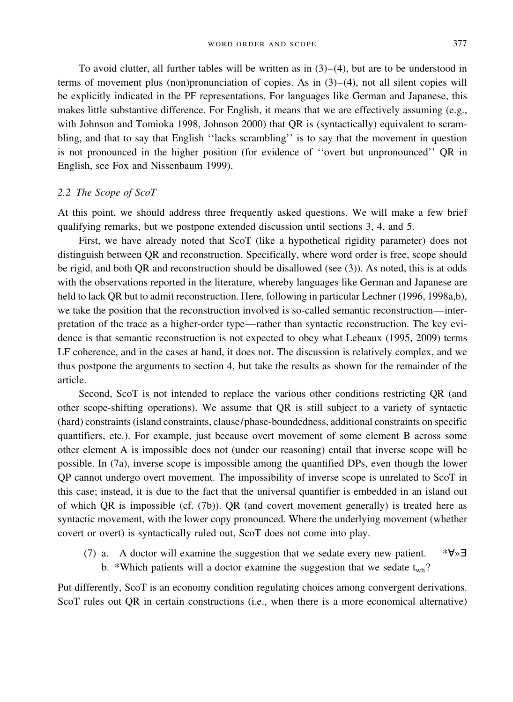To avoid clutter, all further tables will be written as in  $(3)-(4)$ , but are to be understood in terms of movement plus (non)pronunciation of copies. As in  $(3)-(4)$ , not all silent copies will be explicitly indicated in the PF representations. For languages like German and Japanese, this makes little substantive difference. For English, it means that we are effectively assuming (e.g., with Johnson and Tomioka 1998, Johnson 2000) that QR is (syntactically) equivalent to scrambling, and that to say that English ''lacks scrambling'' is to say that the movement in question is not pronounced in the higher position (for evidence of ''overt but unpronounced'' QR in English, see Fox and Nissenbaum 1999).

## *2.2 The Scope of ScoT*

At this point, we should address three frequently asked questions. We will make a few brief qualifying remarks, but we postpone extended discussion until sections 3, 4, and 5.

First, we have already noted that ScoT (like a hypothetical rigidity parameter) does not distinguish between QR and reconstruction. Specifically, where word order is free, scope should be rigid, and both QR and reconstruction should be disallowed (see (3)). As noted, this is at odds with the observations reported in the literature, whereby languages like German and Japanese are held to lack QR but to admit reconstruction. Here, following in particular Lechner (1996, 1998a,b), we take the position that the reconstruction involved is so-called semantic reconstruction—interpretation of the trace as a higher-order type—rather than syntactic reconstruction. The key evidence is that semantic reconstruction is not expected to obey what Lebeaux (1995, 2009) terms LF coherence, and in the cases at hand, it does not. The discussion is relatively complex, and we thus postpone the arguments to section 4, but take the results as shown for the remainder of the article.

Second, ScoT is not intended to replace the various other conditions restricting QR (and other scope-shifting operations). We assume that QR is still subject to a variety of syntactic (hard) constraints (island constraints, clause/phase-boundedness, additional constraints on specific quantifiers, etc.). For example, just because overt movement of some element B across some other element A is impossible does not (under our reasoning) entail that inverse scope will be possible. In (7a), inverse scope is impossible among the quantified DPs, even though the lower QP cannot undergo overt movement. The impossibility of inverse scope is unrelated to ScoT in this case; instead, it is due to the fact that the universal quantifier is embedded in an island out of which QR is impossible (cf. (7b)). QR (and covert movement generally) is treated here as syntactic movement, with the lower copy pronounced. Where the underlying movement (whether covert or overt) is syntactically ruled out, ScoT does not come into play.

(7) a. A doctor will examine the suggestion that we sedate every new patient.  $*\forall x \exists$ b. \*Which patients will a doctor examine the suggestion that we sedate  $t_{wh}$ ?

Put differently, ScoT is an economy condition regulating choices among convergent derivations. ScoT rules out OR in certain constructions (i.e., when there is a more economical alternative)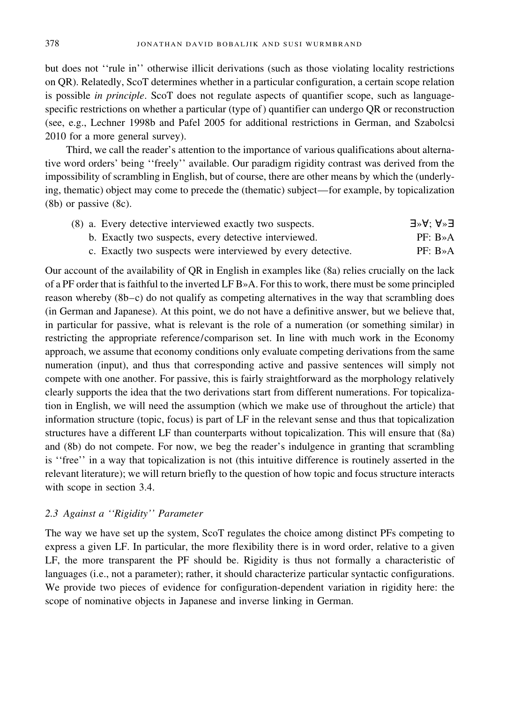but does not ''rule in'' otherwise illicit derivations (such as those violating locality restrictions on QR). Relatedly, ScoT determines whether in a particular configuration, a certain scope relation is possible *in principle*. ScoT does not regulate aspects of quantifier scope, such as languagespecific restrictions on whether a particular (type of) quantifier can undergo QR or reconstruction (see, e.g., Lechner 1998b and Pafel 2005 for additional restrictions in German, and Szabolcsi 2010 for a more general survey).

Third, we call the reader's attention to the importance of various qualifications about alternative word orders' being ''freely'' available. Our paradigm rigidity contrast was derived from the impossibility of scrambling in English, but of course, there are other means by which the (underlying, thematic) object may come to precede the (thematic) subject—for example, by topicalization (8b) or passive (8c).

|  | (8) a. Every detective interviewed exactly two suspects.     | ∃»A: A»∃              |
|--|--------------------------------------------------------------|-----------------------|
|  | b. Exactly two suspects, every detective interviewed.        | $PF: B \rightarrow A$ |
|  | c. Exactly two suspects were interviewed by every detective. | $PF: B \rightarrow A$ |

Our account of the availability of QR in English in examples like (8a) relies crucially on the lack of a PF order that is faithful to the inverted LF B»A. For this to work, there must be some principled reason whereby (8b–c) do not qualify as competing alternatives in the way that scrambling does (in German and Japanese). At this point, we do not have a definitive answer, but we believe that, in particular for passive, what is relevant is the role of a numeration (or something similar) in restricting the appropriate reference/comparison set. In line with much work in the Economy approach, we assume that economy conditions only evaluate competing derivations from the same numeration (input), and thus that corresponding active and passive sentences will simply not compete with one another. For passive, this is fairly straightforward as the morphology relatively clearly supports the idea that the two derivations start from different numerations. For topicalization in English, we will need the assumption (which we make use of throughout the article) that information structure (topic, focus) is part of LF in the relevant sense and thus that topicalization structures have a different LF than counterparts without topicalization. This will ensure that (8a) and (8b) do not compete. For now, we beg the reader's indulgence in granting that scrambling is ''free'' in a way that topicalization is not (this intuitive difference is routinely asserted in the relevant literature); we will return briefly to the question of how topic and focus structure interacts with scope in section 3.4.

## *2.3 Against a ''Rigidity'' Parameter*

The way we have set up the system, ScoT regulates the choice among distinct PFs competing to express a given LF. In particular, the more flexibility there is in word order, relative to a given LF, the more transparent the PF should be. Rigidity is thus not formally a characteristic of languages (i.e., not a parameter); rather, it should characterize particular syntactic configurations. We provide two pieces of evidence for configuration-dependent variation in rigidity here: the scope of nominative objects in Japanese and inverse linking in German.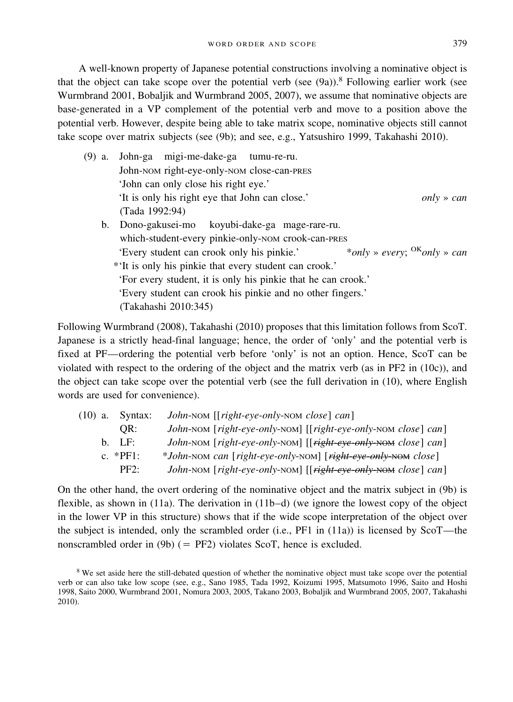A well-known property of Japanese potential constructions involving a nominative object is that the object can take scope over the potential verb (see  $(9a)$ ).<sup>8</sup> Following earlier work (see Wurmbrand 2001, Bobaljik and Wurmbrand 2005, 2007), we assume that nominative objects are base-generated in a VP complement of the potential verb and move to a position above the potential verb. However, despite being able to take matrix scope, nominative objects still cannot take scope over matrix subjects (see (9b); and see, e.g., Yatsushiro 1999, Takahashi 2010).

(9) a. John-ga migi-me-dake-ga tumu-re-ru. John-NOM right-eye-only-NOM close-can-PRES 'John can only close his right eye.' 'It is only his right eye that John can close.' *only* » *can* (Tada 1992:94) b. Dono-gakusei-mo koyubi-dake-ga mage-rare-ru. which-student-every pinkie-only-NOM crook-can-PRES 'Every student can crook only his pinkie.' \**only* » *every*; OK*only* » *can* \*'It is only his pinkie that every student can crook.' 'For every student, it is only his pinkie that he can crook.' 'Every student can crook his pinkie and no other fingers.' (Takahashi 2010:345)

Following Wurmbrand (2008), Takahashi (2010) proposes that this limitation follows from ScoT. Japanese is a strictly head-final language; hence, the order of 'only' and the potential verb is fixed at PF—ordering the potential verb before 'only' is not an option. Hence, ScoT can be violated with respect to the ordering of the object and the matrix verb (as in PF2 in (10c)), and the object can take scope over the potential verb (see the full derivation in (10), where English words are used for convenience).

|  | $(10)$ a. Syntax: | John-NOM $[right-eye-only-NON close] can]$                     |
|--|-------------------|----------------------------------------------------------------|
|  | OR:               | John-NOM [right-eye-only-NOM] [[right-eye-only-NOM close] can] |
|  | $b. \quad LF:$    | John-NOM [right-eye-only-NOM] [[right-eye-only-NOM close] can] |
|  | c. *PF1:          | *John-NOM can [right-eye-only-NOM] [right-eye-only-NOM close]  |
|  | PF2:              | John-NOM [right-eye-only-NOM] [[right-eye-only-NOM close] can] |

On the other hand, the overt ordering of the nominative object and the matrix subject in (9b) is flexible, as shown in (11a). The derivation in (11b–d) (we ignore the lowest copy of the object in the lower VP in this structure) shows that if the wide scope interpretation of the object over the subject is intended, only the scrambled order (i.e.,  $PF1$  in (11a)) is licensed by ScoT—the nonscrambled order in  $(9b)$  (= PF2) violates ScoT, hence is excluded.

<sup>&</sup>lt;sup>8</sup> We set aside here the still-debated question of whether the nominative object must take scope over the potential verb or can also take low scope (see, e.g., Sano 1985, Tada 1992, Koizumi 1995, Matsumoto 1996, Saito and Hoshi 1998, Saito 2000, Wurmbrand 2001, Nomura 2003, 2005, Takano 2003, Bobaljik and Wurmbrand 2005, 2007, Takahashi 2010).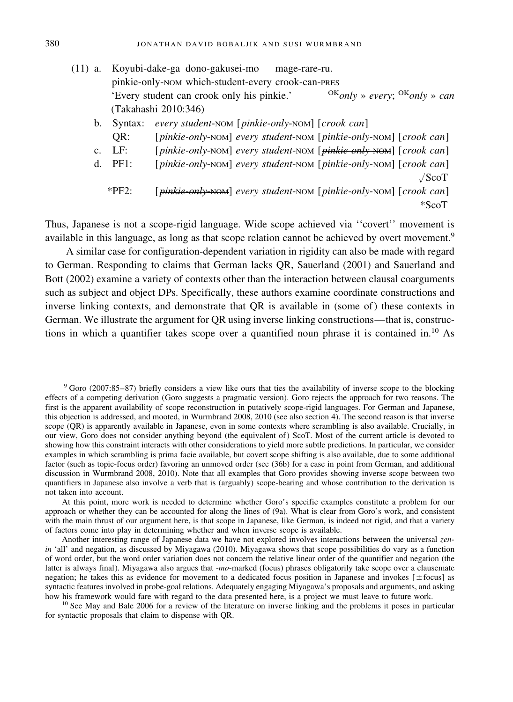| $(11)$ a. |            | Koyubi-dake-ga dono-gakusei-mo<br>mage-rare-ru.                                        |
|-----------|------------|----------------------------------------------------------------------------------------|
|           |            | pinkie-only-NOM which-student-every crook-can-PRES                                     |
|           |            | $^{OK}$ only » every; $^{OK}$ only » can<br>'Every student can crook only his pinkie.' |
|           |            | (Takahashi 2010:346)                                                                   |
|           | b. Syntax: | every student-NOM [pinkie-only-NOM] [crook can]                                        |
|           | OR:        | [pinkie-only-NOM] every student-NOM [pinkie-only-NOM] [crook can]                      |
|           | c. $LF:$   | [pinkie-only-NOM] every student-NOM [pinkie-only-NOM] [crook can]                      |
|           | $d.$ PF1:  | [pinkie-only-NOM] every student-NOM [pinkie-only-NOM] [crook can]                      |
|           |            | $\sqrt{ScoT}$                                                                          |
|           | $*PF2:$    | [pinkie-only-NOM] every student-NOM [pinkie-only-NOM] [crook can]                      |
|           |            | $*ScoT$                                                                                |

Thus, Japanese is not a scope-rigid language. Wide scope achieved via ''covert'' movement is available in this language, as long as that scope relation cannot be achieved by overt movement.9

A similar case for configuration-dependent variation in rigidity can also be made with regard to German. Responding to claims that German lacks QR, Sauerland (2001) and Sauerland and Bott (2002) examine a variety of contexts other than the interaction between clausal coarguments such as subject and object DPs. Specifically, these authors examine coordinate constructions and inverse linking contexts, and demonstrate that QR is available in (some of) these contexts in German. We illustrate the argument for QR using inverse linking constructions—that is, constructions in which a quantifier takes scope over a quantified noun phrase it is contained in.<sup>10</sup> As

<sup>9</sup> Goro (2007:85–87) briefly considers a view like ours that ties the availability of inverse scope to the blocking effects of a competing derivation (Goro suggests a pragmatic version). Goro rejects the approach for two reasons. The first is the apparent availability of scope reconstruction in putatively scope-rigid languages. For German and Japanese, this objection is addressed, and mooted, in Wurmbrand 2008, 2010 (see also section 4). The second reason is that inverse scope (QR) is apparently available in Japanese, even in some contexts where scrambling is also available. Crucially, in our view, Goro does not consider anything beyond (the equivalent of) ScoT. Most of the current article is devoted to showing how this constraint interacts with other considerations to yield more subtle predictions. In particular, we consider examples in which scrambling is prima facie available, but covert scope shifting is also available, due to some additional factor (such as topic-focus order) favoring an unmoved order (see (36b) for a case in point from German, and additional discussion in Wurmbrand 2008, 2010). Note that all examples that Goro provides showing inverse scope between two quantifiers in Japanese also involve a verb that is (arguably) scope-bearing and whose contribution to the derivation is not taken into account.

At this point, more work is needed to determine whether Goro's specific examples constitute a problem for our approach or whether they can be accounted for along the lines of (9a). What is clear from Goro's work, and consistent with the main thrust of our argument here, is that scope in Japanese, like German, is indeed not rigid, and that a variety of factors come into play in determining whether and when inverse scope is available.

Another interesting range of Japanese data we have not explored involves interactions between the universal *zenin* 'all' and negation, as discussed by Miyagawa (2010). Miyagawa shows that scope possibilities do vary as a function of word order, but the word order variation does not concern the relative linear order of the quantifier and negation (the latter is always final). Miyagawa also argues that -*mo*-marked (focus) phrases obligatorily take scope over a clausemate negation; he takes this as evidence for movement to a dedicated focus position in Japanese and invokes  $[\pm$  focus] as syntactic features involved in probe-goal relations. Adequately engaging Miyagawa's proposals and arguments, and asking how his framework would fare with regard to the data presented here, is a project we must leave to future work.<br><sup>10</sup> See May and Bale 2006 for a review of the literature on inverse linking and the problems it poses in part

for syntactic proposals that claim to dispense with QR.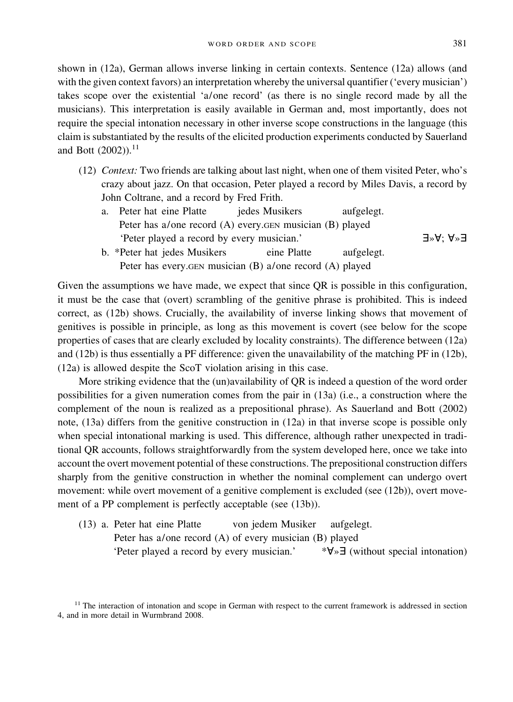shown in (12a), German allows inverse linking in certain contexts. Sentence (12a) allows (and with the given context favors) an interpretation whereby the universal quantifier ('every musician') takes scope over the existential 'a/one record' (as there is no single record made by all the musicians). This interpretation is easily available in German and, most importantly, does not require the special intonation necessary in other inverse scope constructions in the language (this claim is substantiated by the results of the elicited production experiments conducted by Sauerland and Bott  $(2002)$ ).<sup>11</sup>

- (12) *Context:* Two friends are talking about last night, when one of them visited Peter, who's crazy about jazz. On that occasion, Peter played a record by Miles Davis, a record by John Coltrane, and a record by Fred Frith.
	- a. Peter hat eine Platte jedes Musikers aufgelegt. Peter has a/one record (A) every.GEN musician (B) played 'Peter played a record by every musician.'  $\exists x A: A^*B$
	- b. \*Peter hat jedes Musikers eine Platte aufgelegt. Peter has every.GEN musician (B) a/one record (A) played

Given the assumptions we have made, we expect that since QR is possible in this configuration, it must be the case that (overt) scrambling of the genitive phrase is prohibited. This is indeed correct, as (12b) shows. Crucially, the availability of inverse linking shows that movement of genitives is possible in principle, as long as this movement is covert (see below for the scope properties of cases that are clearly excluded by locality constraints). The difference between (12a) and (12b) is thus essentially a PF difference: given the unavailability of the matching PF in (12b), (12a) is allowed despite the ScoT violation arising in this case.

More striking evidence that the (un)availability of QR is indeed a question of the word order possibilities for a given numeration comes from the pair in (13a) (i.e., a construction where the complement of the noun is realized as a prepositional phrase). As Sauerland and Bott (2002) note, (13a) differs from the genitive construction in (12a) in that inverse scope is possible only when special intonational marking is used. This difference, although rather unexpected in traditional QR accounts, follows straightforwardly from the system developed here, once we take into account the overt movement potential of these constructions. The prepositional construction differs sharply from the genitive construction in whether the nominal complement can undergo overt movement: while overt movement of a genitive complement is excluded (see (12b)), overt movement of a PP complement is perfectly acceptable (see (13b)).

(13) a. Peter hat eine Platte von jedem Musiker aufgelegt. Peter has a/one record (A) of every musician (B) played 'Peter played a record by every musician.'  $*\forall x \exists$  (without special intonation)

 $11$  The interaction of intonation and scope in German with respect to the current framework is addressed in section 4, and in more detail in Wurmbrand 2008.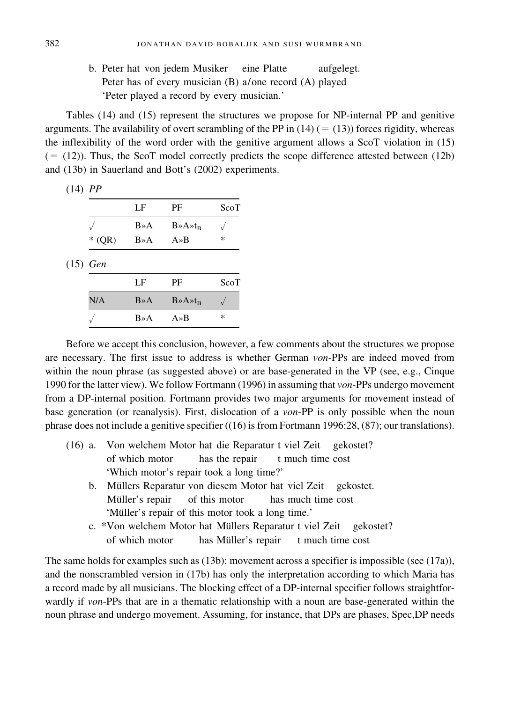b. Peter hat von jedem Musiker eine Platte aufgelegt. Peter has of every musician (B) a/one record (A) played 'Peter played a record by every musician.'

Tables (14) and (15) represent the structures we propose for NP-internal PP and genitive arguments. The availability of overt scrambling of the PP in  $(14)$  ( =  $(13)$ ) forces rigidity, whereas the inflexibility of the word order with the genitive argument allows a ScoT violation in (15)  $( = (12))$ . Thus, the ScoT model correctly predicts the scope difference attested between  $(12b)$ and (13b) in Sauerland and Bott's (2002) experiments.

|--|--|--|--|

|                | LF                | РF                                | ScoT   |
|----------------|-------------------|-----------------------------------|--------|
|                | $B \rightarrow A$ | $B \rightarrow A \rightarrow t_B$ |        |
| $\ast$<br>(QR) | $B \times A$      | $A \gg B$                         | ∗      |
| $(15)$ Gen     |                   |                                   |        |
|                | LF                | PF                                | ScoT   |
| N/A            | $B \times A$      | $B \rightarrow A \rightarrow t_R$ |        |
|                | $B \times A$      | $A \gg B$                         | $\ast$ |
|                |                   |                                   |        |

Before we accept this conclusion, however, a few comments about the structures we propose are necessary. The first issue to address is whether German *von*-PPs are indeed moved from within the noun phrase (as suggested above) or are base-generated in the VP (see, e.g., Cinque 1990 for the latter view). We follow Fortmann (1996) in assuming that *von*-PPs undergo movement from a DP-internal position. Fortmann provides two major arguments for movement instead of base generation (or reanalysis). First, dislocation of a *von*-PP is only possible when the noun phrase does not include a genitive specifier ((16) is from Fortmann 1996:28, (87); our translations).

- (16) a. Von welchem Motor hat die Reparatur t viel Zeit gekostet? of which motor has the repair t much time cost 'Which motor's repair took a long time?'
	- b. Müllers Reparatur von diesem Motor hat viel Zeit gekostet. Müller's repair of this motor has much time cost 'Müller's repair of this motor took a long time.'
	- c. \*Von welchem Motor hat Müllers Reparatur t viel Zeit gekostet? of which motor has Müller's repair t much time cost

The same holds for examples such as (13b): movement across a specifier is impossible (see (17a)), and the nonscrambled version in (17b) has only the interpretation according to which Maria has a record made by all musicians. The blocking effect of a DP-internal specifier follows straightforwardly if *von*-PPs that are in a thematic relationship with a noun are base-generated within the noun phrase and undergo movement. Assuming, for instance, that DPs are phases, Spec,DP needs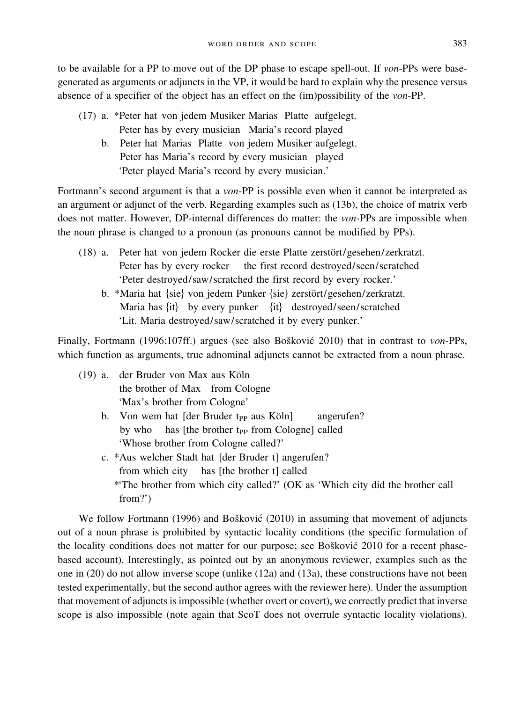to be available for a PP to move out of the DP phase to escape spell-out. If *von*-PPs were basegenerated as arguments or adjuncts in the VP, it would be hard to explain why the presence versus absence of a specifier of the object has an effect on the (im)possibility of the *von*-PP.

- (17) a. \*Peter hat von jedem Musiker Marias Platte aufgelegt. Peter has by every musician Maria's record played
	- b. Peter hat Marias Platte von jedem Musiker aufgelegt. Peter has Maria's record by every musician played 'Peter played Maria's record by every musician.'

Fortmann's second argument is that a *von*-PP is possible even when it cannot be interpreted as an argument or adjunct of the verb. Regarding examples such as (13b), the choice of matrix verb does not matter. However, DP-internal differences do matter: the *von*-PPs are impossible when the noun phrase is changed to a pronoun (as pronouns cannot be modified by PPs).

- (18) a. Peter hat von jedem Rocker die erste Platte zerstört/gesehen/zerkratzt. Peter has by every rocker the first record destroyed/seen/scratched 'Peter destroyed/saw/scratched the first record by every rocker.'
	- b. \*Maria hat {sie} von jedem Punker {sie} zerstört/gesehen/zerkratzt. Maria has {it} by every punker {it} destroyed/seen/scratched 'Lit. Maria destroyed/saw/scratched it by every punker.'

Finally, Fortmann (1996:107ff.) argues (see also Bošković 2010) that in contrast to *von*-PPs, which function as arguments, true adnominal adjuncts cannot be extracted from a noun phrase.

- $(19)$  a. der Bruder von Max aus Köln the brother of Max from Cologne 'Max's brother from Cologne'
	- b. Von wem hat [der Bruder t<sub>PP</sub> aus Köln] angerufen? by who has [the brother  $t_{PP}$  from Cologne] called 'Whose brother from Cologne called?'
	- c. \*Aus welcher Stadt hat [der Bruder t] angerufen? from which city has [the brother t] called \*'The brother from which city called?' (OK as 'Which city did the brother call from?')

We follow Fortmann (1996) and Bošković (2010) in assuming that movement of adjuncts out of a noun phrase is prohibited by syntactic locality conditions (the specific formulation of the locality conditions does not matter for our purpose; see Bošković 2010 for a recent phasebased account). Interestingly, as pointed out by an anonymous reviewer, examples such as the one in (20) do not allow inverse scope (unlike (12a) and (13a), these constructions have not been tested experimentally, but the second author agrees with the reviewer here). Under the assumption that movement of adjuncts is impossible (whether overt or covert), we correctly predict that inverse scope is also impossible (note again that ScoT does not overrule syntactic locality violations).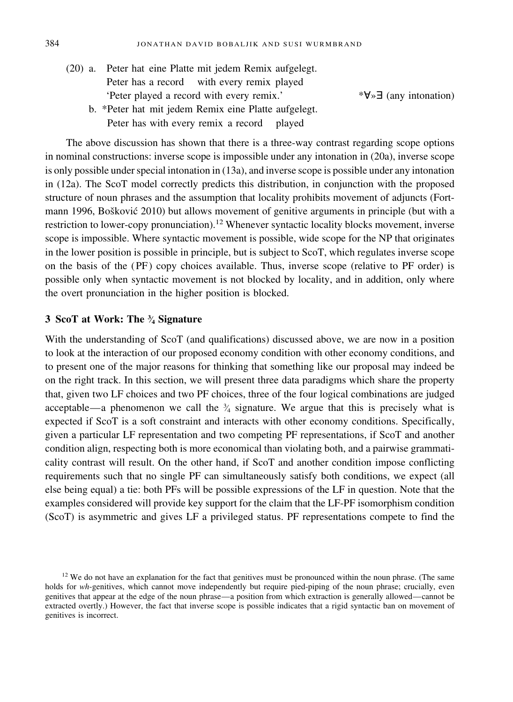(20) a. Peter hat eine Platte mit jedem Remix aufgelegt. Peter has a record with every remix played 'Peter played a record with every remix.'

 $*\forall x \in \mathcal{A}$  (any intonation)

b. \*Peter hat mit jedem Remix eine Platte aufgelegt. Peter has with every remix a record played

The above discussion has shown that there is a three-way contrast regarding scope options in nominal constructions: inverse scope is impossible under any intonation in (20a), inverse scope is only possible under special intonation in (13a), and inverse scope is possible under any intonation in (12a). The ScoT model correctly predicts this distribution, in conjunction with the proposed structure of noun phrases and the assumption that locality prohibits movement of adjuncts (Fortmann 1996, Bošković 2010) but allows movement of genitive arguments in principle (but with a restriction to lower-copy pronunciation).<sup>12</sup> Whenever syntactic locality blocks movement, inverse scope is impossible. Where syntactic movement is possible, wide scope for the NP that originates in the lower position is possible in principle, but is subject to ScoT, which regulates inverse scope on the basis of the (PF) copy choices available. Thus, inverse scope (relative to PF order) is possible only when syntactic movement is not blocked by locality, and in addition, only where the overt pronunciation in the higher position is blocked.

#### **3 ScoT at Work: The <sup>3</sup> <sup>4</sup> Signature ⁄**

With the understanding of ScoT (and qualifications) discussed above, we are now in a position to look at the interaction of our proposed economy condition with other economy conditions, and to present one of the major reasons for thinking that something like our proposal may indeed be on the right track. In this section, we will present three data paradigms which share the property that, given two LF choices and two PF choices, three of the four logical combinations are judged acceptable—a phenomenon we call the  $\frac{3}{4}$  signature. We argue that this is precisely what is ⁄ expected if ScoT is a soft constraint and interacts with other economy conditions. Specifically, given a particular LF representation and two competing PF representations, if ScoT and another condition align, respecting both is more economical than violating both, and a pairwise grammaticality contrast will result. On the other hand, if ScoT and another condition impose conflicting requirements such that no single PF can simultaneously satisfy both conditions, we expect (all else being equal) a tie: both PFs will be possible expressions of the LF in question. Note that the examples considered will provide key support for the claim that the LF-PF isomorphism condition (ScoT) is asymmetric and gives LF a privileged status. PF representations compete to find the

 $12$  We do not have an explanation for the fact that genitives must be pronounced within the noun phrase. (The same holds for *wh*-genitives, which cannot move independently but require pied-piping of the noun phrase; crucially, even genitives that appear at the edge of the noun phrase—a position from which extraction is generally allowed—cannot be extracted overtly.) However, the fact that inverse scope is possible indicates that a rigid syntactic ban on movement of genitives is incorrect.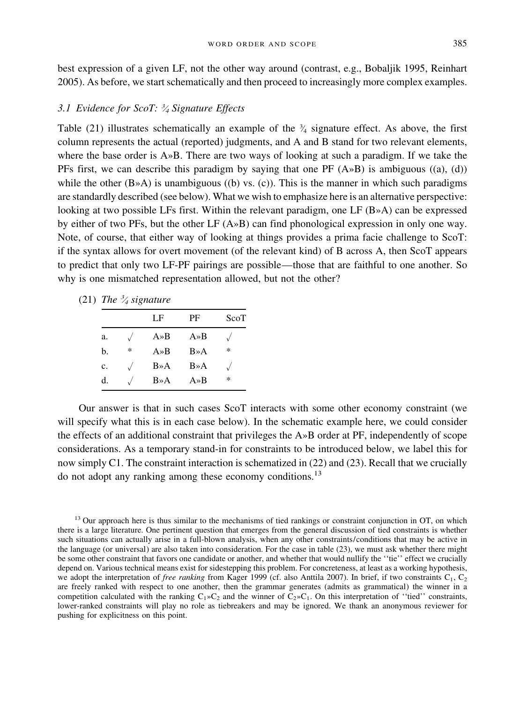best expression of a given LF, not the other way around (contrast, e.g., Bobaljik 1995, Reinhart 2005). As before, we start schematically and then proceed to increasingly more complex examples.

## *3.1 Evidence for ScoT:* <sup>3</sup> <sup>⁄</sup><sup>4</sup> *Signature Effects*

Table (21) illustrates schematically an example of the  $\frac{3}{4}$  signature effect. As above, the first ⁄ column represents the actual (reported) judgments, and A and B stand for two relevant elements, where the base order is A»B. There are two ways of looking at such a paradigm. If we take the PFs first, we can describe this paradigm by saying that one PF  $(A \triangleright B)$  is ambiguous  $((a), (d))$ while the other  $(B \triangleright A)$  is unambiguous  $((b)$  vs.  $(c)$ ). This is the manner in which such paradigms are standardly described (see below). What we wish to emphasize here is an alternative perspective: looking at two possible LFs first. Within the relevant paradigm, one LF (B»A) can be expressed by either of two PFs, but the other LF  $(A \triangleright B)$  can find phonological expression in only one way. Note, of course, that either way of looking at things provides a prima facie challenge to ScoT: if the syntax allows for overt movement (of the relevant kind) of B across A, then ScoT appears to predict that only two LF-PF pairings are possible—those that are faithful to one another. So why is one mismatched representation allowed, but not the other?

## (21) *The* <sup>3</sup> <sup>⁄</sup><sup>4</sup> *signature*

|    |        | LF           | РF           | ScoT |
|----|--------|--------------|--------------|------|
| a. |        | $A \gg B$    | $A \gg B$    |      |
| b. | $\ast$ | $A \gg B$    | $B \times A$ | ∗    |
| c. |        | $B \times A$ | $B \times A$ |      |
| d. |        | $B \times A$ | $A \times B$ | ∗    |

Our answer is that in such cases ScoT interacts with some other economy constraint (we will specify what this is in each case below). In the schematic example here, we could consider the effects of an additional constraint that privileges the A»B order at PF, independently of scope considerations. As a temporary stand-in for constraints to be introduced below, we label this for now simply C1. The constraint interaction is schematized in (22) and (23). Recall that we crucially do not adopt any ranking among these economy conditions.<sup>13</sup>

<sup>&</sup>lt;sup>13</sup> Our approach here is thus similar to the mechanisms of tied rankings or constraint conjunction in OT, on which there is a large literature. One pertinent question that emerges from the general discussion of tied constraints is whether such situations can actually arise in a full-blown analysis, when any other constraints/conditions that may be active in the language (or universal) are also taken into consideration. For the case in table (23), we must ask whether there might be some other constraint that favors one candidate or another, and whether that would nullify the ''tie'' effect we crucially depend on. Various technical means exist for sidestepping this problem. For concreteness, at least as a working hypothesis, we adopt the interpretation of *free ranking* from Kager 1999 (cf. also Anttila 2007). In brief, if two constraints  $C_1$ ,  $C_2$ are freely ranked with respect to one another, then the grammar generates (admits as grammatical) the winner in a competition calculated with the ranking  $C_1 \times C_2$  and the winner of  $C_2 \times C_1$ . On this interpretation of "tied" constraints, lower-ranked constraints will play no role as tiebreakers and may be ignored. We thank an anonymous reviewer for pushing for explicitness on this point.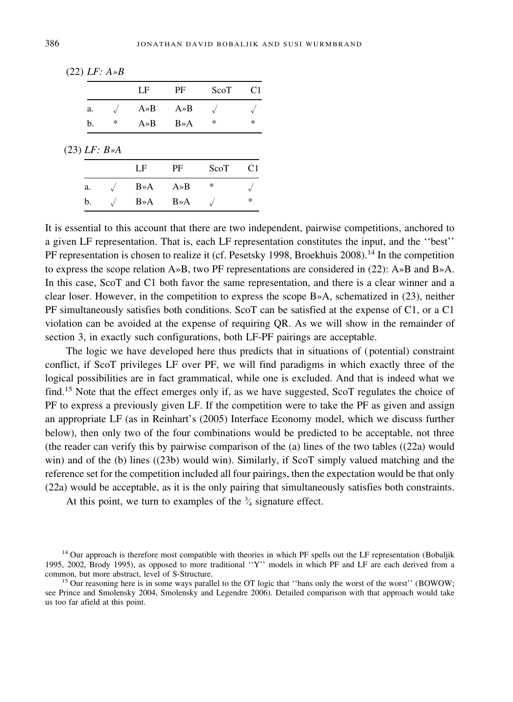|  |  |  | $(22)$ LF: $A \rightarrow B$ |
|--|--|--|------------------------------|
|--|--|--|------------------------------|

|                           |   | LF                | PF                | ScoT | C <sub>1</sub> |
|---------------------------|---|-------------------|-------------------|------|----------------|
| a.                        |   | $A \rightarrow B$ | $A \rightarrow B$ |      |                |
| b.                        | ∗ | $A \rightarrow B$ | $B \rightarrow A$ | ∗    | *              |
| $(23)$ LF: $B\mathscr{A}$ |   |                   |                   |      |                |
|                           |   | LF                | РF                | ScoT |                |

|    | LΕ  | РF                | ScoT | CI |
|----|-----|-------------------|------|----|
| a. | B»A | $A \rightarrow B$ | ∗    |    |
| b. | B»A | $B \rightarrow A$ |      | ∗  |

It is essential to this account that there are two independent, pairwise competitions, anchored to a given LF representation. That is, each LF representation constitutes the input, and the ''best'' PF representation is chosen to realize it (cf. Pesetsky 1998, Broekhuis 2008).<sup>14</sup> In the competition to express the scope relation A»B, two PF representations are considered in (22): A»B and B»A. In this case, ScoT and C1 both favor the same representation, and there is a clear winner and a clear loser. However, in the competition to express the scope B»A, schematized in (23), neither PF simultaneously satisfies both conditions. ScoT can be satisfied at the expense of C1, or a C1 violation can be avoided at the expense of requiring QR. As we will show in the remainder of section 3, in exactly such configurations, both LF-PF pairings are acceptable.

The logic we have developed here thus predicts that in situations of (potential) constraint conflict, if ScoT privileges LF over PF, we will find paradigms in which exactly three of the logical possibilities are in fact grammatical, while one is excluded. And that is indeed what we find.<sup>15</sup> Note that the effect emerges only if, as we have suggested, ScoT regulates the choice of PF to express a previously given LF. If the competition were to take the PF as given and assign an appropriate LF (as in Reinhart's (2005) Interface Economy model, which we discuss further below), then only two of the four combinations would be predicted to be acceptable, not three (the reader can verify this by pairwise comparison of the (a) lines of the two tables ((22a) would win) and of the (b) lines ((23b) would win). Similarly, if ScoT simply valued matching and the reference set for the competition included all four pairings, then the expectation would be that only (22a) would be acceptable, as it is the only pairing that simultaneously satisfies both constraints.

At this point, we turn to examples of the  $\frac{3}{4}$  signature effect. ⁄

<sup>&</sup>lt;sup>14</sup> Our approach is therefore most compatible with theories in which PF spells out the LF representation (Bobaljik 1995, 2002, Brody 1995), as opposed to more traditional ''Y'' models in which PF and LF are each derived from a

 $^{15}$  Our reasoning here is in some ways parallel to the OT logic that "bans only the worst of the worst" (BOWOW; see Prince and Smolensky 2004, Smolensky and Legendre 2006). Detailed comparison with that approach would take us too far afield at this point.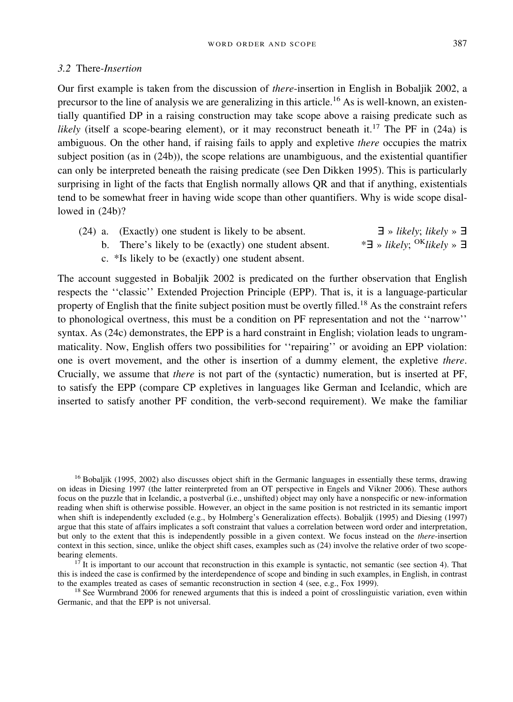## *3.2* There*-Insertion*

Our first example is taken from the discussion of *there*-insertion in English in Bobaljik 2002, a precursor to the line of analysis we are generalizing in this article.<sup>16</sup> As is well-known, an existentially quantified DP in a raising construction may take scope above a raising predicate such as *likely* (itself a scope-bearing element), or it may reconstruct beneath it.<sup>17</sup> The PF in  $(24a)$  is ambiguous. On the other hand, if raising fails to apply and expletive *there* occupies the matrix subject position (as in (24b)), the scope relations are unambiguous, and the existential quantifier can only be interpreted beneath the raising predicate (see Den Dikken 1995). This is particularly surprising in light of the facts that English normally allows QR and that if anything, existentials tend to be somewhat freer in having wide scope than other quantifiers. Why is wide scope disallowed in (24b)?

(24) a. (Exactly) one student is likely to be absent. 
$$
\exists y \text{ likely, likely } y \exists
$$

b. There's likely to be (exactly) one student absent. 
$$
* \exists \times likely; \, ^{\text{OK}} \, likely \times \exists
$$

c. \*Is likely to be (exactly) one student absent.

The account suggested in Bobaljik 2002 is predicated on the further observation that English respects the ''classic'' Extended Projection Principle (EPP). That is, it is a language-particular property of English that the finite subject position must be overtly filled.18 As the constraint refers to phonological overtness, this must be a condition on PF representation and not the ''narrow'' syntax. As (24c) demonstrates, the EPP is a hard constraint in English; violation leads to ungrammaticality. Now, English offers two possibilities for ''repairing'' or avoiding an EPP violation: one is overt movement, and the other is insertion of a dummy element, the expletive *there*. Crucially, we assume that *there* is not part of the (syntactic) numeration, but is inserted at PF, to satisfy the EPP (compare CP expletives in languages like German and Icelandic, which are inserted to satisfy another PF condition, the verb-second requirement). We make the familiar

<sup>16</sup> Bobaljik (1995, 2002) also discusses object shift in the Germanic languages in essentially these terms, drawing on ideas in Diesing 1997 (the latter reinterpreted from an OT perspective in Engels and Vikner 2006). These authors focus on the puzzle that in Icelandic, a postverbal (i.e., unshifted) object may only have a nonspecific or new-information reading when shift is otherwise possible. However, an object in the same position is not restricted in its semantic import when shift is independently excluded (e.g., by Holmberg's Generalization effects). Bobaljik (1995) and Diesing (1997) argue that this state of affairs implicates a soft constraint that values a correlation between word order and interpretation, but only to the extent that this is independently possible in a given context. We focus instead on the *there*-insertion context in this section, since, unlike the object shift cases, examples such as (24) involve the relative order of two scope-<br>bearing elements.

It is important to our account that reconstruction in this example is syntactic, not semantic (see section 4). That this is indeed the case is confirmed by the interdependence of scope and binding in such examples, in English, in contrast to the examples treated as cases of semantic reconstruction in section 4 (see, e.g., Fox 1999).

<sup>18</sup> See Wurmbrand 2006 for renewed arguments that this is indeed a point of crosslinguistic variation, even within Germanic, and that the EPP is not universal.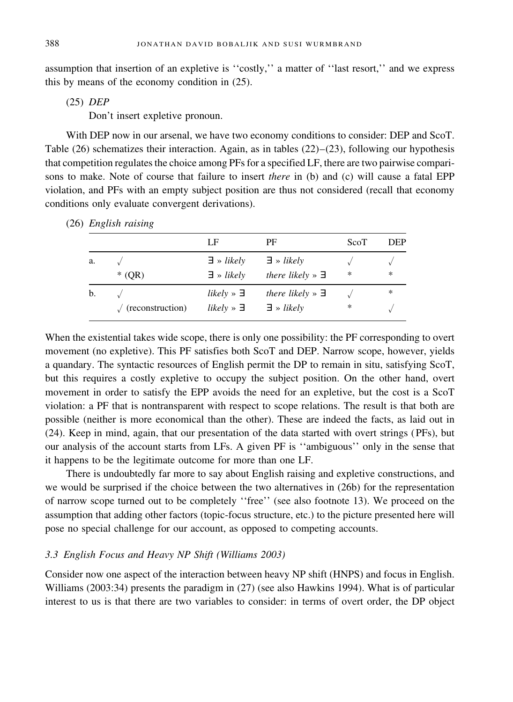assumption that insertion of an expletive is ''costly,'' a matter of ''last resort,'' and we express this by means of the economy condition in (25).

(25) *DEP*

Don't insert expletive pronoun.

With DEP now in our arsenal, we have two economy conditions to consider: DEP and ScoT. Table  $(26)$  schematizes their interaction. Again, as in tables  $(22)$ – $(23)$ , following our hypothesis that competition regulates the choice among PFs for a specified LF, there are two pairwise comparisons to make. Note of course that failure to insert *there* in (b) and (c) will cause a fatal EPP violation, and PFs with an empty subject position are thus not considered (recall that economy conditions only evaluate convergent derivations).

(26) *English raising* LF PF ScoT DEP a.  $\sqrt{ }$  3  $\exists$  » *likely*  » *likely* \* (QR)  $\qquad \qquad \exists \rightarrow likely$ *there likely*  $\rightarrow$   $\exists$  \* \* b. *likely* » *there likely*  $\rightarrow$   $\exists$ \* √ E  $\sqrt{(reconstruction)}$  *likely*  $\rightarrow \exists$  $\exists$  » *likely* \*  $\qquad \qquad \downarrow$ 

When the existential takes wide scope, there is only one possibility: the PF corresponding to overt movement (no expletive). This PF satisfies both ScoT and DEP. Narrow scope, however, yields a quandary. The syntactic resources of English permit the DP to remain in situ, satisfying ScoT, but this requires a costly expletive to occupy the subject position. On the other hand, overt movement in order to satisfy the EPP avoids the need for an expletive, but the cost is a ScoT violation: a PF that is nontransparent with respect to scope relations. The result is that both are possible (neither is more economical than the other). These are indeed the facts, as laid out in (24). Keep in mind, again, that our presentation of the data started with overt strings (PFs), but our analysis of the account starts from LFs. A given PF is ''ambiguous'' only in the sense that it happens to be the legitimate outcome for more than one LF.

There is undoubtedly far more to say about English raising and expletive constructions, and we would be surprised if the choice between the two alternatives in (26b) for the representation of narrow scope turned out to be completely ''free'' (see also footnote 13). We proceed on the assumption that adding other factors (topic-focus structure, etc.) to the picture presented here will pose no special challenge for our account, as opposed to competing accounts.

### *3.3 English Focus and Heavy NP Shift (Williams 2003)*

Consider now one aspect of the interaction between heavy NP shift (HNPS) and focus in English. Williams (2003:34) presents the paradigm in (27) (see also Hawkins 1994). What is of particular interest to us is that there are two variables to consider: in terms of overt order, the DP object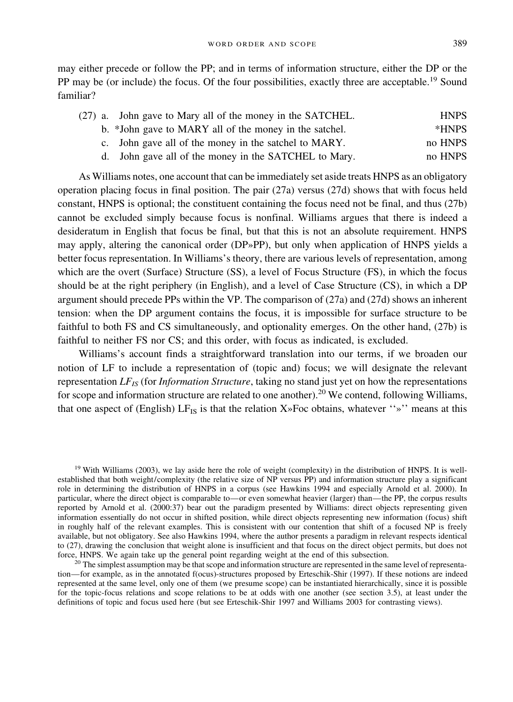may either precede or follow the PP; and in terms of information structure, either the DP or the PP may be (or include) the focus. Of the four possibilities, exactly three are acceptable.<sup>19</sup> Sound familiar?

|  | (27) a. John gave to Mary all of the money in the SATCHEL.                                                                                                                                                                                                                                                                         | <b>HNPS</b>    |
|--|------------------------------------------------------------------------------------------------------------------------------------------------------------------------------------------------------------------------------------------------------------------------------------------------------------------------------------|----------------|
|  | b. *John gave to MARY all of the money in the satchel.                                                                                                                                                                                                                                                                             | *HNPS          |
|  | c. John gave all of the money in the satchel to MARY.                                                                                                                                                                                                                                                                              | no HNPS        |
|  | $\mathbf{11}$ $\mathbf{0}$ $\mathbf{1}$ $\mathbf{1}$ $\mathbf{1}$ $\mathbf{1}$ $\mathbf{1}$ $\mathbf{1}$ $\mathbf{1}$ $\mathbf{1}$ $\mathbf{1}$ $\mathbf{1}$ $\mathbf{1}$ $\mathbf{1}$ $\mathbf{1}$ $\mathbf{1}$ $\mathbf{1}$ $\mathbf{1}$ $\mathbf{1}$ $\mathbf{1}$ $\mathbf{1}$ $\mathbf{1}$ $\mathbf{1}$ $\mathbf{1}$ $\mathbf$ | <b>TTI TRA</b> |

d. John gave all of the money in the SATCHEL to Mary. no HNPS

As Williams notes, one account that can be immediately set aside treats HNPS as an obligatory operation placing focus in final position. The pair (27a) versus (27d) shows that with focus held constant, HNPS is optional; the constituent containing the focus need not be final, and thus (27b) cannot be excluded simply because focus is nonfinal. Williams argues that there is indeed a desideratum in English that focus be final, but that this is not an absolute requirement. HNPS may apply, altering the canonical order (DP»PP), but only when application of HNPS yields a better focus representation. In Williams's theory, there are various levels of representation, among which are the overt (Surface) Structure (SS), a level of Focus Structure (FS), in which the focus should be at the right periphery (in English), and a level of Case Structure (CS), in which a DP argument should precede PPs within the VP. The comparison of (27a) and (27d) shows an inherent tension: when the DP argument contains the focus, it is impossible for surface structure to be faithful to both FS and CS simultaneously, and optionality emerges. On the other hand, (27b) is faithful to neither FS nor CS; and this order, with focus as indicated, is excluded.

Williams's account finds a straightforward translation into our terms, if we broaden our notion of LF to include a representation of (topic and) focus; we will designate the relevant representation *LFIS* (for *Information Structure*, taking no stand just yet on how the representations for scope and information structure are related to one another).<sup>20</sup> We contend, following Williams, that one aspect of (English)  $LF_{IS}$  is that the relation  $X \rightarrow Foc$  obtains, whatever " $\rightarrow$ "" means at this

<sup>&</sup>lt;sup>19</sup> With Williams (2003), we lay aside here the role of weight (complexity) in the distribution of HNPS. It is wellestablished that both weight/complexity (the relative size of NP versus PP) and information structure play a significant role in determining the distribution of HNPS in a corpus (see Hawkins 1994 and especially Arnold et al. 2000). In particular, where the direct object is comparable to—or even somewhat heavier (larger) than—the PP, the corpus results reported by Arnold et al. (2000:37) bear out the paradigm presented by Williams: direct objects representing given information essentially do not occur in shifted position, while direct objects representing new information (focus) shift in roughly half of the relevant examples. This is consistent with our contention that shift of a focused NP is freely available, but not obligatory. See also Hawkins 1994, where the author presents a paradigm in relevant respects identical to (27), drawing the conclusion that weight alone is insufficient and that focus on the direct object permits, but does not force, HNPS. We again take up the general point regarding weight at the end of this subsection.

The general point take up the general point  $\frac{1}{n}$  and  $\frac{1}{n}$  and  $\frac{1}{n}$  are  $\frac{1}{n}$  and  $\frac{1}{n}$  are  $\frac{1}{n}$  and  $\frac{1}{n}$  are  $\frac{1}{n}$  and  $\frac{1}{n}$  are represented in the same level of representation—for example, as in the annotated f(ocus)-structures proposed by Erteschik-Shir (1997). If these notions are indeed represented at the same level, only one of them (we presume scope) can be instantiated hierarchically, since it is possible for the topic-focus relations and scope relations to be at odds with one another (see section 3.5), at least under the definitions of topic and focus used here (but see Erteschik-Shir 1997 and Williams 2003 for contrasting views).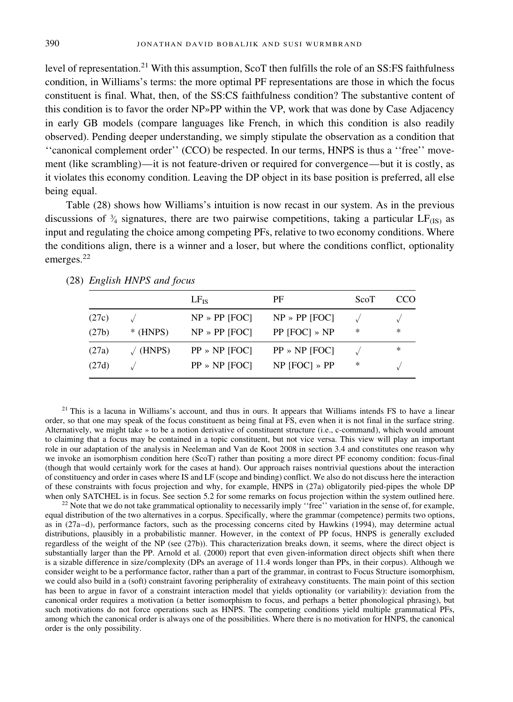level of representation.<sup>21</sup> With this assumption, ScoT then fulfills the role of an SS:FS faithfulness condition, in Williams's terms: the more optimal PF representations are those in which the focus constituent is final. What, then, of the SS:CS faithfulness condition? The substantive content of this condition is to favor the order NP»PP within the VP, work that was done by Case Adjacency in early GB models (compare languages like French, in which this condition is also readily observed). Pending deeper understanding, we simply stipulate the observation as a condition that ''canonical complement order'' (CCO) be respected. In our terms, HNPS is thus a ''free'' movement (like scrambling)—it is not feature-driven or required for convergence—but it is costly, as it violates this economy condition. Leaving the DP object in its base position is preferred, all else being equal.

Table (28) shows how Williams's intuition is now recast in our system. As in the previous discussions of  $\frac{3}{4}$  signatures, there are two pairwise competitions, taking a particular LF<sub>(IS)</sub> as ⁄ input and regulating the choice among competing PFs, relative to two economy conditions. Where the conditions align, there is a winner and a loser, but where the conditions conflict, optionality emerges.<sup>22</sup>

|       |                 | $LF_{IS}$         | PF                | ScoT | CCO |
|-------|-----------------|-------------------|-------------------|------|-----|
| (27c) |                 | $NP \gg PP$ [FOC] | $NP \gg PP$ [FOC] |      |     |
| (27b) | $*$ (HNPS)      | $NP \gg PP$ [FOC] | $PP$ [FOC] » NP   | ∗    | *   |
| (27a) | $\sqrt{(HNPS)}$ | $PP \gg NP$ [FOC] | $PP \gg NP$ [FOC] |      | ∗   |
| (27d) |                 | $PP \gg NP$ [FOC] | $NP$ [FOC] » PP   | ∗    |     |

|  | (28) English HNPS and focus |  |  |  |
|--|-----------------------------|--|--|--|
|--|-----------------------------|--|--|--|

<sup>21</sup> This is a lacuna in Williams's account, and thus in ours. It appears that Williams intends FS to have a linear order, so that one may speak of the focus constituent as being final at FS, even when it is not final in the surface string. Alternatively, we might take » to be a notion derivative of constituent structure (i.e., c-command), which would amount to claiming that a focus may be contained in a topic constituent, but not vice versa. This view will play an important role in our adaptation of the analysis in Neeleman and Van de Koot 2008 in section 3.4 and constitutes one reason why we invoke an isomorphism condition here (ScoT) rather than positing a more direct PF economy condition: focus-final (though that would certainly work for the cases at hand). Our approach raises nontrivial questions about the interaction of constituency and order in cases where IS and LF (scope and binding) conflict. We also do not discuss here the interaction of these constraints with focus projection and why, for example, HNPS in (27a) obligatorily pied-pipes the whole DP when only SATCHEL is in focus. See section 5.2 for some remarks on focus projection within the system outlined here.<br><sup>22</sup> Note that we do not take grammatical optionality to necessarily imply "free" variation in the sense

equal distribution of the two alternatives in a corpus. Specifically, where the grammar (competence) permits two options, as in (27a–d), performance factors, such as the processing concerns cited by Hawkins (1994), may determine actual distributions, plausibly in a probabilistic manner. However, in the context of PP focus, HNPS is generally excluded regardless of the weight of the NP (see (27b)). This characterization breaks down, it seems, where the direct object is substantially larger than the PP. Arnold et al. (2000) report that even given-information direct objects shift when there is a sizable difference in size/complexity (DPs an average of 11.4 words longer than PPs, in their corpus). Although we consider weight to be a performance factor, rather than a part of the grammar, in contrast to Focus Structure isomorphism, we could also build in a (soft) constraint favoring peripherality of extraheavy constituents. The main point of this section has been to argue in favor of a constraint interaction model that yields optionality (or variability): deviation from the canonical order requires a motivation (a better isomorphism to focus, and perhaps a better phonological phrasing), but such motivations do not force operations such as HNPS. The competing conditions yield multiple grammatical PFs, among which the canonical order is always one of the possibilities. Where there is no motivation for HNPS, the canonical order is the only possibility.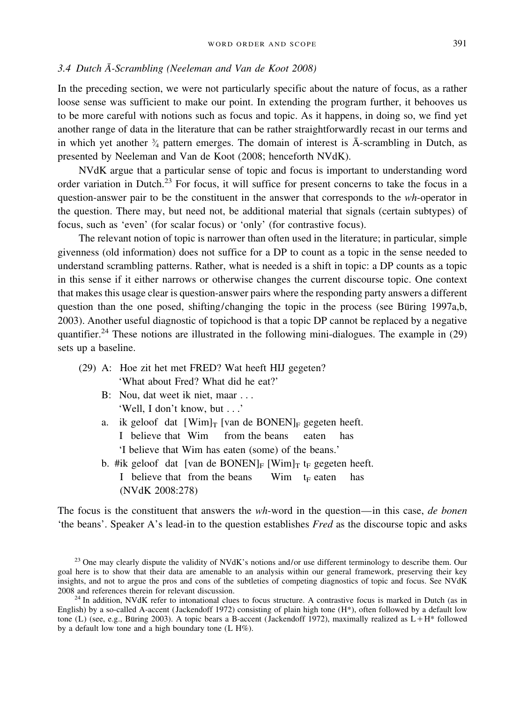## *3.4 Dutch A¯-Scrambling (Neeleman and Van de Koot 2008)*

In the preceding section, we were not particularly specific about the nature of focus, as a rather loose sense was sufficient to make our point. In extending the program further, it behooves us to be more careful with notions such as focus and topic. As it happens, in doing so, we find yet another range of data in the literature that can be rather straightforwardly recast in our terms and in which yet another  $\frac{3}{4}$  pattern emerges. The domain of interest is  $\bar{A}$ -scrambling in Dutch, as ⁄ presented by Neeleman and Van de Koot (2008; henceforth NVdK).

NVdK argue that a particular sense of topic and focus is important to understanding word order variation in Dutch.<sup>23</sup> For focus, it will suffice for present concerns to take the focus in a question-answer pair to be the constituent in the answer that corresponds to the *wh*-operator in the question. There may, but need not, be additional material that signals (certain subtypes) of focus, such as 'even' (for scalar focus) or 'only' (for contrastive focus).

The relevant notion of topic is narrower than often used in the literature; in particular, simple givenness (old information) does not suffice for a DP to count as a topic in the sense needed to understand scrambling patterns. Rather, what is needed is a shift in topic: a DP counts as a topic in this sense if it either narrows or otherwise changes the current discourse topic. One context that makes this usage clear is question-answer pairs where the responding party answers a different question than the one posed, shifting/changing the topic in the process (see Büring 1997a,b, 2003). Another useful diagnostic of topichood is that a topic DP cannot be replaced by a negative quantifier.<sup>24</sup> These notions are illustrated in the following mini-dialogues. The example in  $(29)$ sets up a baseline.

- (29) A: Hoe zit het met FRED? Wat heeft HIJ gegeten? 'What about Fred? What did he eat?'
	- B: Nou, dat weet ik niet, maar ... 'Well, I don't know, but . . .'
	- a. ik geloof dat  $[Wim]_T$  [van de BONEN]<sub>F</sub> gegeten heeft. I believe that Wim from the beans eaten has 'I believe that Wim has eaten (some) of the beans.'
	- b. #ik geloof dat [van de BONEN]<sub>F</sub> [Wim]<sub>T</sub> t<sub>F</sub> gegeten heeft. I believe that from the beans Wim  $t_F$  eaten has (NVdK 2008:278)

The focus is the constituent that answers the *wh*-word in the question—in this case, *de bonen* 'the beans'. Speaker A's lead-in to the question establishes *Fred* as the discourse topic and asks

<sup>&</sup>lt;sup>23</sup> One may clearly dispute the validity of NVdK's notions and/or use different terminology to describe them. Our goal here is to show that their data are amenable to an analysis within our general framework, preserving their key insights, and not to argue the pros and cons of the subtleties of competing diagnostics of topic and focus. See NVdK

 $24$  In addition, NVdK refer to intonational clues to focus structure. A contrastive focus is marked in Dutch (as in English) by a so-called A-accent (Jackendoff 1972) consisting of plain high tone (H\*), often followed by a default low tone (L) (see, e.g., Büring 2003). A topic bears a B-accent (Jackendoff 1972), maximally realized as  $L + H^*$  followed by a default low tone and a high boundary tone (L H%).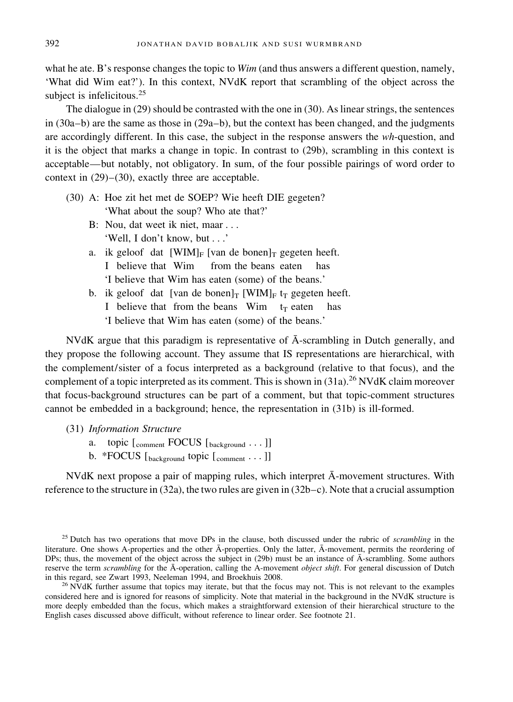what he ate. B's response changes the topic to *Wim* (and thus answers a different question, namely, 'What did Wim eat?'). In this context, NVdK report that scrambling of the object across the subject is infelicitous.<sup>25</sup>

The dialogue in (29) should be contrasted with the one in (30). As linear strings, the sentences in (30a–b) are the same as those in (29a–b), but the context has been changed, and the judgments are accordingly different. In this case, the subject in the response answers the *wh*-question, and it is the object that marks a change in topic. In contrast to (29b), scrambling in this context is acceptable—but notably, not obligatory. In sum, of the four possible pairings of word order to context in (29)–(30), exactly three are acceptable.

- (30) A: Hoe zit het met de SOEP? Wie heeft DIE gegeten? 'What about the soup? Who ate that?'
	- B: Nou, dat weet ik niet, maar... 'Well, I don't know, but . . .'
	- a. ik geloof dat  $[WM]_F$  [van de bonen]<sub>T</sub> gegeten heeft. I believe that Wim from the beans eaten has 'I believe that Wim has eaten (some) of the beans.'
	- b. ik geloof dat [van de bonen] $_T$  [WIM] $_F$  t<sub>T</sub> gegeten heeft. I believe that from the beans Wim  $t_T$  eaten has 'I believe that Wim has eaten (some) of the beans.'

NVdK argue that this paradigm is representative of  $\overline{A}$ -scrambling in Dutch generally, and they propose the following account. They assume that IS representations are hierarchical, with the complement/sister of a focus interpreted as a background (relative to that focus), and the complement of a topic interpreted as its comment. This is shown in (31a).<sup>26</sup> NVdK claim moreover that focus-background structures can be part of a comment, but that topic-comment structures cannot be embedded in a background; hence, the representation in (31b) is ill-formed.

- (31) *Information Structure*
	- a. topic  $\lbrack$  comment FOCUS  $\lbrack$  background  $\cdots$  ]]
	- b. \*FOCUS  $[$ <sub>background</sub> topic  $[$ <sub>comment</sub>  $\ldots]$ ]

 $NVdK$  next propose a pair of mapping rules, which interpret  $\bar{A}$ -movement structures. With reference to the structure in (32a), the two rules are given in (32b–c). Note that a crucial assumption

<sup>25</sup> Dutch has two operations that move DPs in the clause, both discussed under the rubric of *scrambling* in the literature. One shows A-properties and the other  $\bar{A}$ -properties. Only the latter,  $\bar{A}$ -movement, permits the reordering of DPs; thus, the movement of the object across the subject in  $(29b)$  must be an instance of  $\overline{A}$ -scrambling. Some authors reserve the term *scrambling* for the  $\bar{A}$ -operation, calling the A-movement *object shift*. For general discussion of Dutch in this regard, see Zwart 1993, Neeleman 1994, and Broekhuis 2008.<br><sup>26</sup> NVdK further assume that topics may iterate, but that the focus may not. This is not relevant to the examples

considered here and is ignored for reasons of simplicity. Note that material in the background in the NVdK structure is more deeply embedded than the focus, which makes a straightforward extension of their hierarchical structure to the English cases discussed above difficult, without reference to linear order. See footnote 21.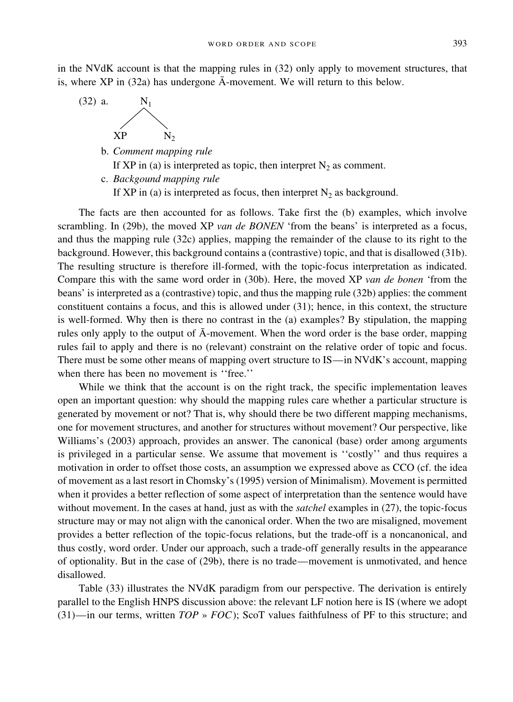in the NVdK account is that the mapping rules in (32) only apply to movement structures, that is, where  $XP$  in (32a) has undergone  $\bar{A}$ -movement. We will return to this below.



b. *Comment mapping rule* If XP in (a) is interpreted as topic, then interpret  $N_2$  as comment. *Backgound mapping rule*  c.

If XP in (a) is interpreted as focus, then interpret  $N_2$  as background.

The facts are then accounted for as follows. Take first the (b) examples, which involve scrambling. In (29b), the moved XP *van de BONEN* 'from the beans' is interpreted as a focus, and thus the mapping rule (32c) applies, mapping the remainder of the clause to its right to the background. However, this background contains a (contrastive) topic, and that is disallowed (31b). The resulting structure is therefore ill-formed, with the topic-focus interpretation as indicated. Compare this with the same word order in (30b). Here, the moved XP *van de bonen* 'from the beans' is interpreted as a (contrastive) topic, and thus the mapping rule (32b) applies: the comment constituent contains a focus, and this is allowed under (31); hence, in this context, the structure is well-formed. Why then is there no contrast in the (a) examples? By stipulation, the mapping rules only apply to the output of  $\bar{A}$ -movement. When the word order is the base order, mapping rules fail to apply and there is no (relevant) constraint on the relative order of topic and focus. There must be some other means of mapping overt structure to IS—in NVdK's account, mapping when there has been no movement is "free."

While we think that the account is on the right track, the specific implementation leaves open an important question: why should the mapping rules care whether a particular structure is generated by movement or not? That is, why should there be two different mapping mechanisms, one for movement structures, and another for structures without movement? Our perspective, like Williams's (2003) approach, provides an answer. The canonical (base) order among arguments is privileged in a particular sense. We assume that movement is ''costly'' and thus requires a motivation in order to offset those costs, an assumption we expressed above as CCO (cf. the idea of movement as a last resort in Chomsky's (1995) version of Minimalism). Movement is permitted when it provides a better reflection of some aspect of interpretation than the sentence would have without movement. In the cases at hand, just as with the *satchel* examples in (27), the topic-focus structure may or may not align with the canonical order. When the two are misaligned, movement provides a better reflection of the topic-focus relations, but the trade-off is a noncanonical, and thus costly, word order. Under our approach, such a trade-off generally results in the appearance of optionality. But in the case of (29b), there is no trade—movement is unmotivated, and hence disallowed.

Table (33) illustrates the NVdK paradigm from our perspective. The derivation is entirely parallel to the English HNPS discussion above: the relevant LF notion here is IS (where we adopt (31)—in our terms, written *TOP* » *FOC*); ScoT values faithfulness of PF to this structure; and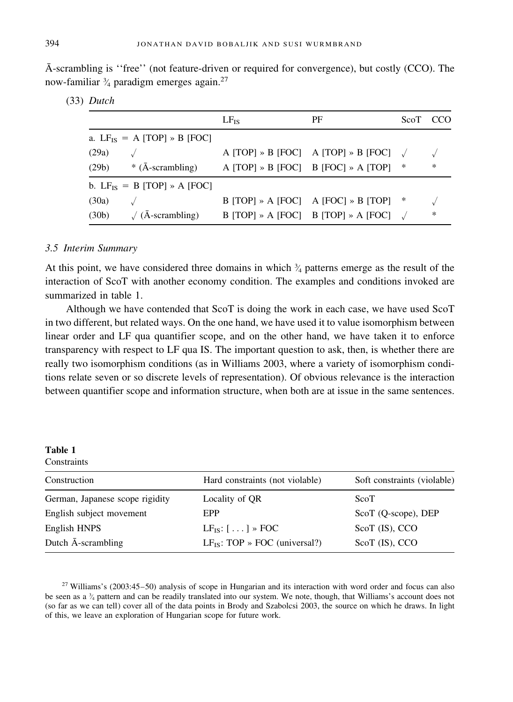A¯ -scrambling is ''free'' (not feature-driven or required for convergence), but costly (CCO). The now-familiar  $\frac{3}{4}$  paradigm emerges again.<sup>27</sup> ⁄

| (33) | <b>Dutch</b> |
|------|--------------|
|------|--------------|

|       |                                  | $LF_{IS}$                             | РF                                             | Scot CCO |   |
|-------|----------------------------------|---------------------------------------|------------------------------------------------|----------|---|
|       | a. $LF_{IS}$ = A [TOP] » B [FOC] |                                       |                                                |          |   |
| (29a) |                                  |                                       | A [TOP] » B [FOC] A [TOP] » B [FOC] $\sqrt{ }$ |          |   |
| (29b) | * (A-scrambling)                 | A [TOP] » B [FOC] B [FOC] » A [TOP]   |                                                | ∗        | * |
|       | b. $LF_{IS} = B$ [TOP] » A [FOC] |                                       |                                                |          |   |
| (30a) |                                  | $B$ [TOP] » A [FOC] A [FOC] » B [TOP] |                                                |          |   |
| (30b) | $\sqrt{(A\text{-scrambling})}$   |                                       | B [TOP] » A [FOC] B [TOP] » A [FOC] $\sqrt{ }$ |          | * |

### *3.5 Interim Summary*

At this point, we have considered three domains in which  $\frac{3}{4}$  patterns emerge as the result of the ⁄ interaction of ScoT with another economy condition. The examples and conditions invoked are summarized in table 1.

Although we have contended that ScoT is doing the work in each case, we have used ScoT in two different, but related ways. On the one hand, we have used it to value isomorphism between linear order and LF qua quantifier scope, and on the other hand, we have taken it to enforce transparency with respect to LF qua IS. The important question to ask, then, is whether there are really two isomorphism conditions (as in Williams 2003, where a variety of isomorphism conditions relate seven or so discrete levels of representation). Of obvious relevance is the interaction between quantifier scope and information structure, when both are at issue in the same sentences.

### **Table 1**

#### **Constraints**

| Construction                    | Hard constraints (not violable)    | Soft constraints (violable) |
|---------------------------------|------------------------------------|-----------------------------|
| German, Japanese scope rigidity | Locality of QR                     | ScoT                        |
| English subject movement        | EPP                                | ScoT (Q-scope), DEP         |
| English HNPS                    | $LF_{IS}: [\ldots] \times FOC$     | Scot (IS), CCO              |
| Dutch $\bar{A}$ -scrambling     | $LF_{IS}$ : TOP » FOC (universal?) | ScoT (IS), CCO              |

<sup>27</sup> Williams's (2003:45–50) analysis of scope in Hungarian and its interaction with word order and focus can also be seen as  $a \frac{3}{4}$  pattern and can be readily translated into our system. We note, though, that Williams's account does not ⁄ (so far as we can tell) cover all of the data points in Brody and Szabolcsi 2003, the source on which he draws. In light of this, we leave an exploration of Hungarian scope for future work.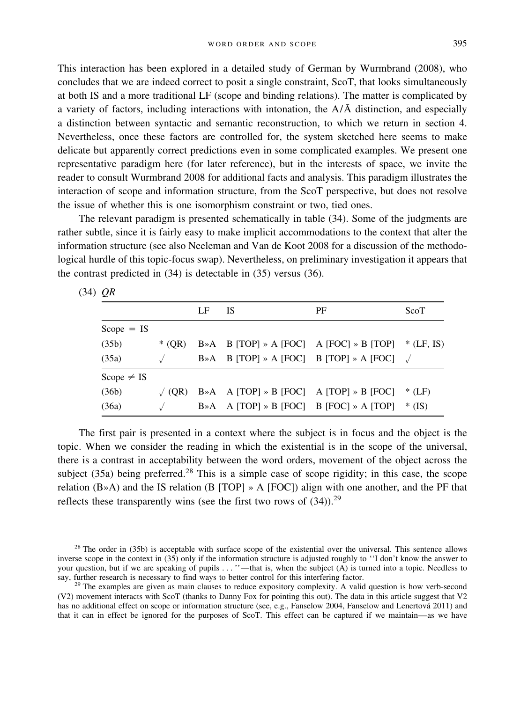This interaction has been explored in a detailed study of German by Wurmbrand (2008), who concludes that we are indeed correct to posit a single constraint, ScoT, that looks simultaneously at both IS and a more traditional LF (scope and binding relations). The matter is complicated by a variety of factors, including interactions with intonation, the  $A/\overline{A}$  distinction, and especially a distinction between syntactic and semantic reconstruction, to which we return in section 4. Nevertheless, once these factors are controlled for, the system sketched here seems to make delicate but apparently correct predictions even in some complicated examples. We present one representative paradigm here (for later reference), but in the interests of space, we invite the reader to consult Wurmbrand 2008 for additional facts and analysis. This paradigm illustrates the interaction of scope and information structure, from the ScoT perspective, but does not resolve the issue of whether this is one isomorphism constraint or two, tied ones.

The relevant paradigm is presented schematically in table (34). Some of the judgments are rather subtle, since it is fairly easy to make implicit accommodations to the context that alter the information structure (see also Neeleman and Van de Koot 2008 for a discussion of the methodological hurdle of this topic-focus swap). Nevertheless, on preliminary investigation it appears that the contrast predicted in (34) is detectable in (35) versus (36).

(34) *QR*

|                 |              |               | LF | - IS | PF                                                                                            | ScoT |
|-----------------|--------------|---------------|----|------|-----------------------------------------------------------------------------------------------|------|
|                 | $Scope = IS$ |               |    |      |                                                                                               |      |
|                 | (35b)        | $*(OR)$       |    |      | $B \rightarrow A$ B [TOP] $\rightarrow$ A [FOC] A [FOC] $\rightarrow$ B [TOP] $\ast$ (LF, IS) |      |
|                 | (35a)        |               |    |      | $B \rightarrow A$ B [TOP] $\rightarrow$ A [FOC] B [TOP] $\rightarrow$ A [FOC] $\sqrt{ }$      |      |
| Scope $\neq$ IS |              |               |    |      |                                                                                               |      |
|                 | (36b)        | $\sqrt{(OR)}$ |    |      | $B \rightarrow A$ A [TOP] $\rightarrow B$ [FOC] A [TOP] $\rightarrow B$ [FOC] $*$ (LF)        |      |
|                 | (36a)        |               |    |      | $B \rightarrow A$ A [TOP] $\rightarrow B$ [FOC] B [FOC] $\rightarrow A$ [TOP] $*$ (IS)        |      |

| The first pair is presented in a context where the subject is in focus and the object is the                    |
|-----------------------------------------------------------------------------------------------------------------|
| topic. When we consider the reading in which the existential is in the scope of the universal,                  |
| there is a contrast in acceptability between the word orders, movement of the object across the                 |
| subject $(35a)$ being preferred. <sup>28</sup> This is a simple case of scope rigidity; in this case, the scope |
| relation (B»A) and the IS relation (B [TOP] » A [FOC]) align with one another, and the PF that                  |
| reflects these transparently wins (see the first two rows of $(34)$ ). <sup>29</sup>                            |

<sup>&</sup>lt;sup>28</sup> The order in (35b) is acceptable with surface scope of the existential over the universal. This sentence allows inverse scope in the context in (35) only if the information structure is adjusted roughly to ''I don't know the answer to your question, but if we are speaking of pupils  $\dots$  "—that is, when the subject  $(A)$  is turned into a topic. Needless to say, further research is necessary to find ways to better control for this interfering factor.

 $29$  The examples are given as main clauses to reduce expository complexity. A valid question is how verb-second (V2) movement interacts with ScoT (thanks to Danny Fox for pointing this out). The data in this article suggest that V2 has no additional effect on scope or information structure (see, e.g., Fanselow 2004, Fanselow and Lenertová 2011) and that it can in effect be ignored for the purposes of ScoT. This effect can be captured if we maintain—as we have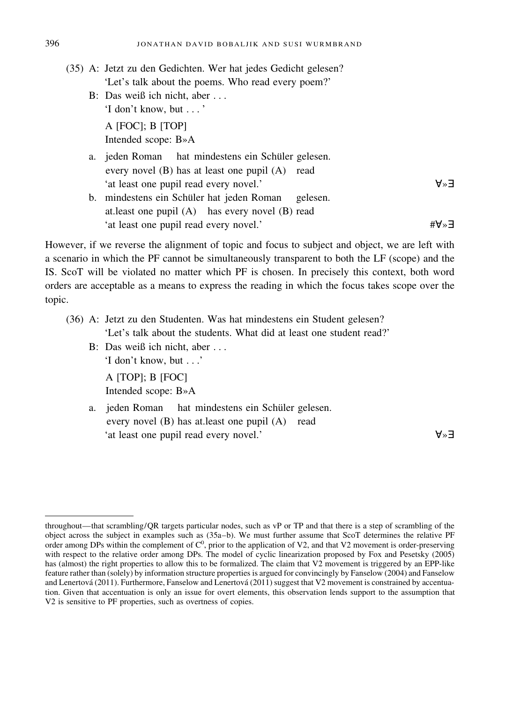- (35) A: Jetzt zu den Gedichten. Wer hat jedes Gedicht gelesen? 'Let's talk about the poems. Who read every poem?'
	- B: Das weiß ich nicht, aber ... 'I don't know, but ...' A [FOC]; B [TOP] Intended scope: B»A
	- a. jeden Roman hat mindestens ein Schüler gelesen. every novel (B) has at least one pupil (A) read 'at least one pupil read every novel.'  $\forall x \exists$ b. mindestens ein Schüler hat jeden Roman gelesen. at.least one pupil (A) has every novel (B) read 'at least one pupil read every novel.'  $\#\forall x \exists$
- However, if we reverse the alignment of topic and focus to subject and object, we are left with a scenario in which the PF cannot be simultaneously transparent to both the LF (scope) and the IS. ScoT will be violated no matter which PF is chosen. In precisely this context, both word orders are acceptable as a means to express the reading in which the focus takes scope over the topic.
	- (36) A: Jetzt zu den Studenten. Was hat mindestens ein Student gelesen?

'Let's talk about the students. What did at least one student read?'

B: Das weiß ich nicht, aber ... 'I don't know, but . . .'

A [TOP]; B [FOC]

Intended scope: B»A

a. jeden Roman hat mindestens ein Schüler gelesen. every novel (B) has at least one pupil (A) read 'at least one pupil read every novel.'  $\forall x \exists$ 

throughout—that scrambling/QR targets particular nodes, such as vP or TP and that there is a step of scrambling of the object across the subject in examples such as (35a–b). We must further assume that ScoT determines the relative PF order among DPs within the complement of  $C^0$ , prior to the application of V2, and that V2 movement is order-preserving with respect to the relative order among DPs. The model of cyclic linearization proposed by Fox and Pesetsky (2005) has (almost) the right properties to allow this to be formalized. The claim that V2 movement is triggered by an EPP-like feature rather than (solely) by information structure properties is argued for convincingly by Fanselow (2004) and Fanselow and Lenertová (2011). Furthermore, Fanselow and Lenertová (2011) suggest that V2 movement is constrained by accentuation. Given that accentuation is only an issue for overt elements, this observation lends support to the assumption that V2 is sensitive to PF properties, such as overtness of copies.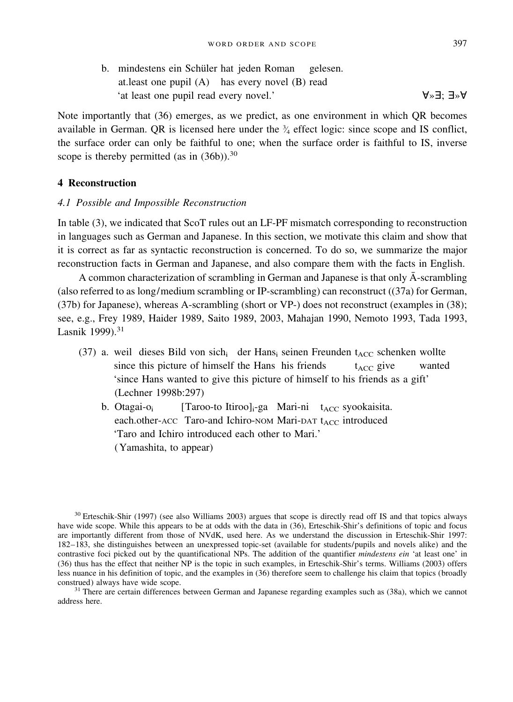b. mindestens ein Schüler hat jeden Roman gelesen. at.least one pupil (A) has every novel (B) read 'at least one pupil read every novel.' ;  $\exists * A$ 

Note importantly that (36) emerges, as we predict, as one environment in which QR becomes available in German. QR is licensed here under the  $\frac{3}{4}$  effect logic: since scope and IS conflict, ⁄ the surface order can only be faithful to one; when the surface order is faithful to IS, inverse scope is thereby permitted (as in  $(36b)$ ).<sup>30</sup>

## **4 Reconstruction**

## *4.1 Possible and Impossible Reconstruction*

In table (3), we indicated that ScoT rules out an LF-PF mismatch corresponding to reconstruction in languages such as German and Japanese. In this section, we motivate this claim and show that it is correct as far as syntactic reconstruction is concerned. To do so, we summarize the major reconstruction facts in German and Japanese, and also compare them with the facts in English.

A common characterization of scrambling in German and Japanese is that only  $\bar{A}$ -scrambling (also referred to as long/medium scrambling or IP-scrambling) can reconstruct ((37a) for German, (37b) for Japanese), whereas A-scrambling (short or VP-) does not reconstruct (examples in (38); see, e.g., Frey 1989, Haider 1989, Saito 1989, 2003, Mahajan 1990, Nemoto 1993, Tada 1993, Lasnik 1999). $31$ 

- (37) a. weil dieses Bild von sich<sub>i</sub> der Hans<sub>i</sub> seinen Freunden t<sub>ACC</sub> schenken wollte since this picture of himself the Hans his friends  $t_{\text{ACC}}$  give wanted 'since Hans wanted to give this picture of himself to his friends as a gift' (Lechner 1998b:297)
	- b. Otagai- $o_i$  [Taroo-to Itiroo]<sub>i</sub>-ga Mari-ni t<sub>ACC</sub> syookaisita. each.other- $ACC$  Taro-and Ichiro-NOM Mari-DAT  $t_{ACC}$  introduced 'Taro and Ichiro introduced each other to Mari.' (Yamashita, to appear)

<sup>30</sup> Erteschik-Shir (1997) (see also Williams 2003) argues that scope is directly read off IS and that topics always have wide scope. While this appears to be at odds with the data in (36), Erteschik-Shir's definitions of topic and focus are importantly different from those of NVdK, used here. As we understand the discussion in Erteschik-Shir 1997: 182–183, she distinguishes between an unexpressed topic-set (available for students/pupils and novels alike) and the contrastive foci picked out by the quantificational NPs. The addition of the quantifier *mindestens ein* 'at least one' in (36) thus has the effect that neither NP is the topic in such examples, in Erteschik-Shir's terms. Williams (2003) offers less nuance in his definition of topic, and the examples in (36) therefore seem to challenge his claim that topics (broadly construed) always have wide scope.<br><sup>31</sup> There are certain differences between German and Japanese regarding examples such as (38a), which we cannot

address here.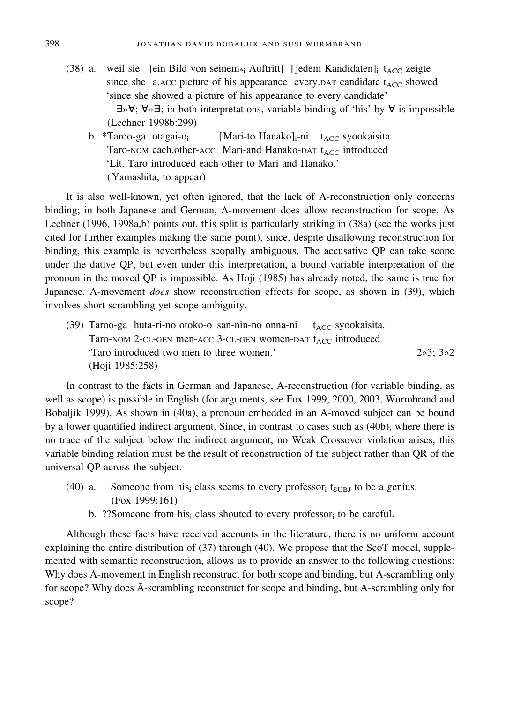- (38) a. weil sie [ein Bild von seinem<sub>\*i</sub> Auftritt] [jedem Kandidaten]<sub>i</sub> t<sub>ACC</sub> zeigte since she a.ACC picture of his appearance every.DAT candidate  $t_{\text{ACC}}$  showed 'since she showed a picture of his appearance to every candidate'  $\exists \mathbf{\Psi}; \forall \mathbf{\Psi} \exists$ ; in both interpretations, variable binding of 'his' by  $\forall$  is impossible (Lechner 1998b:299)
	- b. \*Taroo-ga otagai-o<sub>i</sub> [Mari-to Hanako]<sub>i</sub>-ni t<sub>ACC</sub> syookaisita. Taro-NOM each.other-ACC Mari-and Hanako-DAT  $t_{ACC}$  introduced 'Lit. Taro introduced each other to Mari and Hanako.' (Yamashita, to appear)

It is also well-known, yet often ignored, that the lack of A-reconstruction only concerns binding; in both Japanese and German, A-movement does allow reconstruction for scope. As Lechner (1996, 1998a,b) points out, this split is particularly striking in (38a) (see the works just cited for further examples making the same point), since, despite disallowing reconstruction for binding, this example is nevertheless scopally ambiguous. The accusative QP can take scope under the dative QP, but even under this interpretation, a bound variable interpretation of the pronoun in the moved QP is impossible. As Hoji (1985) has already noted, the same is true for Japanese. A-movement *does* show reconstruction effects for scope, as shown in (39), which involves short scrambling yet scope ambiguity.

(39) Taroo-ga huta-ri-no otoko-o san-nin-no onna-ni  $t_{ACC}$  syookaisita. Taro-NOM 2-CL-GEN men-ACC 3-CL-GEN women-DAT  $t_{ACC}$  introduced 'Taro introduced two men to three women.'  $2 \times 3$ ;  $3 \times 2$ (Hoji 1985:258)

In contrast to the facts in German and Japanese, A-reconstruction (for variable binding, as well as scope) is possible in English (for arguments, see Fox 1999, 2000, 2003, Wurmbrand and Bobaljik 1999). As shown in (40a), a pronoun embedded in an A-moved subject can be bound by a lower quantified indirect argument. Since, in contrast to cases such as (40b), where there is no trace of the subject below the indirect argument, no Weak Crossover violation arises, this variable binding relation must be the result of reconstruction of the subject rather than QR of the universal QP across the subject.

- (40) a. Someone from his<sub>i</sub> class seems to every professor<sub>i</sub> t<sub>SUBJ</sub> to be a genius. (Fox 1999:161)
	- b. ??Someone from his<sub>i</sub> class shouted to every professor<sub>i</sub> to be careful.

Although these facts have received accounts in the literature, there is no uniform account explaining the entire distribution of (37) through (40). We propose that the ScoT model, supplemented with semantic reconstruction, allows us to provide an answer to the following questions: Why does A-movement in English reconstruct for both scope and binding, but A-scrambling only for scope? Why does  $\bar{A}$ -scrambling reconstruct for scope and binding, but A-scrambling only for scope?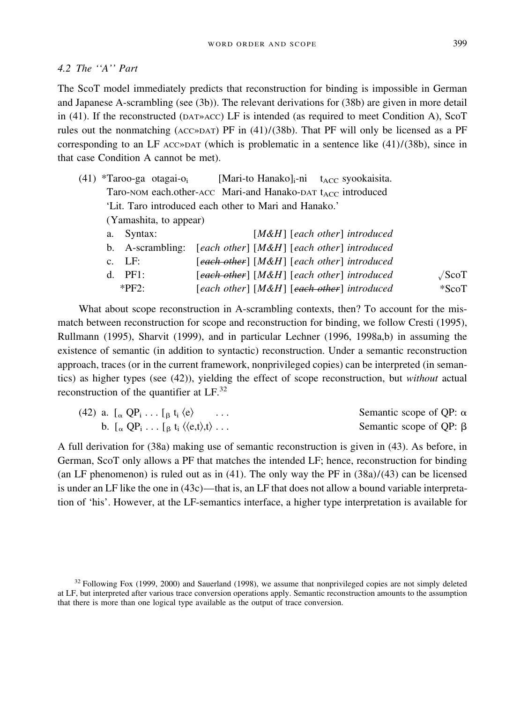## *4.2 The ''A'' Part*

The ScoT model immediately predicts that reconstruction for binding is impossible in German and Japanese A-scrambling (see (3b)). The relevant derivations for (38b) are given in more detail in (41). If the reconstructed (DAT»ACC) LF is intended (as required to meet Condition A), ScoT rules out the nonmatching ( $ACc \rightarrow DAT$ ) PF in (41)/(38b). That PF will only be licensed as a PF corresponding to an LF ACC»DAT (which is problematic in a sentence like (41)/(38b), since in that case Condition A cannot be met).

|                        | $(41)$ *Taroo-ga otagai-o <sub>i</sub> [Mari-to Hanako] <sub>i</sub> -ni t <sub>ACC</sub> syookaisita. |               |
|------------------------|--------------------------------------------------------------------------------------------------------|---------------|
|                        | Taro-NOM each.other-ACC Mari-and Hanako-DAT $t_{ACC}$ introduced                                       |               |
|                        | 'Lit. Taro introduced each other to Mari and Hanako.'                                                  |               |
| (Yamashita, to appear) |                                                                                                        |               |
| Syntax:<br>a.          | $[M\&H]$ [each other] introduced                                                                       |               |
| b. A-scrambling:       | [each other] [M&H] [each other] introduced                                                             |               |
| c. $LF:$               | [each other] [M&H] [each other] introduced                                                             |               |
| $d.$ PF1:              | [each other] [M&H] [each other] introduced                                                             | $\sqrt{ScoT}$ |
| $*$ PF2:               | [each other] [M&H] [each other] introduced                                                             | $*$ ScoT      |

What about scope reconstruction in A-scrambling contexts, then? To account for the mismatch between reconstruction for scope and reconstruction for binding, we follow Cresti (1995), Rullmann (1995), Sharvit (1999), and in particular Lechner (1996, 1998a,b) in assuming the existence of semantic (in addition to syntactic) reconstruction. Under a semantic reconstruction approach, traces (or in the current framework, nonprivileged copies) can be interpreted (in semantics) as higher types (see (42)), yielding the effect of scope reconstruction, but *without* actual reconstruction of the quantifier at LF.32

|  | (42) a. $\left[ \begin{smallmatrix} \alpha & \alpha \end{smallmatrix} \right]$ $QP_i \ldots \left[ \begin{smallmatrix} \beta & t_i \end{smallmatrix} \right]$ $\langle e \rangle$                            | Semantic scope of QP: $\alpha$ |  |
|--|--------------------------------------------------------------------------------------------------------------------------------------------------------------------------------------------------------------|--------------------------------|--|
|  | b. $\left[ \begin{array}{c} \alpha & QP_1 \ldots \end{array} \right]$ $\left\{ \begin{array}{c} t_i \\ \beta \end{array} \right\}$ $\left\langle \begin{array}{c} e, t \end{array} \right\rangle$ , $\ldots$ | Semantic scope of QP: $\beta$  |  |

A full derivation for (38a) making use of semantic reconstruction is given in (43). As before, in German, ScoT only allows a PF that matches the intended LF; hence, reconstruction for binding (an LF phenomenon) is ruled out as in  $(41)$ . The only way the PF in  $(38a)/(43)$  can be licensed is under an LF like the one in (43c)—that is, an LF that does not allow a bound variable interpretation of 'his'. However, at the LF-semantics interface, a higher type interpretation is available for

 $32$  Following Fox (1999, 2000) and Sauerland (1998), we assume that nonprivileged copies are not simply deleted at LF, but interpreted after various trace conversion operations apply. Semantic reconstruction amounts to the assumption that there is more than one logical type available as the output of trace conversion.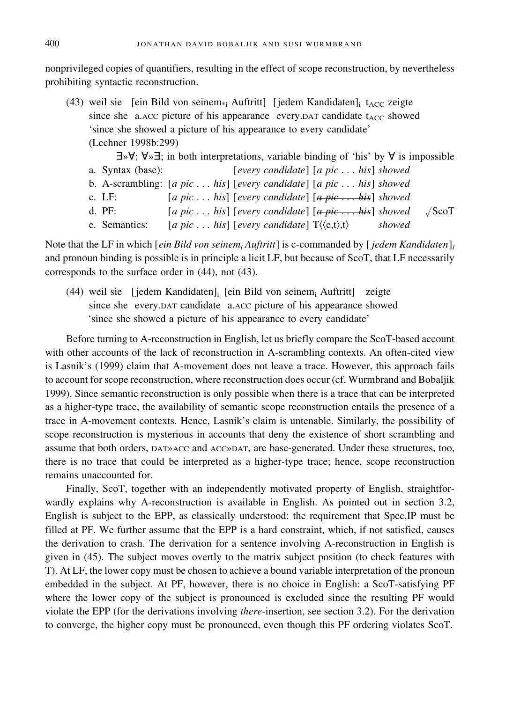nonprivileged copies of quantifiers, resulting in the effect of scope reconstruction, by nevertheless prohibiting syntactic reconstruction.

(43) weil sie [ein Bild von seinem $_{*i}$  Auftritt] [jedem Kandidaten] $_{i}$  t<sub>ACC</sub> zeigte since she a.ACC picture of his appearance every.DAT candidate  $t_{\text{ACC}}$  showed 'since she showed a picture of his appearance to every candidate' (Lechner 1998b:299)

 $\exists \mathbf{\Psi}; \forall \mathbf{\Psi} \exists$ ; in both interpretations, variable binding of 'his' by  $\forall$  is impossible a. Syntax (base): [*every candidate*] [*a pic . . . his*] *showed* b. A-scrambling: [*a pic . . . his*] [*every candidate*] [*a pic . . . his*] *showed* c. LF: [*a pic . . . his*] [*every candidate*] [*a pic . . . his*] *showed* d. PF: [*a pic . . . his*] [*every candidate*] [*a pic . . . his*] *showed*  $\sqrt{ScoT}$ 

e. Semantics:  $[a\; pic \dots \; his]$  [*every candidate*]  $T \langle \langle$ showed

Note that the LF in which [*ein Bild von seinemi Auftritt*] is c-commanded by [ *jedem Kandidaten*]*<sup>i</sup>* and pronoun binding is possible is in principle a licit LF, but because of ScoT, that LF necessarily corresponds to the surface order in (44), not (43).

(44) weil sie [jedem Kandidaten]i [ein Bild von seinemi Auftritt] zeigte since she every.DAT candidate a.ACC picture of his appearance showed 'since she showed a picture of his appearance to every candidate'

Before turning to A-reconstruction in English, let us briefly compare the ScoT-based account with other accounts of the lack of reconstruction in A-scrambling contexts. An often-cited view is Lasnik's (1999) claim that A-movement does not leave a trace. However, this approach fails to account for scope reconstruction, where reconstruction does occur (cf. Wurmbrand and Bobaljik 1999). Since semantic reconstruction is only possible when there is a trace that can be interpreted as a higher-type trace, the availability of semantic scope reconstruction entails the presence of a trace in A-movement contexts. Hence, Lasnik's claim is untenable. Similarly, the possibility of scope reconstruction is mysterious in accounts that deny the existence of short scrambling and assume that both orders, DAT»ACC and ACC»DAT, are base-generated. Under these structures, too, there is no trace that could be interpreted as a higher-type trace; hence, scope reconstruction remains unaccounted for.

Finally, ScoT, together with an independently motivated property of English, straightforwardly explains why A-reconstruction is available in English. As pointed out in section 3.2, English is subject to the EPP, as classically understood: the requirement that Spec,IP must be filled at PF. We further assume that the EPP is a hard constraint, which, if not satisfied, causes the derivation to crash. The derivation for a sentence involving A-reconstruction in English is given in (45). The subject moves overtly to the matrix subject position (to check features with T). At LF, the lower copy must be chosen to achieve a bound variable interpretation of the pronoun embedded in the subject. At PF, however, there is no choice in English: a ScoT-satisfying PF where the lower copy of the subject is pronounced is excluded since the resulting PF would violate the EPP (for the derivations involving *there*-insertion, see section 3.2). For the derivation to converge, the higher copy must be pronounced, even though this PF ordering violates ScoT.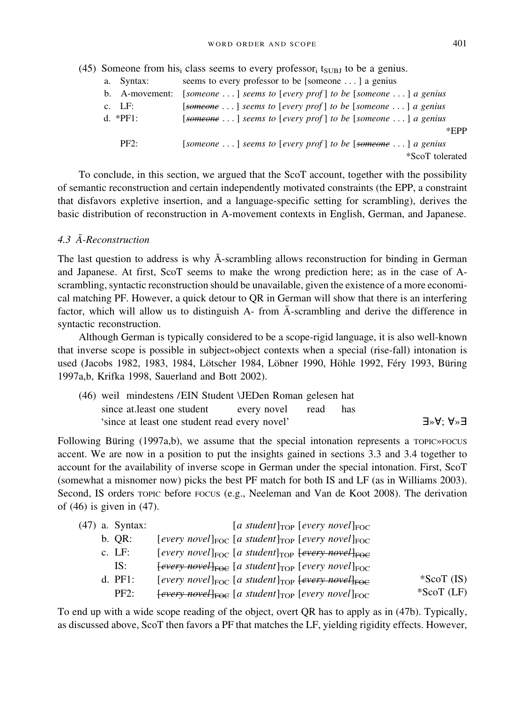(45) Someone from his<sub>i</sub> class seems to every professor<sub>i</sub> t<sub>SUBJ</sub> to be a genius.

| a. Syntax:     | seems to every professor to be [someone ] a genius                     |
|----------------|------------------------------------------------------------------------|
| b. A-movement: | [someone ] seems to [every prof] to be [someone ] a genius             |
| c. $LF:$       | $[some\ldots]$ seems to $[every\; prof]$ to be $[some\ldots]$ a genius |
| d. $*PF1$ :    | $[some\ldots]$ seems to $[every\, prof]$ to be $[some\ldots]$ a genius |
|                | $*FPP$                                                                 |
| PF2:           | [someone ] seems to [every prof] to be [someone ] a genius             |
|                | *ScoT tolerated                                                        |
|                |                                                                        |

To conclude, in this section, we argued that the ScoT account, together with the possibility of semantic reconstruction and certain independently motivated constraints (the EPP, a constraint that disfavors expletive insertion, and a language-specific setting for scrambling), derives the basic distribution of reconstruction in A-movement contexts in English, German, and Japanese.

## *4.3 A¯-Reconstruction*

The last question to address is why  $\bar{A}$ -scrambling allows reconstruction for binding in German and Japanese. At first, ScoT seems to make the wrong prediction here; as in the case of Ascrambling, syntactic reconstruction should be unavailable, given the existence of a more economical matching PF. However, a quick detour to QR in German will show that there is an interfering factor, which will allow us to distinguish A- from  $\bar{A}$ -scrambling and derive the difference in syntactic reconstruction.

Although German is typically considered to be a scope-rigid language, it is also well-known that inverse scope is possible in subject»object contexts when a special (rise-fall) intonation is used (Jacobs 1982, 1983, 1984, Lötscher 1984, Löbner 1990, Höhle 1992, Féry 1993, Büring 1997a,b, Krifka 1998, Sauerland and Bott 2002).

|  |                            | (46) weil mindestens / EIN Student \JEDen Roman gelesen hat |  |                                  |
|--|----------------------------|-------------------------------------------------------------|--|----------------------------------|
|  | since at least one student | every novel read has                                        |  |                                  |
|  |                            | 'since at least one student read every novel'               |  | $\exists^{\gg}A: A^{\gg}\exists$ |

Following Büring (1997a,b), we assume that the special intonation represents a  $TOPIC \rightarrow FOCI$ accent. We are now in a position to put the insights gained in sections 3.3 and 3.4 together to account for the availability of inverse scope in German under the special intonation. First, ScoT (somewhat a misnomer now) picks the best PF match for both IS and LF (as in Williams 2003). Second, IS orders TOPIC before FOCUS (e.g., Neeleman and Van de Koot 2008). The derivation of (46) is given in (47).

|  | (47) a. Syntax: | [a student] $_{\text{TOP}}$ [every novel] $_{\text{FOC}}$                            |               |
|--|-----------------|--------------------------------------------------------------------------------------|---------------|
|  | b. OR:          | [every novel] <sub>FOC</sub> [a student] <sub>TOP</sub> [every novel] <sub>FOC</sub> |               |
|  | c. $LF:$        | [every novel] <sub>FOC</sub> [a student] <sub>TOP</sub> [every novel] <sub>FOC</sub> |               |
|  | IS:             | $[every$ novel] $F^{\rm de}$ [a student] $T^{\rm op}$ [every novel] $F^{\rm oc}$     |               |
|  | $d.$ PF1:       | [every novel] <sub>FOC</sub> [a student] <sub>TOP</sub> [every novel] <sub>FOC</sub> | $*ScoT$ (IS)  |
|  | PF2:            | $[every$ novel] $F^{\rm de}$ [a student] $T^{\rm op}$ [every novel] $F^{\rm oc}$     | $*$ ScoT (LF) |

To end up with a wide scope reading of the object, overt QR has to apply as in (47b). Typically, as discussed above, ScoT then favors a PF that matches the LF, yielding rigidity effects. However,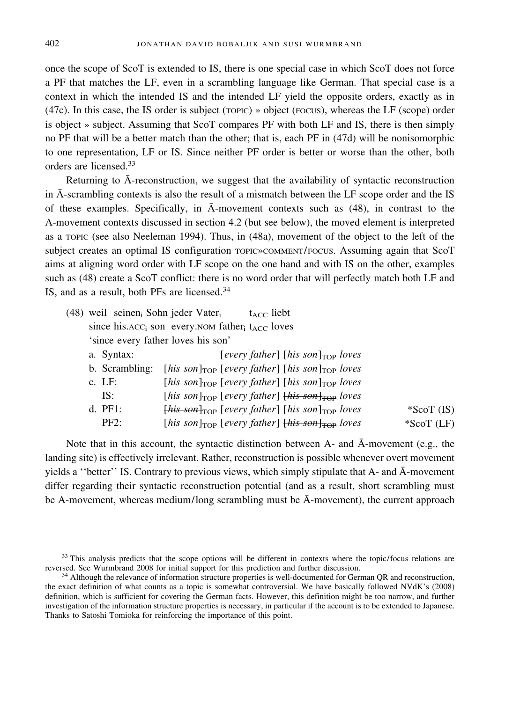once the scope of ScoT is extended to IS, there is one special case in which ScoT does not force a PF that matches the LF, even in a scrambling language like German. That special case is a context in which the intended IS and the intended LF yield the opposite orders, exactly as in (47c). In this case, the IS order is subject (TOPIC) » object (FOCUS), whereas the LF (scope) order is object » subject. Assuming that ScoT compares PF with both LF and IS, there is then simply no PF that will be a better match than the other; that is, each PF in (47d) will be nonisomorphic to one representation, LF or IS. Since neither PF order is better or worse than the other, both orders are licensed.33

Returning to  $\bar{A}$ -reconstruction, we suggest that the availability of syntactic reconstruction in  $\bar{A}$ -scrambling contexts is also the result of a mismatch between the LF scope order and the IS of these examples. Specifically, in  $\bar{A}$ -movement contexts such as (48), in contrast to the A-movement contexts discussed in section 4.2 (but see below), the moved element is interpreted as a TOPIC (see also Neeleman 1994). Thus, in (48a), movement of the object to the left of the subject creates an optimal IS configuration TOPIC»COMMENT/FOCUS. Assuming again that ScoT aims at aligning word order with LF scope on the one hand and with IS on the other, examples such as (48) create a ScoT conflict: there is no word order that will perfectly match both LF and IS, and as a result, both PFs are licensed.34

|                                    | (48) weil seinen, Sohn jeder Vater,                                                   | $t_{\text{ACC}}$ liebt                                                                                     |               |
|------------------------------------|---------------------------------------------------------------------------------------|------------------------------------------------------------------------------------------------------------|---------------|
|                                    | since his. ACC <sub>i</sub> son every. NOM father <sub>i</sub> t <sub>ACC</sub> loves |                                                                                                            |               |
| 'since every father loves his son' |                                                                                       |                                                                                                            |               |
| a. Syntax:                         |                                                                                       | [every father] [his son] $_{\text{TOP}}$ loves                                                             |               |
|                                    |                                                                                       | b. Scrambling: [his son] $_{\text{TOP}}$ [every father] [his son] $_{\text{TOP}}$ loves                    |               |
| c. $LF:$                           |                                                                                       | $\left\{\hat{h}$ as son $\left\{\hat{f}$ (every father) $\left[\hat{h}$ is son $\right]$ to $\infty$ loves |               |
| IS:                                |                                                                                       | [his son] <sub>TOP</sub> [every father] $\overline{h}$ [his son] <sub>TOP</sub> loves                      |               |
| $d.$ PF1:                          |                                                                                       | $\left\{\hat{h}$ as son $\left\{\hat{f}$ (every father) $\left[\hat{h}$ is son $\right]$ to $\infty$ loves | $*$ ScoT (IS) |
| PF2:                               |                                                                                       | [his son] <sub>TOP</sub> [every father] $\overline{h}$ [his son] <sub>TOP</sub> loves                      | $*ScoT(LF)$   |
|                                    |                                                                                       |                                                                                                            |               |

Note that in this account, the syntactic distinction between A- and  $\overline{A}$ -movement (e.g., the landing site) is effectively irrelevant. Rather, reconstruction is possible whenever overt movement yields a "better" IS. Contrary to previous views, which simply stipulate that  $A$ - and  $\bar{A}$ -movement differ regarding their syntactic reconstruction potential (and as a result, short scrambling must be A-movement, whereas medium/long scrambling must be  $\overline{A}$ -movement), the current approach

<sup>&</sup>lt;sup>33</sup> This analysis predicts that the scope options will be different in contexts where the topic/focus relations are reversed. See Wurmbrand 2008 for initial support for this prediction and further discussion.

<sup>&</sup>lt;sup>34</sup> Although the relevance of information structure properties is well-documented for German QR and reconstruction, the exact definition of what counts as a topic is somewhat controversial. We have basically followed NVdK's (2008) definition, which is sufficient for covering the German facts. However, this definition might be too narrow, and further investigation of the information structure properties is necessary, in particular if the account is to be extended to Japanese. Thanks to Satoshi Tomioka for reinforcing the importance of this point.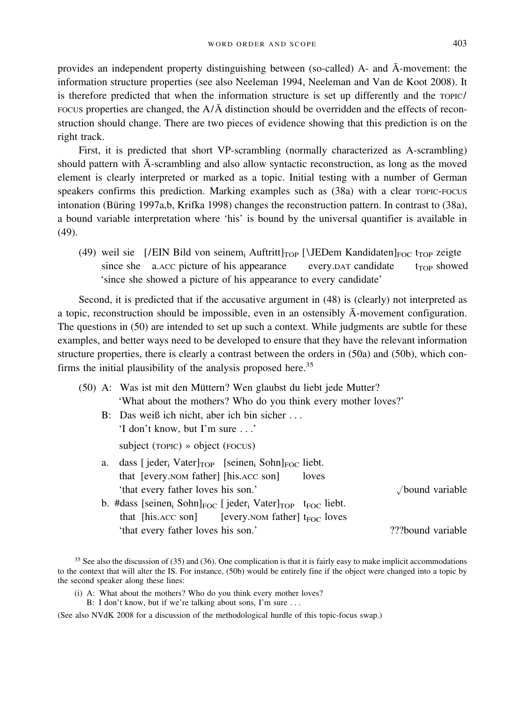provides an independent property distinguishing between (so-called) A- and  $\bar{A}$ -movement: the information structure properties (see also Neeleman 1994, Neeleman and Van de Koot 2008). It is therefore predicted that when the information structure is set up differently and the TOPIC/ FOCUS properties are changed, the  $A/\overline{A}$  distinction should be overridden and the effects of reconstruction should change. There are two pieces of evidence showing that this prediction is on the right track.

First, it is predicted that short VP-scrambling (normally characterized as A-scrambling) should pattern with  $\bar{A}$ -scrambling and also allow syntactic reconstruction, as long as the moved element is clearly interpreted or marked as a topic. Initial testing with a number of German speakers confirms this prediction. Marking examples such as  $(38a)$  with a clear TOPIC-FOCUS intonation (Büring 1997a,b, Krifka 1998) changes the reconstruction pattern. In contrast to (38a), a bound variable interpretation where 'his' is bound by the universal quantifier is available in (49).

(49) weil sie [/EIN Bild von seinem<sub>i</sub> Auftritt $\vert_{\text{TOP}}$  [\JEDem Kandidaten]<sub>FOC</sub> t<sub>rop</sub> zeigte since she a.ACC picture of his appearance every. $\Delta$ DAT candidate t<sub>rop</sub> showed 'since she showed a picture of his appearance to every candidate'

Second, it is predicted that if the accusative argument in (48) is (clearly) not interpreted as a topic, reconstruction should be impossible, even in an ostensibly  $\bar{A}$ -movement configuration. The questions in (50) are intended to set up such a context. While judgments are subtle for these examples, and better ways need to be developed to ensure that they have the relevant information structure properties, there is clearly a contrast between the orders in (50a) and (50b), which confirms the initial plausibility of the analysis proposed here.<sup>35</sup>

|  |    | (50) A: Was ist mit den Müttern? Wen glaubst du liebt jede Mutter?                                                   |                                |  |  |
|--|----|----------------------------------------------------------------------------------------------------------------------|--------------------------------|--|--|
|  |    | 'What about the mothers? Who do you think every mother loves?'                                                       |                                |  |  |
|  |    | B: Das weiß ich nicht, aber ich bin sicher                                                                           |                                |  |  |
|  |    | 'I don't know, but I'm sure '                                                                                        |                                |  |  |
|  |    | subject $(TOPIC) \gg$ object $(FOCUS)$                                                                               |                                |  |  |
|  | a. | dass [ jeder <sub>i</sub> Vater] <sub>TOP</sub> [seinen <sub>i</sub> Sohn] <sub>FOC</sub> liebt.                     |                                |  |  |
|  |    | that [every.nom father] [his.acc son]<br>loves                                                                       |                                |  |  |
|  |    | 'that every father loves his son.'                                                                                   | $\sqrt{\text{bound}}$ variable |  |  |
|  |    | b. #dass [seinen <sub>i</sub> Sohn] <sub>FOC</sub> [jeder <sub>i</sub> Vater] <sub>TOP</sub> t <sub>FOC</sub> liebt. |                                |  |  |
|  |    | that [his.acc son] [every.nom father] $t_{\text{FOC}}$ loves                                                         |                                |  |  |
|  |    | 'that every father loves his son.'                                                                                   | ???bound variable              |  |  |

 $35$  See also the discussion of (35) and (36). One complication is that it is fairly easy to make implicit accommodations to the context that will alter the IS. For instance, (50b) would be entirely fine if the object were changed into a topic by the second speaker along these lines:

(i) A: What about the mothers? Who do you think every mother loves?

B: I don't know, but if we're talking about sons, I'm sure ...

(See also NVdK 2008 for a discussion of the methodological hurdle of this topic-focus swap.)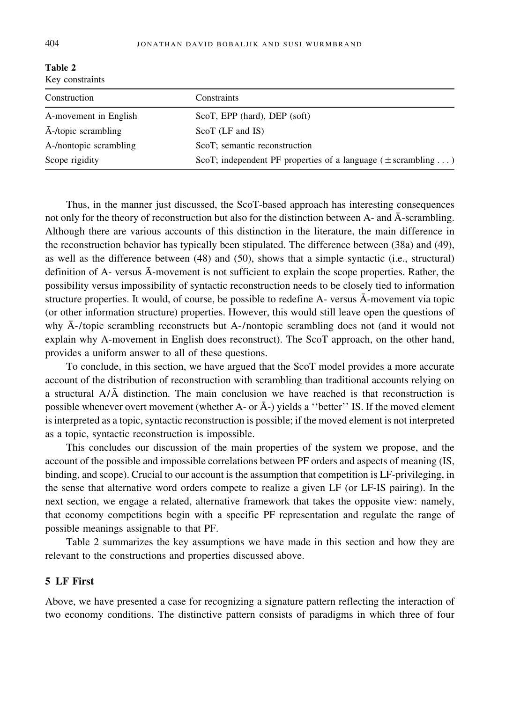| Construction           | Constraints                                                        |
|------------------------|--------------------------------------------------------------------|
| A-movement in English  | ScoT, EPP (hard), DEP (soft)                                       |
| A-/topic scrambling    | ScoT (LF and IS)                                                   |
| A-/nontopic scrambling | ScoT; semantic reconstruction                                      |
| Scope rigidity         | ScoT; independent PF properties of a language ( $\pm$ scrambling ) |
|                        |                                                                    |

**Table 2** Key constraints

Thus, in the manner just discussed, the ScoT-based approach has interesting consequences not only for the theory of reconstruction but also for the distinction between A- and  $\overline{A}$ -scrambling. Although there are various accounts of this distinction in the literature, the main difference in the reconstruction behavior has typically been stipulated. The difference between (38a) and (49), as well as the difference between (48) and (50), shows that a simple syntactic (i.e., structural) definition of A- versus  $\bar{A}$ -movement is not sufficient to explain the scope properties. Rather, the possibility versus impossibility of syntactic reconstruction needs to be closely tied to information structure properties. It would, of course, be possible to redefine  $A$ - versus  $\overline{A}$ -movement via topic (or other information structure) properties. However, this would still leave open the questions of why  $\overline{A}$ -/topic scrambling reconstructs but A-/nontopic scrambling does not (and it would not explain why A-movement in English does reconstruct). The ScoT approach, on the other hand, provides a uniform answer to all of these questions.

To conclude, in this section, we have argued that the ScoT model provides a more accurate account of the distribution of reconstruction with scrambling than traditional accounts relying on a structural  $A/\overline{A}$  distinction. The main conclusion we have reached is that reconstruction is possible whenever overt movement (whether A- or  $\bar{A}$ -) yields a "better" IS. If the moved element is interpreted as a topic, syntactic reconstruction is possible; if the moved element is not interpreted as a topic, syntactic reconstruction is impossible.

This concludes our discussion of the main properties of the system we propose, and the account of the possible and impossible correlations between PF orders and aspects of meaning (IS, binding, and scope). Crucial to our account is the assumption that competition is LF-privileging, in the sense that alternative word orders compete to realize a given LF (or LF-IS pairing). In the next section, we engage a related, alternative framework that takes the opposite view: namely, that economy competitions begin with a specific PF representation and regulate the range of possible meanings assignable to that PF.

Table 2 summarizes the key assumptions we have made in this section and how they are relevant to the constructions and properties discussed above.

## **5 LF First**

Above, we have presented a case for recognizing a signature pattern reflecting the interaction of two economy conditions. The distinctive pattern consists of paradigms in which three of four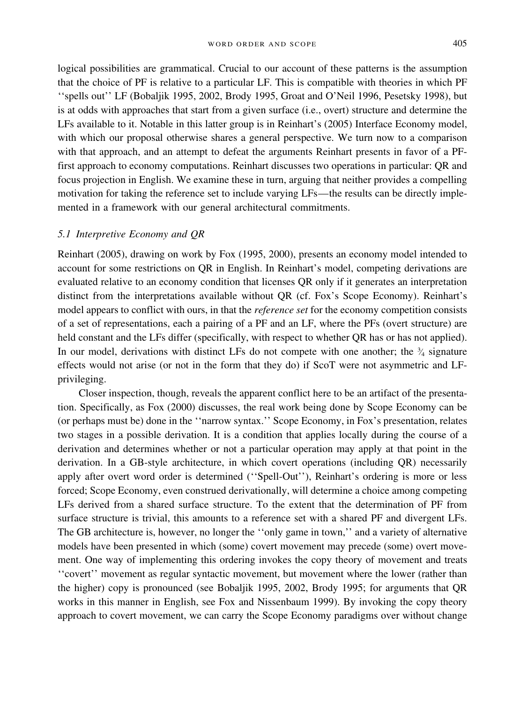logical possibilities are grammatical. Crucial to our account of these patterns is the assumption that the choice of PF is relative to a particular LF. This is compatible with theories in which PF ''spells out'' LF (Bobaljik 1995, 2002, Brody 1995, Groat and O'Neil 1996, Pesetsky 1998), but is at odds with approaches that start from a given surface (i.e., overt) structure and determine the LFs available to it. Notable in this latter group is in Reinhart's (2005) Interface Economy model, with which our proposal otherwise shares a general perspective. We turn now to a comparison with that approach, and an attempt to defeat the arguments Reinhart presents in favor of a PFfirst approach to economy computations. Reinhart discusses two operations in particular: QR and focus projection in English. We examine these in turn, arguing that neither provides a compelling motivation for taking the reference set to include varying LFs—the results can be directly implemented in a framework with our general architectural commitments.

## *5.1 Interpretive Economy and QR*

Reinhart (2005), drawing on work by Fox (1995, 2000), presents an economy model intended to account for some restrictions on QR in English. In Reinhart's model, competing derivations are evaluated relative to an economy condition that licenses QR only if it generates an interpretation distinct from the interpretations available without QR (cf. Fox's Scope Economy). Reinhart's model appears to conflict with ours, in that the *reference set* for the economy competition consists of a set of representations, each a pairing of a PF and an LF, where the PFs (overt structure) are held constant and the LFs differ (specifically, with respect to whether QR has or has not applied). In our model, derivations with distinct LFs do not compete with one another; the  $\frac{3}{4}$  signature ⁄ effects would not arise (or not in the form that they do) if ScoT were not asymmetric and LFprivileging.

Closer inspection, though, reveals the apparent conflict here to be an artifact of the presentation. Specifically, as Fox (2000) discusses, the real work being done by Scope Economy can be (or perhaps must be) done in the ''narrow syntax.'' Scope Economy, in Fox's presentation, relates two stages in a possible derivation. It is a condition that applies locally during the course of a derivation and determines whether or not a particular operation may apply at that point in the derivation. In a GB-style architecture, in which covert operations (including QR) necessarily apply after overt word order is determined (''Spell-Out''), Reinhart's ordering is more or less forced; Scope Economy, even construed derivationally, will determine a choice among competing LFs derived from a shared surface structure. To the extent that the determination of PF from surface structure is trivial, this amounts to a reference set with a shared PF and divergent LFs. The GB architecture is, however, no longer the ''only game in town,'' and a variety of alternative models have been presented in which (some) covert movement may precede (some) overt movement. One way of implementing this ordering invokes the copy theory of movement and treats ''covert'' movement as regular syntactic movement, but movement where the lower (rather than the higher) copy is pronounced (see Bobaljik 1995, 2002, Brody 1995; for arguments that QR works in this manner in English, see Fox and Nissenbaum 1999). By invoking the copy theory approach to covert movement, we can carry the Scope Economy paradigms over without change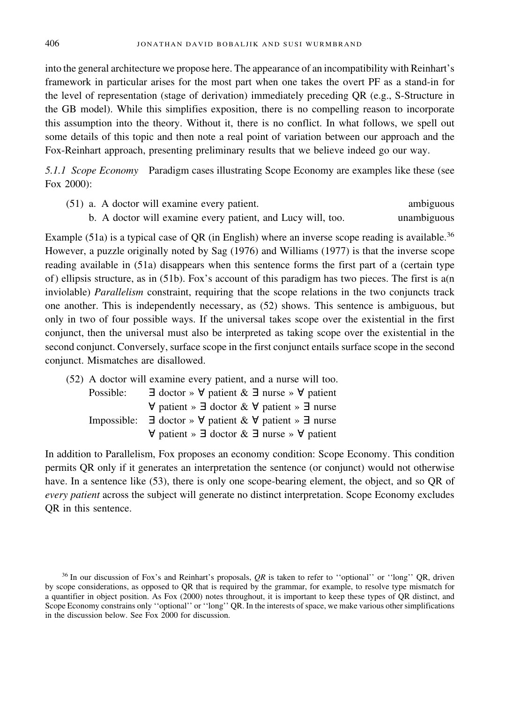into the general architecture we propose here. The appearance of an incompatibility with Reinhart's framework in particular arises for the most part when one takes the overt PF as a stand-in for the level of representation (stage of derivation) immediately preceding QR (e.g., S-Structure in the GB model). While this simplifies exposition, there is no compelling reason to incorporate this assumption into the theory. Without it, there is no conflict. In what follows, we spell out some details of this topic and then note a real point of variation between our approach and the Fox-Reinhart approach, presenting preliminary results that we believe indeed go our way.

*5.1.1 Scope Economy* Paradigm cases illustrating Scope Economy are examples like these (see Fox 2000):

(51) a. A doctor will examine every patient. ambiguous b. A doctor will examine every patient, and Lucy will, too. unambiguous

Example (51a) is a typical case of QR (in English) where an inverse scope reading is available.<sup>36</sup> However, a puzzle originally noted by Sag (1976) and Williams (1977) is that the inverse scope reading available in (51a) disappears when this sentence forms the first part of a (certain type of) ellipsis structure, as in (51b). Fox's account of this paradigm has two pieces. The first is a(n inviolable) *Parallelism* constraint, requiring that the scope relations in the two conjuncts track one another. This is independently necessary, as (52) shows. This sentence is ambiguous, but only in two of four possible ways. If the universal takes scope over the existential in the first conjunct, then the universal must also be interpreted as taking scope over the existential in the second conjunct. Conversely, surface scope in the first conjunct entails surface scope in the second conjunct. Mismatches are disallowed.

(52) A doctor will examine every patient, and a nurse will too. Possible:  $\exists$  doctor »  $\forall$  patient &  $\exists$  nurse »  $\forall$  patient  $\forall$  patient »  $\exists$  doctor &  $\forall$  patient »  $\exists$  nurse Impossible:  $\exists$  doctor »  $\forall$  patient &  $\forall$  patient »  $\exists$  nurse  $\forall$  patient »  $\exists$  doctor &  $\exists$  nurse »  $\forall$  patient

In addition to Parallelism, Fox proposes an economy condition: Scope Economy. This condition permits QR only if it generates an interpretation the sentence (or conjunct) would not otherwise have. In a sentence like (53), there is only one scope-bearing element, the object, and so QR of *every patient* across the subject will generate no distinct interpretation. Scope Economy excludes QR in this sentence.

<sup>36</sup> In our discussion of Fox's and Reinhart's proposals, *QR* is taken to refer to ''optional'' or ''long'' QR, driven by scope considerations, as opposed to QR that is required by the grammar, for example, to resolve type mismatch for a quantifier in object position. As Fox (2000) notes throughout, it is important to keep these types of QR distinct, and Scope Economy constrains only ''optional'' or ''long'' QR. In the interests of space, we make various other simplifications in the discussion below. See Fox 2000 for discussion.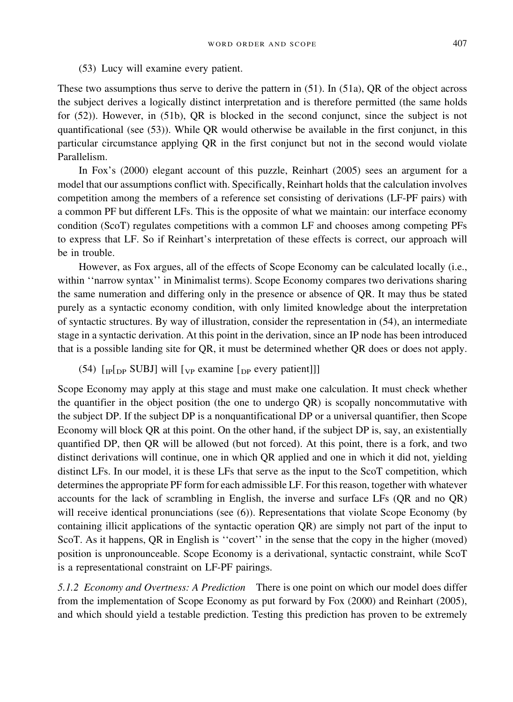These two assumptions thus serve to derive the pattern in (51). In (51a), QR of the object across the subject derives a logically distinct interpretation and is therefore permitted (the same holds for (52)). However, in (51b), QR is blocked in the second conjunct, since the subject is not quantificational (see (53)). While QR would otherwise be available in the first conjunct, in this particular circumstance applying QR in the first conjunct but not in the second would violate Parallelism.

In Fox's (2000) elegant account of this puzzle, Reinhart (2005) sees an argument for a model that our assumptions conflict with. Specifically, Reinhart holds that the calculation involves competition among the members of a reference set consisting of derivations (LF-PF pairs) with a common PF but different LFs. This is the opposite of what we maintain: our interface economy condition (ScoT) regulates competitions with a common LF and chooses among competing PFs to express that LF. So if Reinhart's interpretation of these effects is correct, our approach will be in trouble.

However, as Fox argues, all of the effects of Scope Economy can be calculated locally (i.e., within "narrow syntax" in Minimalist terms). Scope Economy compares two derivations sharing the same numeration and differing only in the presence or absence of QR. It may thus be stated purely as a syntactic economy condition, with only limited knowledge about the interpretation of syntactic structures. By way of illustration, consider the representation in (54), an intermediate stage in a syntactic derivation. At this point in the derivation, since an IP node has been introduced that is a possible landing site for QR, it must be determined whether QR does or does not apply.

(54)  $\lceil \text{p} \rceil_{\text{DP}}$  SUBJ] will  $\lceil \text{v}_P \rceil_{\text{V}}$  examine  $\lceil \text{p} \rceil_{\text{P}}$  every patient]]

Scope Economy may apply at this stage and must make one calculation. It must check whether the quantifier in the object position (the one to undergo QR) is scopally noncommutative with the subject DP. If the subject DP is a nonquantificational DP or a universal quantifier, then Scope Economy will block QR at this point. On the other hand, if the subject DP is, say, an existentially quantified DP, then QR will be allowed (but not forced). At this point, there is a fork, and two distinct derivations will continue, one in which QR applied and one in which it did not, yielding distinct LFs. In our model, it is these LFs that serve as the input to the ScoT competition, which determines the appropriate PF form for each admissible LF. For this reason, together with whatever accounts for the lack of scrambling in English, the inverse and surface LFs (QR and no QR) will receive identical pronunciations (see (6)). Representations that violate Scope Economy (by containing illicit applications of the syntactic operation QR) are simply not part of the input to ScoT. As it happens, QR in English is ''covert'' in the sense that the copy in the higher (moved) position is unpronounceable. Scope Economy is a derivational, syntactic constraint, while ScoT is a representational constraint on LF-PF pairings.

*5.1.2 Economy and Overtness: A Prediction* There is one point on which our model does differ from the implementation of Scope Economy as put forward by Fox (2000) and Reinhart (2005), and which should yield a testable prediction. Testing this prediction has proven to be extremely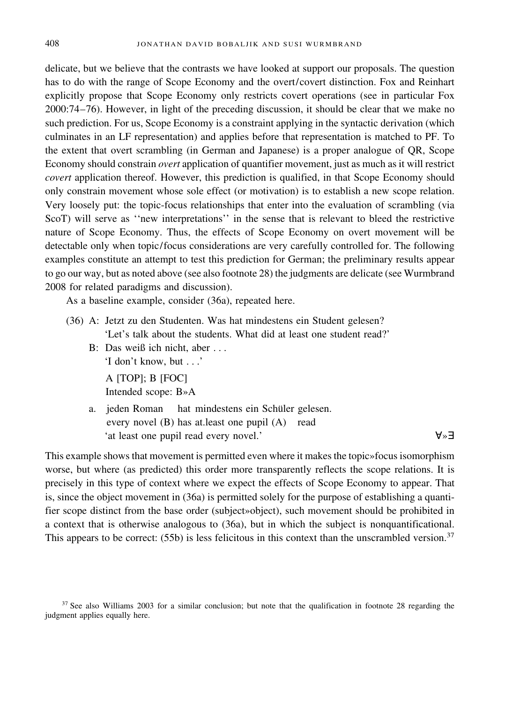delicate, but we believe that the contrasts we have looked at support our proposals. The question has to do with the range of Scope Economy and the overt/covert distinction. Fox and Reinhart explicitly propose that Scope Economy only restricts covert operations (see in particular Fox 2000:74–76). However, in light of the preceding discussion, it should be clear that we make no such prediction. For us, Scope Economy is a constraint applying in the syntactic derivation (which culminates in an LF representation) and applies before that representation is matched to PF. To the extent that overt scrambling (in German and Japanese) is a proper analogue of QR, Scope Economy should constrain *overt* application of quantifier movement, just as much as it will restrict *covert* application thereof. However, this prediction is qualified, in that Scope Economy should only constrain movement whose sole effect (or motivation) is to establish a new scope relation. Very loosely put: the topic-focus relationships that enter into the evaluation of scrambling (via ScoT) will serve as ''new interpretations'' in the sense that is relevant to bleed the restrictive nature of Scope Economy. Thus, the effects of Scope Economy on overt movement will be detectable only when topic/focus considerations are very carefully controlled for. The following examples constitute an attempt to test this prediction for German; the preliminary results appear to go our way, but as noted above (see also footnote 28) the judgments are delicate (see Wurmbrand 2008 for related paradigms and discussion).

As a baseline example, consider (36a), repeated here.

- (36) A: Jetzt zu den Studenten. Was hat mindestens ein Student gelesen? 'Let's talk about the students. What did at least one student read?'
	- B: Das weiß ich nicht, aber ... 'I don't know, but . . .' A [TOP]; B [FOC]

Intended scope: B»A

a. jeden Roman hat mindestens ein Schüler gelesen. every novel (B) has at least one pupil (A) read 'at least one pupil read every novel.'  $\forall x \exists$ 

This example shows that movement is permitted even where it makes the topic»focus isomorphism worse, but where (as predicted) this order more transparently reflects the scope relations. It is precisely in this type of context where we expect the effects of Scope Economy to appear. That is, since the object movement in (36a) is permitted solely for the purpose of establishing a quantifier scope distinct from the base order (subject»object), such movement should be prohibited in a context that is otherwise analogous to (36a), but in which the subject is nonquantificational. This appears to be correct: (55b) is less felicitous in this context than the unscrambled version.<sup>37</sup>

 $37$  See also Williams 2003 for a similar conclusion; but note that the qualification in footnote 28 regarding the judgment applies equally here.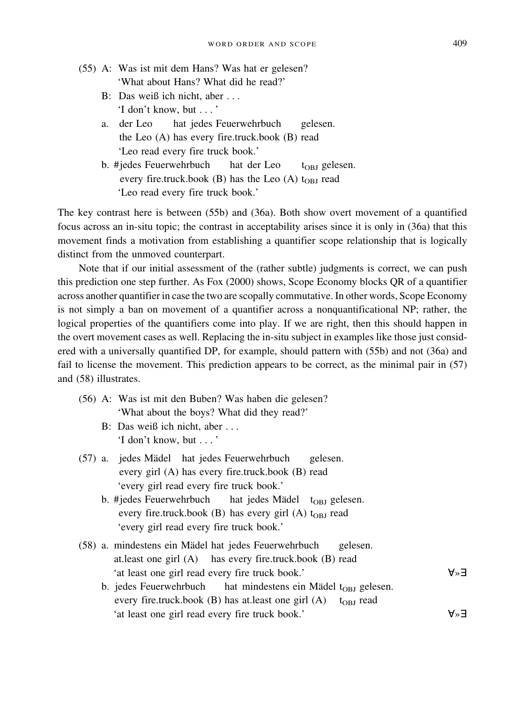- (55) A: Was ist mit dem Hans? Was hat er gelesen? 'What about Hans? What did he read?'
	- B: Das weiß ich nicht, aber ... 'I don't know, but ...'
	- a. der Leo hat jedes Feuerwehrbuch gelesen. the Leo (A) has every fire.truck.book (B) read 'Leo read every fire truck book.'
	- b. #jedes Feuerwehrbuch hat der Leo t<sub>OBJ</sub> gelesen. every fire.truck.book (B) has the Leo (A)  $t_{ORI}$  read 'Leo read every fire truck book.'

The key contrast here is between (55b) and (36a). Both show overt movement of a quantified focus across an in-situ topic; the contrast in acceptability arises since it is only in (36a) that this movement finds a motivation from establishing a quantifier scope relationship that is logically distinct from the unmoved counterpart.

Note that if our initial assessment of the (rather subtle) judgments is correct, we can push this prediction one step further. As Fox (2000) shows, Scope Economy blocks QR of a quantifier across another quantifier in case the two are scopally commutative. In other words, Scope Economy is not simply a ban on movement of a quantifier across a nonquantificational NP; rather, the logical properties of the quantifiers come into play. If we are right, then this should happen in the overt movement cases as well. Replacing the in-situ subject in examples like those just considered with a universally quantified DP, for example, should pattern with (55b) and not (36a) and fail to license the movement. This prediction appears to be correct, as the minimal pair in (57) and (58) illustrates.

- (56) A: Was ist mit den Buben? Was haben die gelesen? 'What about the boys? What did they read?'
	- B: Das weiß ich nicht, aber ... 'I don't know, but ...'
- (57) a. jedes Mädel hat jedes Feuerwehrbuch gelesen. every girl (A) has every fire.truck.book (B) read 'every girl read every fire truck book.'
	- b. #jedes Feuerwehrbuch hat jedes Mädel  $t_{ORI}$  gelesen. every fire.truck.book (B) has every girl (A)  $t_{OBJ}$  read 'every girl read every fire truck book.'
- (58) a. mindestens ein Mädel hat jedes Feuerwehrbuch gelesen. at.least one girl (A) has every fire.truck.book (B) read 'at least one girl read every fire truck book.'  $\forall x \exists$ 
	- b. jedes Feuerwehrbuch hat mindestens ein Mädel  $t_{OBJ}$  gelesen. every fire.truck.book (B) has at.least one girl  $(A)$  t<sub>OBI</sub> read 'at least one girl read every fire truck book.'  $\forall x \exists$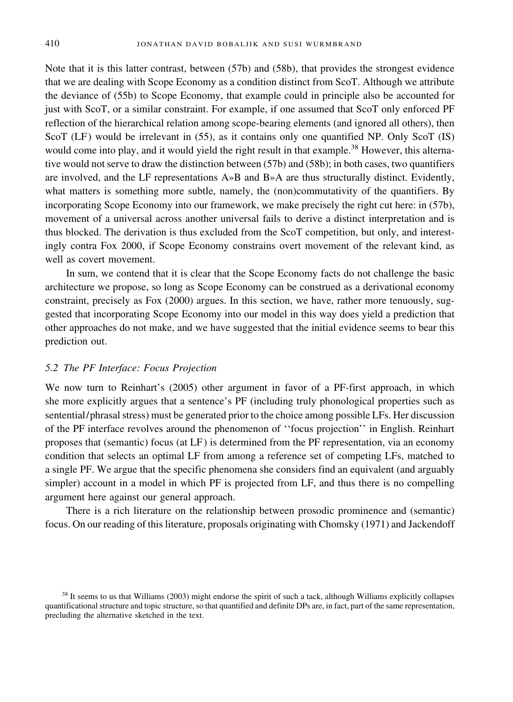Note that it is this latter contrast, between (57b) and (58b), that provides the strongest evidence that we are dealing with Scope Economy as a condition distinct from ScoT. Although we attribute the deviance of (55b) to Scope Economy, that example could in principle also be accounted for just with ScoT, or a similar constraint. For example, if one assumed that ScoT only enforced PF reflection of the hierarchical relation among scope-bearing elements (and ignored all others), then ScoT (LF) would be irrelevant in (55), as it contains only one quantified NP. Only ScoT (IS) would come into play, and it would yield the right result in that example.<sup>38</sup> However, this alternative would not serve to draw the distinction between (57b) and (58b); in both cases, two quantifiers are involved, and the LF representations  $A \gg B$  and  $B \gg A$  are thus structurally distinct. Evidently, what matters is something more subtle, namely, the (non)commutativity of the quantifiers. By incorporating Scope Economy into our framework, we make precisely the right cut here: in (57b), movement of a universal across another universal fails to derive a distinct interpretation and is thus blocked. The derivation is thus excluded from the ScoT competition, but only, and interestingly contra Fox 2000, if Scope Economy constrains overt movement of the relevant kind, as well as covert movement.

In sum, we contend that it is clear that the Scope Economy facts do not challenge the basic architecture we propose, so long as Scope Economy can be construed as a derivational economy constraint, precisely as Fox (2000) argues. In this section, we have, rather more tenuously, suggested that incorporating Scope Economy into our model in this way does yield a prediction that other approaches do not make, and we have suggested that the initial evidence seems to bear this prediction out.

## *5.2 The PF Interface: Focus Projection*

We now turn to Reinhart's (2005) other argument in favor of a PF-first approach, in which she more explicitly argues that a sentence's PF (including truly phonological properties such as sentential/phrasal stress) must be generated prior to the choice among possible LFs. Her discussion of the PF interface revolves around the phenomenon of ''focus projection'' in English. Reinhart proposes that (semantic) focus (at LF) is determined from the PF representation, via an economy condition that selects an optimal LF from among a reference set of competing LFs, matched to a single PF. We argue that the specific phenomena she considers find an equivalent (and arguably simpler) account in a model in which PF is projected from LF, and thus there is no compelling argument here against our general approach.

There is a rich literature on the relationship between prosodic prominence and (semantic) focus. On our reading of this literature, proposals originating with Chomsky (1971) and Jackendoff

<sup>&</sup>lt;sup>38</sup> It seems to us that Williams (2003) might endorse the spirit of such a tack, although Williams explicitly collapses quantificational structure and topic structure, so that quantified and definite DPs are, in fact, part of the same representation, precluding the alternative sketched in the text.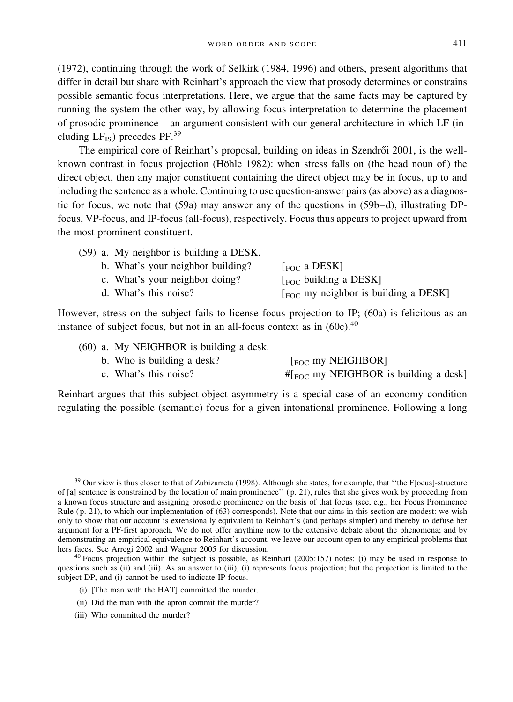(1972), continuing through the work of Selkirk (1984, 1996) and others, present algorithms that differ in detail but share with Reinhart's approach the view that prosody determines or constrains possible semantic focus interpretations. Here, we argue that the same facts may be captured by running the system the other way, by allowing focus interpretation to determine the placement of prosodic prominence—an argument consistent with our general architecture in which LF (including  $LF_{IS}$ ) precedes PF.<sup>39</sup>

The empirical core of Reinhart's proposal, building on ideas in Szendrői 2001, is the wellknown contrast in focus projection (Höhle 1982): when stress falls on (the head noun of) the direct object, then any major constituent containing the direct object may be in focus, up to and including the sentence as a whole. Continuing to use question-answer pairs (as above) as a diagnostic for focus, we note that (59a) may answer any of the questions in (59b–d), illustrating DPfocus, VP-focus, and IP-focus (all-focus), respectively. Focus thus appears to project upward from the most prominent constituent.

| (59) a. My neighbor is building a DESK. |                                                       |
|-----------------------------------------|-------------------------------------------------------|
| b. What's your neighbor building?       | [ <sub>FOC</sub> a DESK]                              |
| c. What's your neighbor doing?          | $\lceil$ <sub>FOC</sub> building a DESK $\lceil$      |
| d. What's this noise?                   | $\lceil_{\text{FOC}}$ my neighbor is building a DESK] |

However, stress on the subject fails to license focus projection to IP; (60a) is felicitous as an instance of subject focus, but not in an all-focus context as in  $(60c)$ .<sup>40</sup>

|  | $(60)$ a. My NEIGHBOR is building a desk. |                                           |
|--|-------------------------------------------|-------------------------------------------|
|  | b. Who is building a desk?                | $\lceil_{\text{EOC}}$ my NEIGHBOR]        |
|  | c. What's this noise?                     | $\#$ [Foc my NEIGHBOR is building a desk] |

Reinhart argues that this subject-object asymmetry is a special case of an economy condition regulating the possible (semantic) focus for a given intonational prominence. Following a long

<sup>39</sup> Our view is thus closer to that of Zubizarreta (1998). Although she states, for example, that "the F[ocus]-structure of [a] sentence is constrained by the location of main prominence''  $(p. 21)$ , rules that she gives work by proceeding from a known focus structure and assigning prosodic prominence on the basis of that focus (see, e.g., her Focus Prominence Rule (p. 21), to which our implementation of (63) corresponds). Note that our aims in this section are modest: we wish only to show that our account is extensionally equivalent to Reinhart's (and perhaps simpler) and thereby to defuse her argument for a PF-first approach. We do not offer anything new to the extensive debate about the phenomena; and by demonstrating an empirical equivalence to Reinhart's account, we leave our account open to any empirical problems that hers faces. See Arregi 2002 and Wagner 2005 for discussion.

 $40$  Focus projection within the subject is possible, as Reinhart (2005:157) notes: (i) may be used in response to questions such as (ii) and (iii). As an answer to (iii), (i) represents focus projection; but the projection is limited to the subject DP, and (i) cannot be used to indicate IP focus.

- (i) [The man with the HAT] committed the murder.
- (ii) Did the man with the apron commit the murder?
- (iii) Who committed the murder?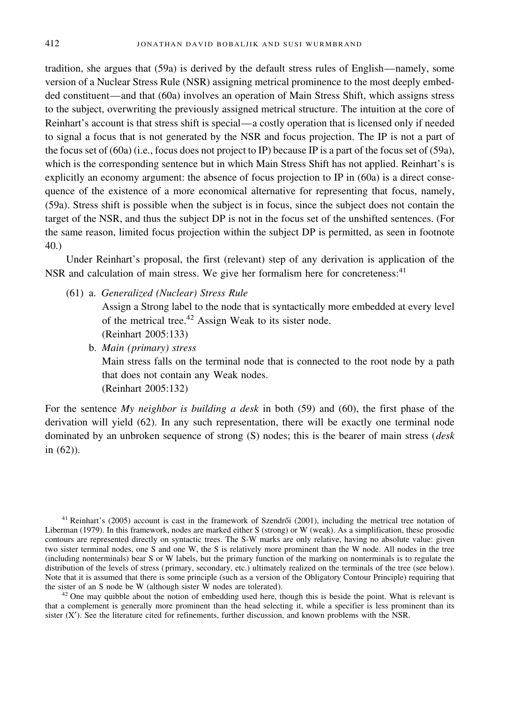tradition, she argues that (59a) is derived by the default stress rules of English—namely, some version of a Nuclear Stress Rule (NSR) assigning metrical prominence to the most deeply embedded constituent—and that (60a) involves an operation of Main Stress Shift, which assigns stress to the subject, overwriting the previously assigned metrical structure. The intuition at the core of Reinhart's account is that stress shift is special—a costly operation that is licensed only if needed to signal a focus that is not generated by the NSR and focus projection. The IP is not a part of the focus set of (60a) (i.e., focus does not project to IP) because IP is a part of the focus set of (59a), which is the corresponding sentence but in which Main Stress Shift has not applied. Reinhart's is explicitly an economy argument: the absence of focus projection to IP in (60a) is a direct consequence of the existence of a more economical alternative for representing that focus, namely, (59a). Stress shift is possible when the subject is in focus, since the subject does not contain the target of the NSR, and thus the subject DP is not in the focus set of the unshifted sentences. (For the same reason, limited focus projection within the subject DP is permitted, as seen in footnote 40.)

Under Reinhart's proposal, the first (relevant) step of any derivation is application of the NSR and calculation of main stress. We give her formalism here for concreteness:<sup>41</sup>

(61) a. *Generalized (Nuclear) Stress Rule*

Assign a Strong label to the node that is syntactically more embedded at every level of the metrical tree.<sup>42</sup> Assign Weak to its sister node. (Reinhart 2005:133)

b. *Main (primary) stress* Main stress falls on the terminal node that is connected to the root node by a path that does not contain any Weak nodes. (Reinhart 2005:132)

For the sentence *My neighbor is building a desk* in both (59) and (60), the first phase of the derivation will yield (62). In any such representation, there will be exactly one terminal node dominated by an unbroken sequence of strong (S) nodes; this is the bearer of main stress (*desk* in (62)).

 $41$  Reinhart's (2005) account is cast in the framework of Szendrői (2001), including the metrical tree notation of Liberman (1979). In this framework, nodes are marked either S (strong) or W (weak). As a simplification, these prosodic contours are represented directly on syntactic trees. The S-W marks are only relative, having no absolute value: given two sister terminal nodes, one S and one W, the S is relatively more prominent than the W node. All nodes in the tree (including nonterminals) bear S or W labels, but the primary function of the marking on nonterminals is to regulate the distribution of the levels of stress (primary, secondary, etc.) ultimately realized on the terminals of the tree (see below). Note that it is assumed that there is some principle (such as a version of the Obligatory Contour Principle) requiring that the sister of an S node be W (although sister W nodes are tolerated).

<sup>42</sup> One may quibble about the notion of embedding used here, though this is beside the point. What is relevant is that a complement is generally more prominent than the head selecting it, while a specifier is less prominent than its sister (X'). See the literature cited for refinements, further discussion, and known problems with the NSR.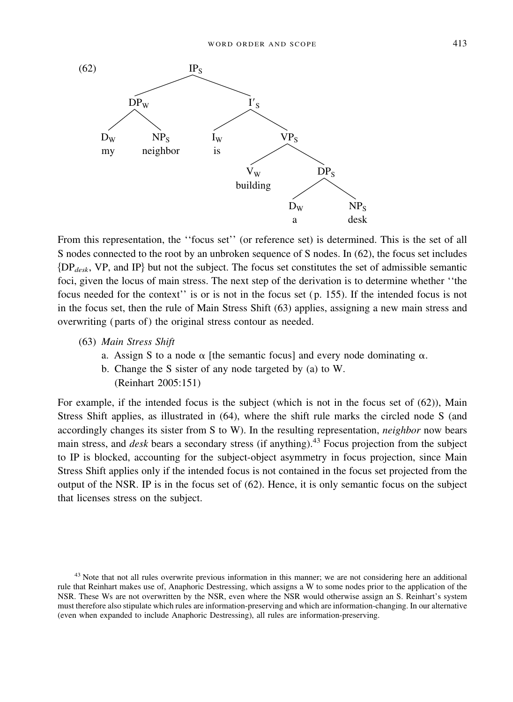

From this representation, the ''focus set'' (or reference set) is determined. This is the set of all S nodes connected to the root by an unbroken sequence of S nodes. In (62), the focus set includes  ${D_{\text{y}}P_{\text{d}esk}}$ , VP, and IP} but not the subject. The focus set constitutes the set of admissible semantic foci, given the locus of main stress. The next step of the derivation is to determine whether ''the focus needed for the context'' is or is not in the focus set (p. 155). If the intended focus is not in the focus set, then the rule of Main Stress Shift (63) applies, assigning a new main stress and overwriting (parts of) the original stress contour as needed.

- (63) *Main Stress Shift*
	- a. Assign S to a node  $\alpha$  [the semantic focus] and every node dominating  $\alpha$ .
	- b. Change the S sister of any node targeted by (a) to W. (Reinhart 2005:151)

For example, if the intended focus is the subject (which is not in the focus set of (62)), Main Stress Shift applies, as illustrated in (64), where the shift rule marks the circled node S (and accordingly changes its sister from S to W). In the resulting representation, *neighbor* now bears main stress, and *desk* bears a secondary stress (if anything).43 Focus projection from the subject to IP is blocked, accounting for the subject-object asymmetry in focus projection, since Main Stress Shift applies only if the intended focus is not contained in the focus set projected from the output of the NSR. IP is in the focus set of (62). Hence, it is only semantic focus on the subject that licenses stress on the subject.

<sup>&</sup>lt;sup>43</sup> Note that not all rules overwrite previous information in this manner; we are not considering here an additional rule that Reinhart makes use of, Anaphoric Destressing, which assigns a W to some nodes prior to the application of the NSR. These Ws are not overwritten by the NSR, even where the NSR would otherwise assign an S. Reinhart's system must therefore also stipulate which rules are information-preserving and which are information-changing. In our alternative (even when expanded to include Anaphoric Destressing), all rules are information-preserving.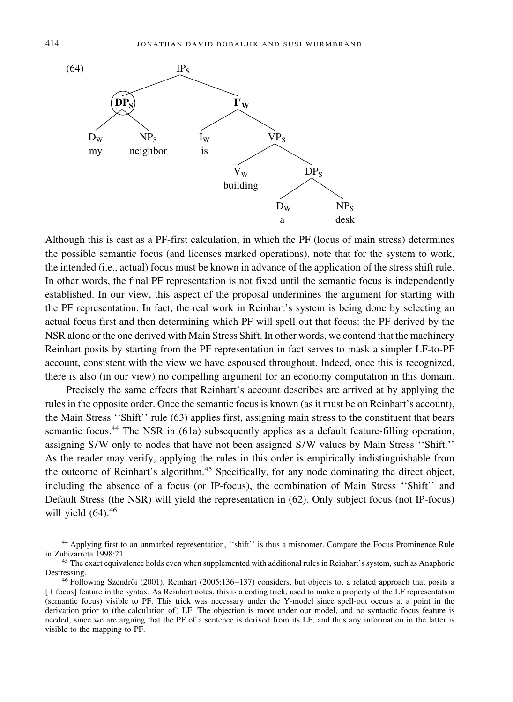

Although this is cast as a PF-first calculation, in which the PF (locus of main stress) determines the possible semantic focus (and licenses marked operations), note that for the system to work, the intended (i.e., actual) focus must be known in advance of the application of the stress shift rule. In other words, the final PF representation is not fixed until the semantic focus is independently established. In our view, this aspect of the proposal undermines the argument for starting with the PF representation. In fact, the real work in Reinhart's system is being done by selecting an actual focus first and then determining which PF will spell out that focus: the PF derived by the NSR alone or the one derived with Main Stress Shift. In other words, we contend that the machinery Reinhart posits by starting from the PF representation in fact serves to mask a simpler LF-to-PF account, consistent with the view we have espoused throughout. Indeed, once this is recognized, there is also (in our view) no compelling argument for an economy computation in this domain.

Precisely the same effects that Reinhart's account describes are arrived at by applying the rules in the opposite order. Once the semantic focus is known (as it must be on Reinhart's account), the Main Stress ''Shift'' rule (63) applies first, assigning main stress to the constituent that bears semantic focus.<sup>44</sup> The NSR in (61a) subsequently applies as a default feature-filling operation, assigning S/W only to nodes that have not been assigned S/W values by Main Stress ''Shift.'' As the reader may verify, applying the rules in this order is empirically indistinguishable from the outcome of Reinhart's algorithm.<sup>45</sup> Specifically, for any node dominating the direct object, including the absence of a focus (or IP-focus), the combination of Main Stress ''Shift'' and Default Stress (the NSR) will yield the representation in (62). Only subject focus (not IP-focus) will yield  $(64)$ .<sup>46</sup>

<sup>44</sup> Applying first to an unmarked representation, ''shift'' is thus a misnomer. Compare the Focus Prominence Rule in Zubizarreta 1998:21. <sup>45</sup> The exact equivalence holds even when supplemented with additional rules in Reinhart's system, such as Anaphoric

Destressing.<br><sup>46</sup> Following Szendrői (2001), Reinhart (2005:136–137) considers, but objects to, a related approach that posits a

<sup>[+</sup> focus] feature in the syntax. As Reinhart notes, this is a coding trick, used to make a property of the LF representation (semantic focus) visible to PF. This trick was necessary under the Y-model since spell-out occurs at a point in the derivation prior to (the calculation of) LF. The objection is moot under our model, and no syntactic focus feature is needed, since we are arguing that the PF of a sentence is derived from its LF, and thus any information in the latter is visible to the mapping to PF.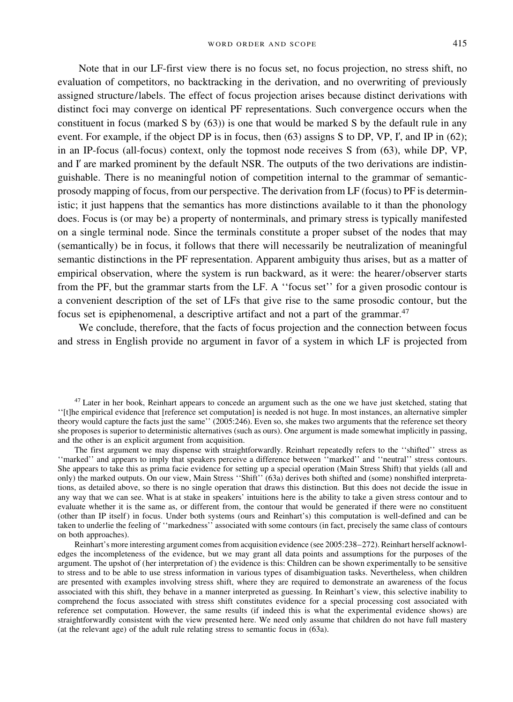Note that in our LF-first view there is no focus set, no focus projection, no stress shift, no evaluation of competitors, no backtracking in the derivation, and no overwriting of previously assigned structure/labels. The effect of focus projection arises because distinct derivations with distinct foci may converge on identical PF representations. Such convergence occurs when the constituent in focus (marked S by (63)) is one that would be marked S by the default rule in any event. For example, if the object DP is in focus, then (63) assigns S to DP, VP, I', and IP in (62); in an IP-focus (all-focus) context, only the topmost node receives S from (63), while DP, VP, and I' are marked prominent by the default NSR. The outputs of the two derivations are indistinguishable. There is no meaningful notion of competition internal to the grammar of semanticprosody mapping of focus, from our perspective. The derivation from LF (focus) to PF is deterministic; it just happens that the semantics has more distinctions available to it than the phonology does. Focus is (or may be) a property of nonterminals, and primary stress is typically manifested on a single terminal node. Since the terminals constitute a proper subset of the nodes that may (semantically) be in focus, it follows that there will necessarily be neutralization of meaningful semantic distinctions in the PF representation. Apparent ambiguity thus arises, but as a matter of empirical observation, where the system is run backward, as it were: the hearer/observer starts from the PF, but the grammar starts from the LF. A ''focus set'' for a given prosodic contour is a convenient description of the set of LFs that give rise to the same prosodic contour, but the focus set is epiphenomenal, a descriptive artifact and not a part of the grammar.<sup>47</sup>

We conclude, therefore, that the facts of focus projection and the connection between focus and stress in English provide no argument in favor of a system in which LF is projected from

<sup>47</sup> Later in her book, Reinhart appears to concede an argument such as the one we have just sketched, stating that ''[t]he empirical evidence that [reference set computation] is needed is not huge. In most instances, an alternative simpler theory would capture the facts just the same'' (2005:246). Even so, she makes two arguments that the reference set theory she proposes is superior to deterministic alternatives (such as ours). One argument is made somewhat implicitly in passing, and the other is an explicit argument from acquisition.

The first argument we may dispense with straightforwardly. Reinhart repeatedly refers to the ''shifted'' stress as ''marked'' and appears to imply that speakers perceive a difference between ''marked'' and ''neutral'' stress contours. She appears to take this as prima facie evidence for setting up a special operation (Main Stress Shift) that yields (all and only) the marked outputs. On our view, Main Stress ''Shift'' (63a) derives both shifted and (some) nonshifted interpretations, as detailed above, so there is no single operation that draws this distinction. But this does not decide the issue in any way that we can see. What is at stake in speakers' intuitions here is the ability to take a given stress contour and to evaluate whether it is the same as, or different from, the contour that would be generated if there were no constituent (other than IP itself) in focus. Under both systems (ours and Reinhart's) this computation is well-defined and can be taken to underlie the feeling of ''markedness'' associated with some contours (in fact, precisely the same class of contours on both approaches).

Reinhart's more interesting argument comes from acquisition evidence (see 2005:238–272). Reinhart herself acknowledges the incompleteness of the evidence, but we may grant all data points and assumptions for the purposes of the argument. The upshot of (her interpretation of) the evidence is this: Children can be shown experimentally to be sensitive to stress and to be able to use stress information in various types of disambiguation tasks. Nevertheless, when children are presented with examples involving stress shift, where they are required to demonstrate an awareness of the focus associated with this shift, they behave in a manner interpreted as guessing. In Reinhart's view, this selective inability to comprehend the focus associated with stress shift constitutes evidence for a special processing cost associated with reference set computation. However, the same results (if indeed this is what the experimental evidence shows) are straightforwardly consistent with the view presented here. We need only assume that children do not have full mastery (at the relevant age) of the adult rule relating stress to semantic focus in (63a).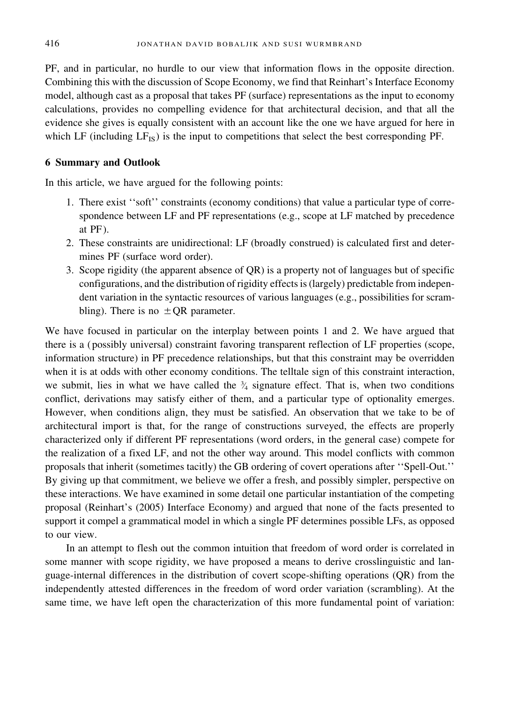PF, and in particular, no hurdle to our view that information flows in the opposite direction. Combining this with the discussion of Scope Economy, we find that Reinhart's Interface Economy model, although cast as a proposal that takes PF (surface) representations as the input to economy calculations, provides no compelling evidence for that architectural decision, and that all the evidence she gives is equally consistent with an account like the one we have argued for here in which LF (including  $LF_{IS}$ ) is the input to competitions that select the best corresponding PF.

## **6 Summary and Outlook**

In this article, we have argued for the following points:

- 1. There exist ''soft'' constraints (economy conditions) that value a particular type of correspondence between LF and PF representations (e.g., scope at LF matched by precedence at PF).
- 2. These constraints are unidirectional: LF (broadly construed) is calculated first and determines PF (surface word order).
- 3. Scope rigidity (the apparent absence of QR) is a property not of languages but of specific configurations, and the distribution of rigidity effects is (largely) predictable from independent variation in the syntactic resources of various languages (e.g., possibilities for scrambling). There is no  $\pm$  QR parameter.

We have focused in particular on the interplay between points 1 and 2. We have argued that there is a (possibly universal) constraint favoring transparent reflection of LF properties (scope, information structure) in PF precedence relationships, but that this constraint may be overridden when it is at odds with other economy conditions. The telltale sign of this constraint interaction, we submit, lies in what we have called the  $\frac{3}{4}$  signature effect. That is, when two conditions ⁄ conflict, derivations may satisfy either of them, and a particular type of optionality emerges. However, when conditions align, they must be satisfied. An observation that we take to be of architectural import is that, for the range of constructions surveyed, the effects are properly characterized only if different PF representations (word orders, in the general case) compete for the realization of a fixed LF, and not the other way around. This model conflicts with common proposals that inherit (sometimes tacitly) the GB ordering of covert operations after ''Spell-Out.'' By giving up that commitment, we believe we offer a fresh, and possibly simpler, perspective on these interactions. We have examined in some detail one particular instantiation of the competing proposal (Reinhart's (2005) Interface Economy) and argued that none of the facts presented to support it compel a grammatical model in which a single PF determines possible LFs, as opposed to our view.

In an attempt to flesh out the common intuition that freedom of word order is correlated in some manner with scope rigidity, we have proposed a means to derive crosslinguistic and language-internal differences in the distribution of covert scope-shifting operations (QR) from the independently attested differences in the freedom of word order variation (scrambling). At the same time, we have left open the characterization of this more fundamental point of variation: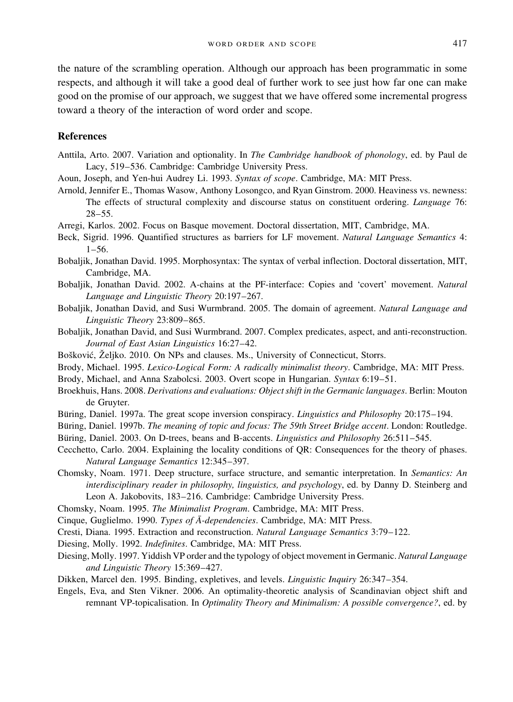the nature of the scrambling operation. Although our approach has been programmatic in some respects, and although it will take a good deal of further work to see just how far one can make good on the promise of our approach, we suggest that we have offered some incremental progress toward a theory of the interaction of word order and scope.

## **References**

- Anttila, Arto. 2007. Variation and optionality. In *The Cambridge handbook of phonology*, ed. by Paul de Lacy, 519–536. Cambridge: Cambridge University Press.
- Aoun, Joseph, and Yen-hui Audrey Li. 1993. *Syntax of scope*. Cambridge, MA: MIT Press.
- Arnold, Jennifer E., Thomas Wasow, Anthony Losongco, and Ryan Ginstrom. 2000. Heaviness vs. newness: The effects of structural complexity and discourse status on constituent ordering. *Language* 76: 28–55.
- Arregi, Karlos. 2002. Focus on Basque movement. Doctoral dissertation, MIT, Cambridge, MA.
- Beck, Sigrid. 1996. Quantified structures as barriers for LF movement. *Natural Language Semantics* 4: 1–56.
- Bobaljik, Jonathan David. 1995. Morphosyntax: The syntax of verbal inflection. Doctoral dissertation, MIT, Cambridge, MA.
- Bobaljik, Jonathan David. 2002. A-chains at the PF-interface: Copies and 'covert' movement. *Natural Language and Linguistic Theory* 20:197–267.
- Bobaljik, Jonathan David, and Susi Wurmbrand. 2005. The domain of agreement. *Natural Language and Linguistic Theory* 23:809–865.
- Bobaljik, Jonathan David, and Susi Wurmbrand. 2007. Complex predicates, aspect, and anti-reconstruction. *Journal of East Asian Linguistics* 16:27–42.
- Bošković, Željko. 2010. On NPs and clauses. Ms., University of Connecticut, Storrs.
- Brody, Michael. 1995. *Lexico-Logical Form: A radically minimalist theory*. Cambridge, MA: MIT Press.
- Brody, Michael, and Anna Szabolcsi. 2003. Overt scope in Hungarian. *Syntax* 6:19–51.
- Broekhuis, Hans. 2008. *Derivations and evaluations: Object shift in the Germanic languages*. Berlin: Mouton de Gruyter.
- Büring, Daniel. 1997a. The great scope inversion conspiracy. *Linguistics and Philosophy* 20:175–194.
- Büring, Daniel. 1997b. *The meaning of topic and focus: The 59th Street Bridge accent*. London: Routledge. Büring, Daniel. 2003. On D-trees, beans and B-accents. *Linguistics and Philosophy* 26:511-545.
- Cecchetto, Carlo. 2004. Explaining the locality conditions of QR: Consequences for the theory of phases. *Natural Language Semantics* 12:345–397.
- Chomsky, Noam. 1971. Deep structure, surface structure, and semantic interpretation. In *Semantics: An interdisciplinary reader in philosophy, linguistics, and psychology*, ed. by Danny D. Steinberg and Leon A. Jakobovits, 183–216. Cambridge: Cambridge University Press.
- Chomsky, Noam. 1995. *The Minimalist Program*. Cambridge, MA: MIT Press.
- Cinque, Guglielmo. 1990. *Types of A¯-dependencies*. Cambridge, MA: MIT Press.

Cresti, Diana. 1995. Extraction and reconstruction. *Natural Language Semantics* 3:79–122.

- Diesing, Molly. 1992. *Indefinites*. Cambridge, MA: MIT Press.
- Diesing, Molly. 1997. Yiddish VP order and the typology of object movement in Germanic. *Natural Language and Linguistic Theory* 15:369–427.
- Dikken, Marcel den. 1995. Binding, expletives, and levels. *Linguistic Inquiry* 26:347–354.
- Engels, Eva, and Sten Vikner. 2006. An optimality-theoretic analysis of Scandinavian object shift and remnant VP-topicalisation. In *Optimality Theory and Minimalism: A possible convergence?*, ed. by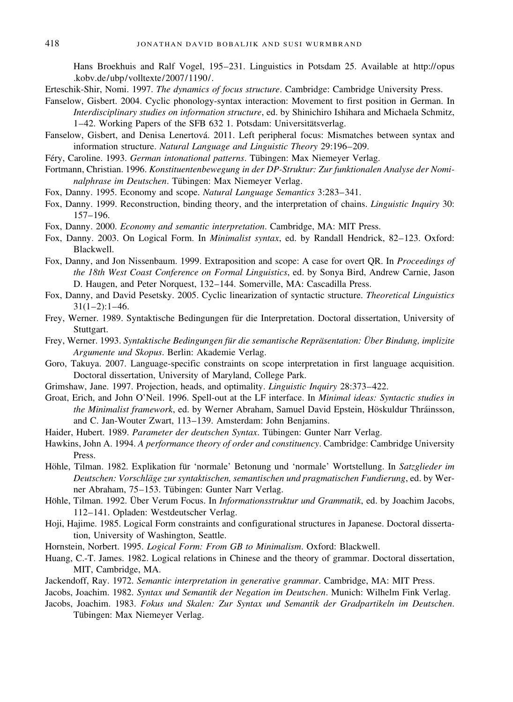Hans Broekhuis and Ralf Vogel, 195–231. Linguistics in Potsdam 25. Available at http://opus .kobv.de/ubp/volltexte/2007/1190/.

Erteschik-Shir, Nomi. 1997. *The dynamics of focus structure*. Cambridge: Cambridge University Press.

Fanselow, Gisbert. 2004. Cyclic phonology-syntax interaction: Movement to first position in German. In *Interdisciplinary studies on information structure*, ed. by Shinichiro Ishihara and Michaela Schmitz,

1–42. Working Papers of the SFB 632 1. Potsdam: Universitätsverlag.

- Fanselow, Gisbert, and Denisa Lenertová. 2011. Left peripheral focus: Mismatches between syntax and information structure. *Natural Language and Linguistic Theory* 29:196–209.
- Féry, Caroline. 1993. *German intonational patterns*. Tübingen: Max Niemeyer Verlag.
- Fortmann, Christian. 1996. *Konstituentenbewegung in der DP-Struktur: Zur funktionalen Analyse der Nomi*nalphrase im Deutschen. Tübingen: Max Niemeyer Verlag.
- Fox, Danny. 1995. Economy and scope. *Natural Language Semantics* 3:283–341.
- Fox, Danny. 1999. Reconstruction, binding theory, and the interpretation of chains. *Linguistic Inquiry* 30: 157–196.
- Fox, Danny. 2000. *Economy and semantic interpretation*. Cambridge, MA: MIT Press.
- Fox, Danny. 2003. On Logical Form. In *Minimalist syntax*, ed. by Randall Hendrick, 82–123. Oxford: Blackwell.
- Fox, Danny, and Jon Nissenbaum. 1999. Extraposition and scope: A case for overt QR. In *Proceedings of the 18th West Coast Conference on Formal Linguistics*, ed. by Sonya Bird, Andrew Carnie, Jason D. Haugen, and Peter Norquest, 132–144. Somerville, MA: Cascadilla Press.
- Fox, Danny, and David Pesetsky. 2005. Cyclic linearization of syntactic structure. *Theoretical Linguistics*  $31(1-2):1-46.$
- Frey, Werner. 1989. Syntaktische Bedingungen für die Interpretation. Doctoral dissertation, University of Stuttgart.
- Frey, Werner. 1993. *Syntaktische Bedingungen fu¨r die semantische Repra¨sentation: U¨ ber Bindung, implizite Argumente und Skopus*. Berlin: Akademie Verlag.
- Goro, Takuya. 2007. Language-specific constraints on scope interpretation in first language acquisition. Doctoral dissertation, University of Maryland, College Park.
- Grimshaw, Jane. 1997. Projection, heads, and optimality. *Linguistic Inquiry* 28:373–422.
- Groat, Erich, and John O'Neil. 1996. Spell-out at the LF interface. In *Minimal ideas: Syntactic studies in the Minimalist framework*, ed. by Werner Abraham, Samuel David Epstein, Höskuldur Thráinsson, and C. Jan-Wouter Zwart, 113–139. Amsterdam: John Benjamins.
- Haider, Hubert. 1989. Parameter der deutschen Syntax. Tübingen: Gunter Narr Verlag.
- Hawkins, John A. 1994. *A performance theory of order and constituency*. Cambridge: Cambridge University Press.
- Höhle, Tilman. 1982. Explikation für 'normale' Betonung und 'normale' Wortstellung. In *Satzglieder im Deutschen: Vorschla¨ge zur syntaktischen, semantischen und pragmatischen Fundierung*, ed. by Werner Abraham, 75–153. Tübingen: Gunter Narr Verlag.
- Höhle, Tilman. 1992. Über Verum Focus. In *Informationsstruktur und Grammatik*, ed. by Joachim Jacobs, 112–141. Opladen: Westdeutscher Verlag.
- Hoji, Hajime. 1985. Logical Form constraints and configurational structures in Japanese. Doctoral dissertation, University of Washington, Seattle.
- Hornstein, Norbert. 1995. *Logical Form: From GB to Minimalism*. Oxford: Blackwell.
- Huang, C.-T. James. 1982. Logical relations in Chinese and the theory of grammar. Doctoral dissertation, MIT, Cambridge, MA.
- Jackendoff, Ray. 1972. *Semantic interpretation in generative grammar*. Cambridge, MA: MIT Press.
- Jacobs, Joachim. 1982. *Syntax und Semantik der Negation im Deutschen*. Munich: Wilhelm Fink Verlag.
- Jacobs, Joachim. 1983. *Fokus und Skalen: Zur Syntax und Semantik der Gradpartikeln im Deutschen*. Tübingen: Max Niemeyer Verlag.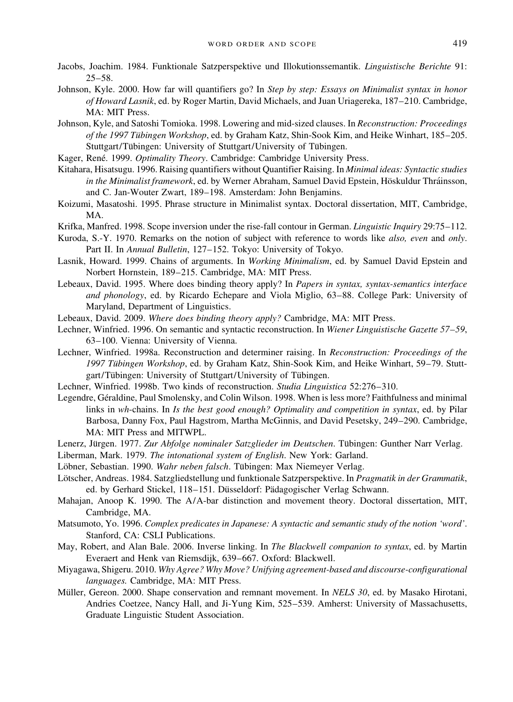- Jacobs, Joachim. 1984. Funktionale Satzperspektive und Illokutionssemantik. *Linguistische Berichte* 91: 25–58.
- Johnson, Kyle. 2000. How far will quantifiers go? In *Step by step: Essays on Minimalist syntax in honor of Howard Lasnik*, ed. by Roger Martin, David Michaels, and Juan Uriagereka, 187–210. Cambridge, MA: MIT Press.
- Johnson, Kyle, and Satoshi Tomioka. 1998. Lowering and mid-sized clauses. In *Reconstruction: Proceedings of the 1997 Tübingen Workshop*, ed. by Graham Katz, Shin-Sook Kim, and Heike Winhart, 185–205. Stuttgart/Tübingen: University of Stuttgart/University of Tübingen.
- Kager, René. 1999. *Optimality Theory*. Cambridge: Cambridge University Press.
- Kitahara, Hisatsugu. 1996. Raising quantifiers without Quantifier Raising. In *Minimal ideas: Syntactic studies in the Minimalist framework*, ed. by Werner Abraham, Samuel David Epstein, Höskuldur Thráinsson, and C. Jan-Wouter Zwart, 189–198. Amsterdam: John Benjamins.
- Koizumi, Masatoshi. 1995. Phrase structure in Minimalist syntax. Doctoral dissertation, MIT, Cambridge, MA.
- Krifka, Manfred. 1998. Scope inversion under the rise-fall contour in German. *Linguistic Inquiry* 29:75–112.
- Kuroda, S.-Y. 1970. Remarks on the notion of subject with reference to words like *also, even* and *only*. Part II. In *Annual Bulletin*, 127–152. Tokyo: University of Tokyo.
- Lasnik, Howard. 1999. Chains of arguments. In *Working Minimalism*, ed. by Samuel David Epstein and Norbert Hornstein, 189–215. Cambridge, MA: MIT Press.
- Lebeaux, David. 1995. Where does binding theory apply? In *Papers in syntax, syntax-semantics interface and phonology*, ed. by Ricardo Echepare and Viola Miglio, 63–88. College Park: University of Maryland, Department of Linguistics.
- Lebeaux, David. 2009. *Where does binding theory apply?* Cambridge, MA: MIT Press.
- Lechner, Winfried. 1996. On semantic and syntactic reconstruction. In *Wiener Linguistische Gazette 57–59*, 63–100. Vienna: University of Vienna.
- Lechner, Winfried. 1998a. Reconstruction and determiner raising. In *Reconstruction: Proceedings of the* 1997 Tübingen Workshop, ed. by Graham Katz, Shin-Sook Kim, and Heike Winhart, 59–79. Stuttgart/Tübingen: University of Stuttgart/University of Tübingen.
- Lechner, Winfried. 1998b. Two kinds of reconstruction. *Studia Linguistica* 52:276–310.
- Legendre, Géraldine, Paul Smolensky, and Colin Wilson. 1998. When is less more? Faithfulness and minimal links in *wh*-chains. In *Is the best good enough? Optimality and competition in syntax*, ed. by Pilar Barbosa, Danny Fox, Paul Hagstrom, Martha McGinnis, and David Pesetsky, 249–290. Cambridge, MA: MIT Press and MITWPL.
- Lenerz, Jürgen. 1977. Zur Abfolge nominaler Satzglieder im Deutschen. Tübingen: Gunther Narr Verlag.
- Liberman, Mark. 1979. *The intonational system of English*. New York: Garland.
- Löbner, Sebastian. 1990. Wahr neben falsch. Tübingen: Max Niemeyer Verlag.
- Lötscher, Andreas. 1984. Satzgliedstellung und funktionale Satzperspektive. In *Pragmatik in der Grammatik*, ed. by Gerhard Stickel, 118–151. Düsseldorf: Pädagogischer Verlag Schwann.
- Mahajan, Anoop K. 1990. The A/A-bar distinction and movement theory. Doctoral dissertation, MIT, Cambridge, MA.
- Matsumoto, Yo. 1996. *Complex predicates in Japanese: A syntactic and semantic study of the notion 'word'*. Stanford, CA: CSLI Publications.
- May, Robert, and Alan Bale. 2006. Inverse linking. In *The Blackwell companion to syntax*, ed. by Martin Everaert and Henk van Riemsdijk, 639–667. Oxford: Blackwell.
- Miyagawa, Shigeru. 2010. *Why Agree? Why Move? Unifying agreement-based and discourse-configurational languages.* Cambridge, MA: MIT Press.
- Müller, Gereon. 2000. Shape conservation and remnant movement. In *NELS 30*, ed. by Masako Hirotani, Andries Coetzee, Nancy Hall, and Ji-Yung Kim, 525–539. Amherst: University of Massachusetts, Graduate Linguistic Student Association.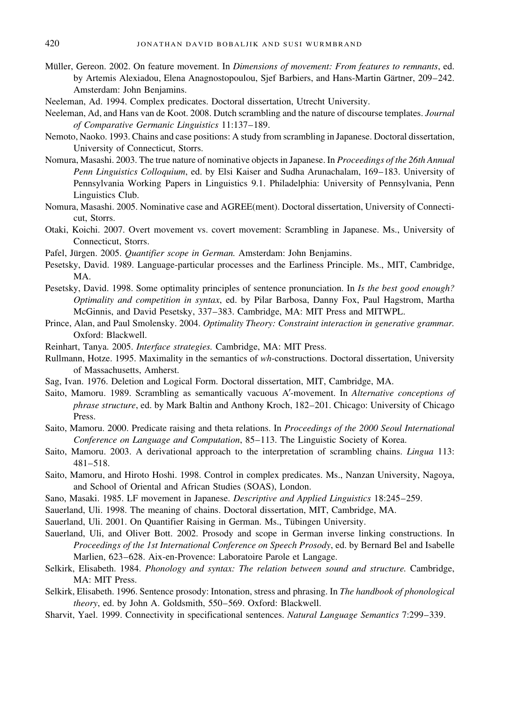- Müller, Gereon. 2002. On feature movement. In *Dimensions of movement: From features to remnants*, ed. by Artemis Alexiadou, Elena Anagnostopoulou, Sjef Barbiers, and Hans-Martin Gärtner, 209–242. Amsterdam: John Benjamins.
- Neeleman, Ad. 1994. Complex predicates. Doctoral dissertation, Utrecht University.
- Neeleman, Ad, and Hans van de Koot. 2008. Dutch scrambling and the nature of discourse templates. *Journal of Comparative Germanic Linguistics* 11:137–189.
- Nemoto, Naoko. 1993. Chains and case positions: A study from scrambling in Japanese. Doctoral dissertation, University of Connecticut, Storrs.
- Nomura, Masashi. 2003. The true nature of nominative objects in Japanese. In *Proceedings of the 26th Annual Penn Linguistics Colloquium*, ed. by Elsi Kaiser and Sudha Arunachalam, 169–183. University of Pennsylvania Working Papers in Linguistics 9.1. Philadelphia: University of Pennsylvania, Penn Linguistics Club.
- Nomura, Masashi. 2005. Nominative case and AGREE(ment). Doctoral dissertation, University of Connecticut, Storrs.
- Otaki, Koichi. 2007. Overt movement vs. covert movement: Scrambling in Japanese. Ms., University of Connecticut, Storrs.
- Pafel, Jürgen. 2005. *Quantifier scope in German*. Amsterdam: John Benjamins.
- Pesetsky, David. 1989. Language-particular processes and the Earliness Principle. Ms., MIT, Cambridge, MA.
- Pesetsky, David. 1998. Some optimality principles of sentence pronunciation. In *Is the best good enough? Optimality and competition in syntax*, ed. by Pilar Barbosa, Danny Fox, Paul Hagstrom, Martha McGinnis, and David Pesetsky, 337–383. Cambridge, MA: MIT Press and MITWPL.
- Prince, Alan, and Paul Smolensky. 2004. *Optimality Theory: Constraint interaction in generative grammar.* Oxford: Blackwell.
- Reinhart, Tanya. 2005. *Interface strategies.* Cambridge, MA: MIT Press.
- Rullmann, Hotze. 1995. Maximality in the semantics of *wh*-constructions. Doctoral dissertation, University of Massachusetts, Amherst.
- Sag, Ivan. 1976. Deletion and Logical Form. Doctoral dissertation, MIT, Cambridge, MA.
- Saito, Mamoru. 1989. Scrambling as semantically vacuous A-movement. In *Alternative conceptions of phrase structure*, ed. by Mark Baltin and Anthony Kroch, 182–201. Chicago: University of Chicago Press.
- Saito, Mamoru. 2000. Predicate raising and theta relations. In *Proceedings of the 2000 Seoul International Conference on Language and Computation*, 85–113. The Linguistic Society of Korea.
- Saito, Mamoru. 2003. A derivational approach to the interpretation of scrambling chains. *Lingua* 113: 481–518.
- Saito, Mamoru, and Hiroto Hoshi. 1998. Control in complex predicates. Ms., Nanzan University, Nagoya, and School of Oriental and African Studies (SOAS), London.
- Sano, Masaki. 1985. LF movement in Japanese. *Descriptive and Applied Linguistics* 18:245–259.
- Sauerland, Uli. 1998. The meaning of chains. Doctoral dissertation, MIT, Cambridge, MA.
- Sauerland, Uli. 2001. On Quantifier Raising in German. Ms., Tübingen University.
- Sauerland, Uli, and Oliver Bott. 2002. Prosody and scope in German inverse linking constructions. In *Proceedings of the 1st International Conference on Speech Prosody*, ed. by Bernard Bel and Isabelle Marlien, 623–628. Aix-en-Provence: Laboratoire Parole et Langage.
- Selkirk, Elisabeth. 1984. *Phonology and syntax: The relation between sound and structure.* Cambridge, MA: MIT Press.
- Selkirk, Elisabeth. 1996. Sentence prosody: Intonation, stress and phrasing. In *The handbook of phonological theory*, ed. by John A. Goldsmith, 550–569. Oxford: Blackwell.
- Sharvit, Yael. 1999. Connectivity in specificational sentences. *Natural Language Semantics* 7:299–339.